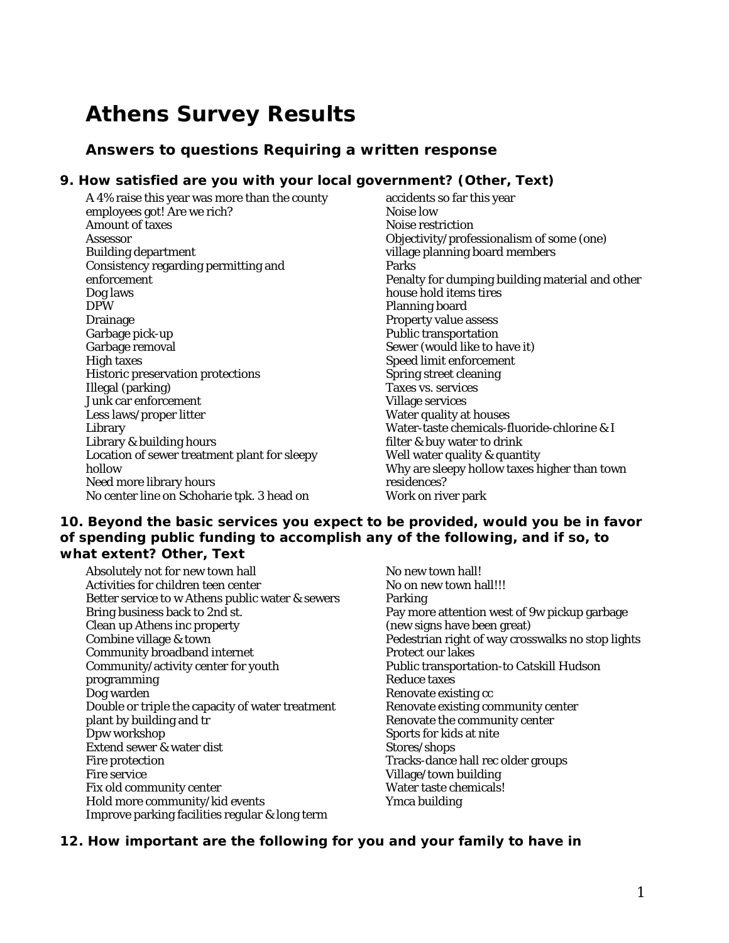# **Athens Survey Results**

## **Answers to questions Requiring a written response**

#### **9. How satisfied are you with your local government? (Other, Text)**

A 4% raise this year was more than the county employees got! Are we rich? Amount of taxes Assessor Building department Consistency regarding permitting and enforcement Dog laws DPW Drainage Garbage pick-up Garbage removal High taxes Historic preservation protections Illegal (parking) Junk car enforcement Less laws/proper litter Library Library & building hours Location of sewer treatment plant for sleepy hollow Need more library hours No center line on Schoharie tpk. 3 head on

accidents so far this year Noise low Noise restriction Objectivity/professionalism of some (one) village planning board members Parks Penalty for dumping building material and other house hold items tires Planning board Property value assess Public transportation Sewer (would like to have it) Speed limit enforcement Spring street cleaning Taxes vs. services Village services Water quality at houses Water-taste chemicals-fluoride-chlorine & I filter & buy water to drink Well water quality & quantity Why are sleepy hollow taxes higher than town residences? Work on river park

## **10. Beyond the basic services you expect to be provided, would you be in favor of spending public funding to accomplish any of the following, and if so, to what extent? Other, Text**

- Absolutely not for new town hall Activities for children teen center Better service to w Athens public water & sewers Bring business back to 2nd st. Clean up Athens inc property Combine village & town Community broadband internet Community/activity center for youth programming Dog warden Double or triple the capacity of water treatment plant by building and tr Dpw workshop Extend sewer & water dist Fire protection Fire service Fix old community center Hold more community/kid events Improve parking facilities regular & long term
- No new town hall! No on new town hall!!! Parking Pay more attention west of 9w pickup garbage (new signs have been great) Pedestrian right of way crosswalks no stop lights Protect our lakes Public transportation-to Catskill Hudson Reduce taxes Renovate existing cc Renovate existing community center Renovate the community center Sports for kids at nite Stores/shops Tracks-dance hall rec older groups Village/town building Water taste chemicals! Ymca building

## **12. How important are the following for you and your family to have in**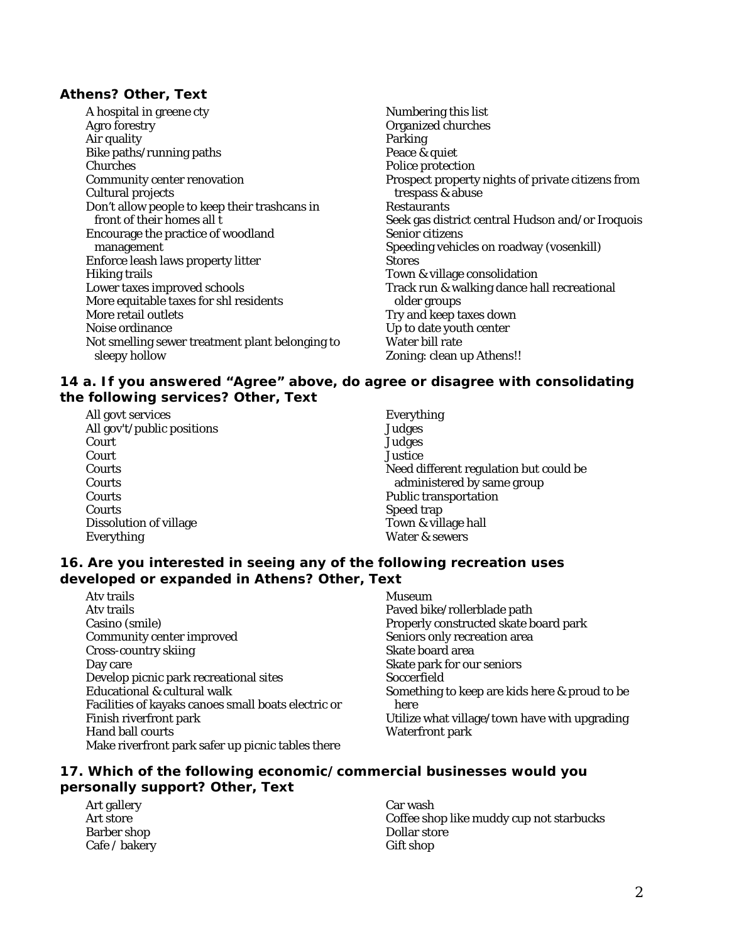## **Athens? Other, Text**

- A hospital in greene cty Agro forestry Air quality Bike paths/running paths Churches Community center renovation Cultural projects Don't allow people to keep their trashcans in front of their homes all t Encourage the practice of woodland management Enforce leash laws property litter Hiking trails Lower taxes improved schools More equitable taxes for shl residents More retail outlets Noise ordinance Not smelling sewer treatment plant belonging to sleepy hollow
- Numbering this list Organized churches Parking Peace & quiet Police protection Prospect property nights of private citizens from trespass & abuse Restaurants Seek gas district central Hudson and/or Iroquois Senior citizens Speeding vehicles on roadway (vosenkill) **Stores** Town & village consolidation Track run & walking dance hall recreational older groups Try and keep taxes down Up to date youth center Water bill rate Zoning: clean up Athens!!

#### **14 a. If you answered "Agree" above, do agree or disagree with consolidating the following services? Other, Text**

All govt services All gov't/public positions Court Court Courts Courts **Courts Courts** Dissolution of village Everything

Everything Judges **Judges Justice** Need different regulation but could be administered by same group Public transportation Speed trap Town & village hall Water & sewers

## **16. Are you interested in seeing any of the following recreation uses developed or expanded in Athens? Other, Text**

Atv trails Atv trails Casino (smile) Community center improved Cross-country skiing Day care Develop picnic park recreational sites Educational & cultural walk Facilities of kayaks canoes small boats electric or Finish riverfront park Hand ball courts Make riverfront park safer up picnic tables there

Museum Paved bike/rollerblade path Properly constructed skate board park Seniors only recreation area Skate board area Skate park for our seniors Soccerfield Something to keep are kids here & proud to be here Utilize what village/town have with upgrading Waterfront park

## **17. Which of the following economic/commercial businesses would you personally support? Other, Text**

Art gallery Art store Barber shop Cafe / bakery Car wash Coffee shop like muddy cup not starbucks Dollar store Gift shop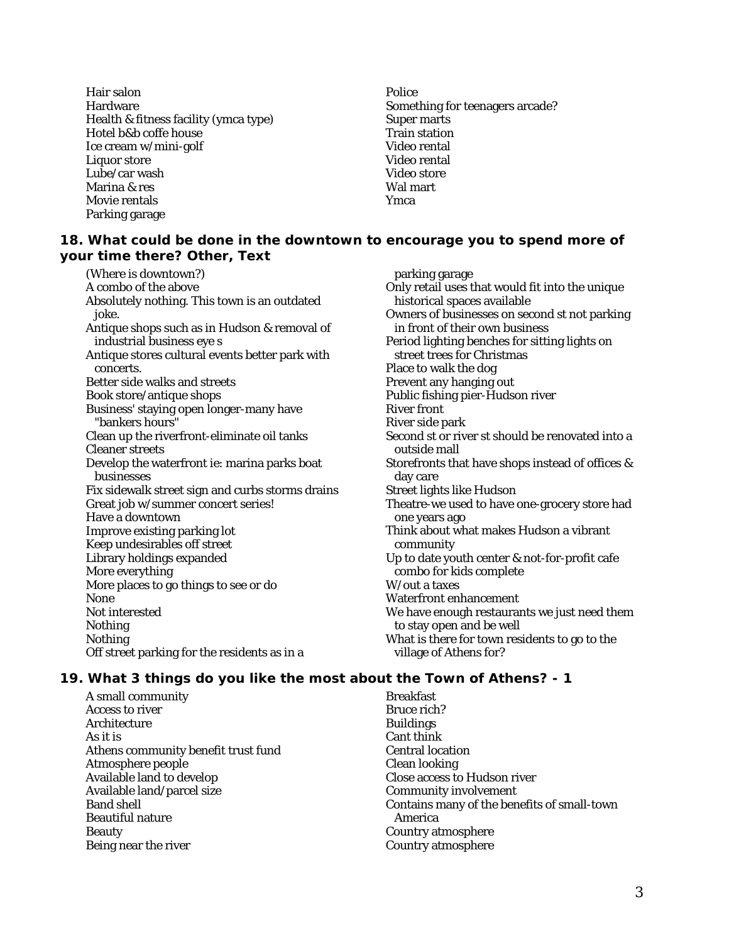Hair salon Hardware Health & fitness facility (ymca type) Hotel b&b coffe house Ice cream w/mini-golf Liquor store Lube/car wash Marina & res Movie rentals Parking garage

Police Something for teenagers arcade? Super marts Train station Video rental Video rental Video store Wal mart Ymca

## **18. What could be done in the downtown to encourage you to spend more of your time there? Other, Text**

(Where is downtown?) A combo of the above Absolutely nothing. This town is an outdated joke. Antique shops such as in Hudson & removal of industrial business eye s Antique stores cultural events better park with concerts. Better side walks and streets Book store/antique shops Business' staying open longer-many have "bankers hours" Clean up the riverfront-eliminate oil tanks Cleaner streets Develop the waterfront ie: marina parks boat businesses Fix sidewalk street sign and curbs storms drains Great job w/summer concert series! Have a downtown Improve existing parking lot Keep undesirables off street Library holdings expanded More everything More places to go things to see or do None Not interested Nothing Nothing Off street parking for the residents as in a

parking garage Only retail uses that would fit into the unique historical spaces available Owners of businesses on second st not parking in front of their own business Period lighting benches for sitting lights on street trees for Christmas Place to walk the dog Prevent any hanging out Public fishing pier-Hudson river River front River side park Second st or river st should be renovated into a outside mall Storefronts that have shops instead of offices & day care Street lights like Hudson Theatre-we used to have one-grocery store had one years ago Think about what makes Hudson a vibrant community Up to date youth center & not-for-profit cafe combo for kids complete W/out a taxes Waterfront enhancement We have enough restaurants we just need them to stay open and be well What is there for town residents to go to the village of Athens for?

# **19. What 3 things do you like the most about the Town of Athens? - 1**

A small community Access to river **Architecture** As it is Athens community benefit trust fund Atmosphere people Available land to develop Available land/parcel size Band shell Beautiful nature Beauty Being near the river

Breakfast Bruce rich? Buildings Cant think Central location Clean looking Close access to Hudson river Community involvement Contains many of the benefits of small-town America Country atmosphere Country atmosphere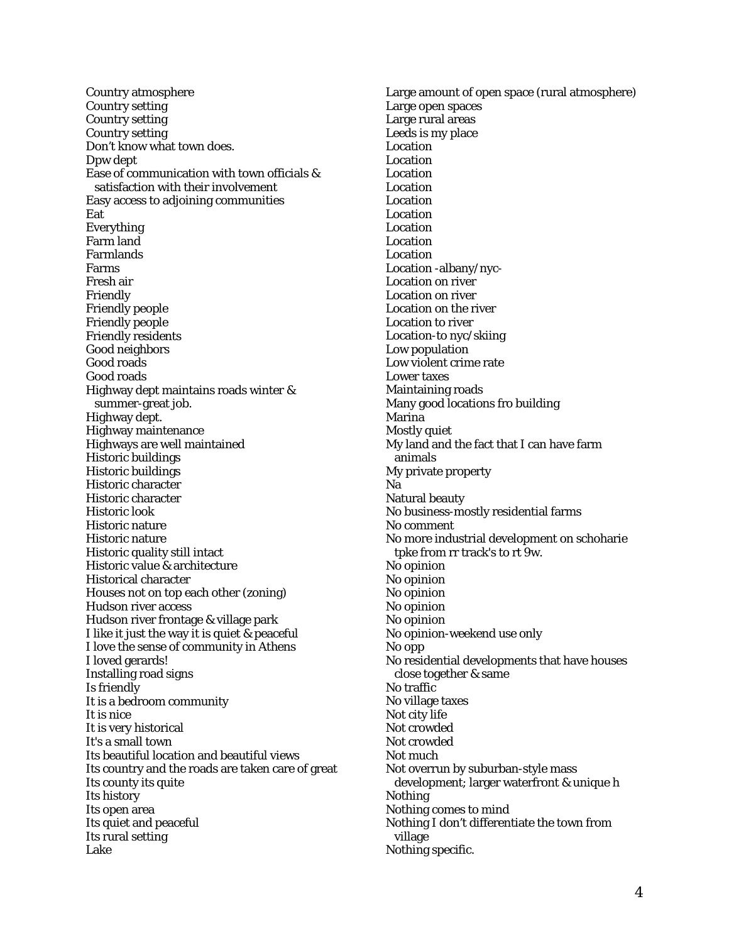Country atmosphere Country setting Country setting Country setting Don't know what town does. Dpw dept Ease of communication with town officials & satisfaction with their involvement Easy access to adjoining communities Eat Everything Farm land Farmlands Farms Fresh air Friendly Friendly people Friendly people Friendly residents Good neighbors Good roads Good roads Highway dept maintains roads winter & summer-great job. Highway dept. Highway maintenance Highways are well maintained Historic buildings Historic buildings Historic character Historic character Historic look Historic nature Historic nature Historic quality still intact Historic value & architecture Historical character Houses not on top each other (zoning) Hudson river access Hudson river frontage & village park I like it just the way it is quiet & peaceful I love the sense of community in Athens I loved gerards! Installing road signs Is friendly It is a bedroom community It is nice It is very historical It's a small town Its beautiful location and beautiful views Its country and the roads are taken care of great Its county its quite Its history Its open area Its quiet and peaceful Its rural setting Lake

Large amount of open space (rural atmosphere) Large open spaces Large rural areas Leeds is my place Location Location Location Location Location Location Location Location Location Location -albany/nyc-Location on river Location on river Location on the river Location to river Location-to nyc/skiing Low population Low violent crime rate Lower taxes Maintaining roads Many good locations fro building Marina Mostly quiet My land and the fact that I can have farm animals My private property Na Natural beauty No business-mostly residential farms No comment No more industrial development on schoharie tpke from rr track's to rt 9w. No opinion No opinion No opinion No opinion No opinion No opinion-weekend use only No opp No residential developments that have houses close together & same No traffic No village taxes Not city life Not crowded Not crowded Not much Not overrun by suburban-style mass development; larger waterfront & unique h Nothing Nothing comes to mind Nothing I don't differentiate the town from village Nothing specific.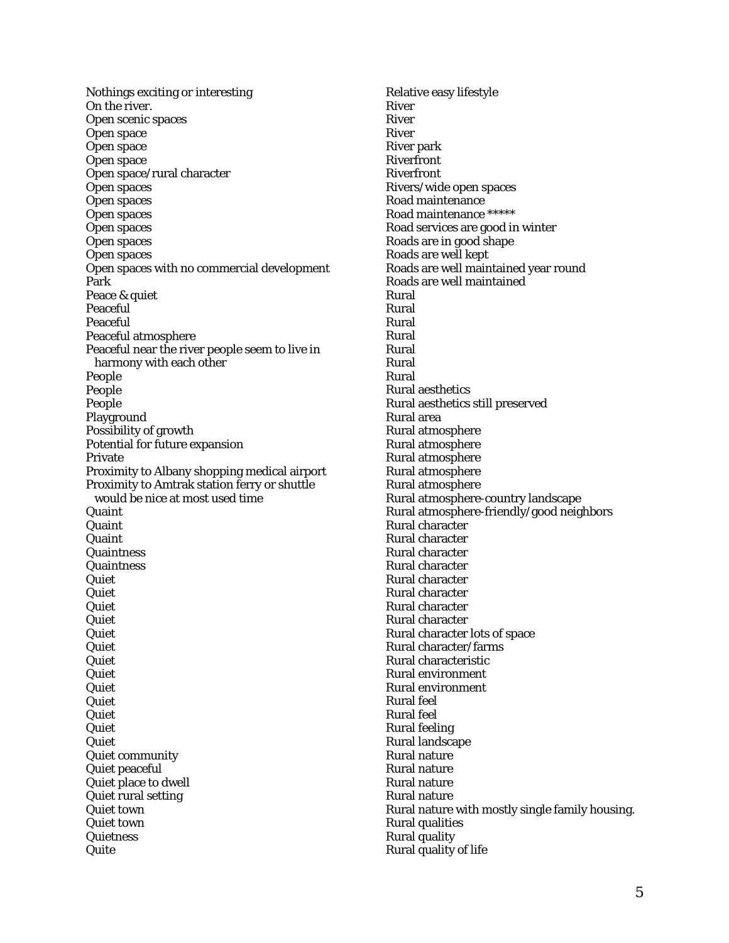Nothings exciting or interesting On the river. Open scenic spaces Open space Open space Open space Open space/rural character Open spaces Open spaces Open spaces Open spaces Open spaces Open spaces Open spaces with no commercial development Park Peace & quiet Peaceful Peaceful Peaceful atmosphere Peaceful near the river people seem to live in harmony with each other People People People Playground Possibility of growth Potential for future expansion Private Proximity to Albany shopping medical airport Proximity to Amtrak station ferry or shuttle would be nice at most used time **Quaint Quaint Quaint Quaintness Quaintness** Quiet Quiet **Quiet Quiet** Quiet Quiet **Quiet** Quiet Quiet **Quiet** Quiet Quiet Quiet Quiet community Quiet peaceful Quiet place to dwell Quiet rural setting Quiet town Quiet town **Quietness** Quite

Relative easy lifestyle River River River River park Riverfront Riverfront Rivers/wide open spaces Road maintenance Road maintenance \*\*\*\*\* Road services are good in winter Roads are in good shape Roads are well kept Roads are well maintained year round Roads are well maintained Rural Rural Rural Rural Rural Rural Rural Rural aesthetics Rural aesthetics still preserved Rural area Rural atmosphere Rural atmosphere Rural atmosphere Rural atmosphere Rural atmosphere Rural atmosphere-country landscape Rural atmosphere-friendly/good neighbors Rural character Rural character Rural character Rural character Rural character Rural character Rural character Rural character Rural character lots of space Rural character/farms Rural characteristic Rural environment Rural environment Rural feel Rural feel Rural feeling Rural landscape Rural nature Rural nature Rural nature Rural nature Rural nature with mostly single family housing. Rural qualities Rural quality Rural quality of life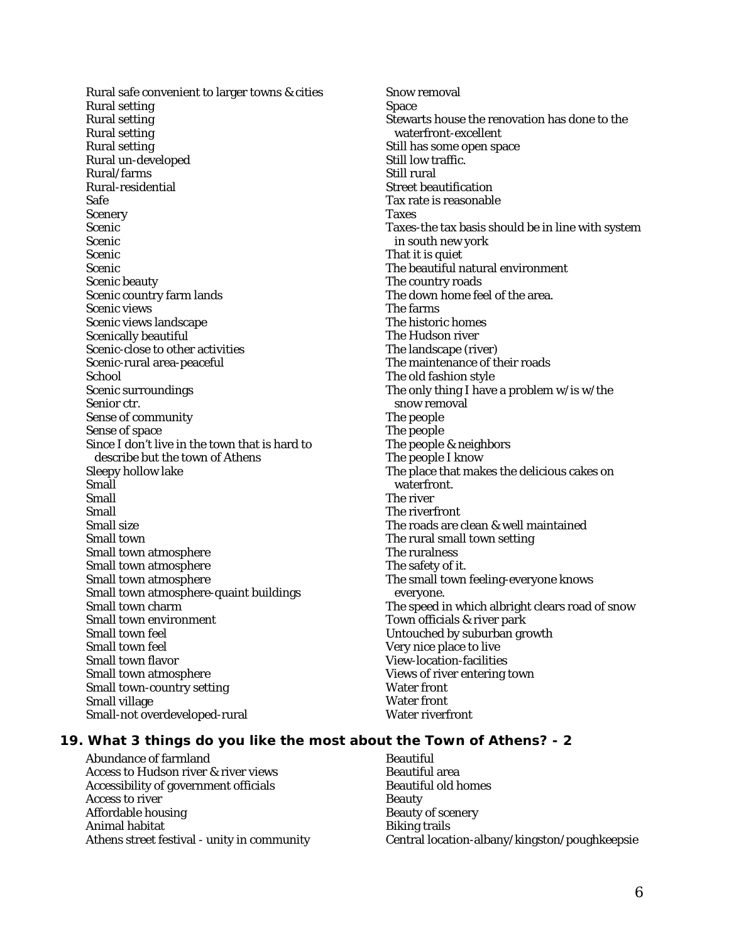Rural safe convenient to larger towns & cities Rural setting Rural setting Rural setting Rural setting Rural un-developed Rural/farms Rural-residential Safe Scenery Scenic Scenic Scenic Scenic Scenic beauty Scenic country farm lands Scenic views Scenic views landscape Scenically beautiful Scenic-close to other activities Scenic-rural area-peaceful School Scenic surroundings Senior ctr. Sense of community Sense of space Since I don't live in the town that is hard to describe but the town of Athens Sleepy hollow lake Small Small Small Small size Small town Small town atmosphere Small town atmosphere Small town atmosphere Small town atmosphere-quaint buildings Small town charm Small town environment Small town feel Small town feel Small town flavor Small town atmosphere Small town-country setting Small village Small-not overdeveloped-rural

Snow removal Space Stewarts house the renovation has done to the waterfront-excellent Still has some open space Still low traffic. Still rural Street beautification Tax rate is reasonable Taxes Taxes-the tax basis should be in line with system in south new york That it is quiet The beautiful natural environment The country roads The down home feel of the area. The farms The historic homes The Hudson river The landscape (river) The maintenance of their roads The old fashion style The only thing I have a problem w/is w/the snow removal The people The people The people & neighbors The people I know The place that makes the delicious cakes on waterfront. The river The riverfront The roads are clean & well maintained The rural small town setting The ruralness The safety of it. The small town feeling-everyone knows everyone. The speed in which albright clears road of snow Town officials & river park Untouched by suburban growth Very nice place to live View-location-facilities Views of river entering town Water front Water front Water riverfront

#### **19. What 3 things do you like the most about the Town of Athens? - 2**

Abundance of farmland Access to Hudson river & river views Accessibility of government officials Access to river Affordable housing Animal habitat Athens street festival - unity in community **Beautiful** Beautiful area Beautiful old homes Beauty Beauty of scenery Biking trails Central location-albany/kingston/poughkeepsie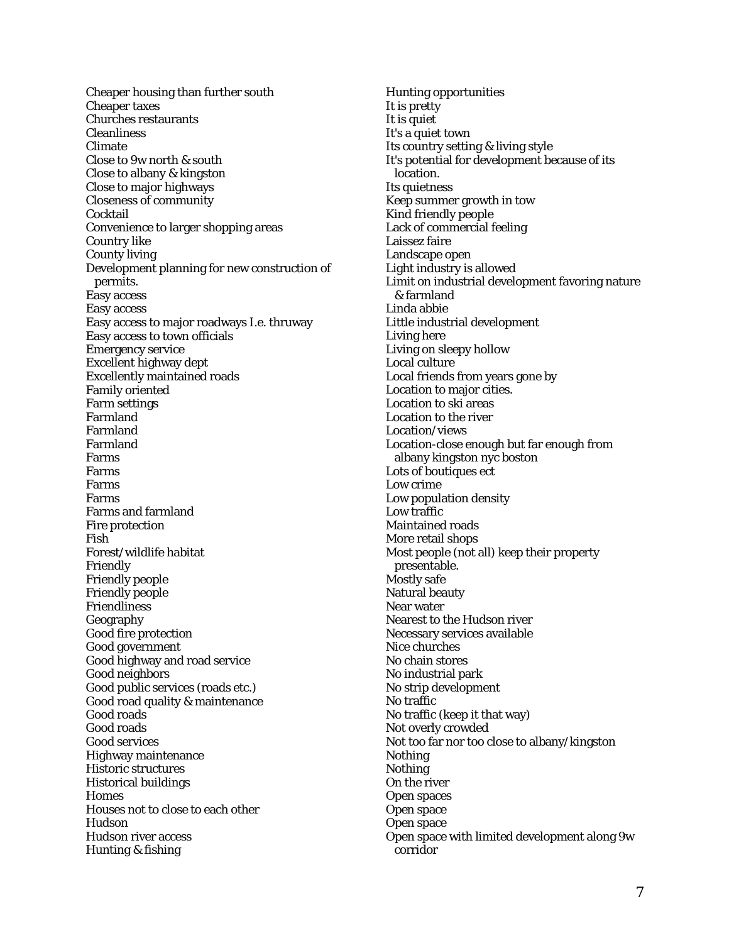Cheaper housing than further south Cheaper taxes Churches restaurants Cleanliness Climate Close to 9w north & south Close to albany & kingston Close to major highways Closeness of community Cocktail Convenience to larger shopping areas Country like County living Development planning for new construction of permits. Easy access Easy access Easy access to major roadways I.e. thruway Easy access to town officials Emergency service Excellent highway dept Excellently maintained roads Family oriented Farm settings Farmland Farmland Farmland Farms Farms Farms Farms Farms and farmland Fire protection Fish Forest/wildlife habitat Friendly Friendly people Friendly people Friendliness Geography Good fire protection Good government Good highway and road service Good neighbors Good public services (roads etc.) Good road quality & maintenance Good roads Good roads Good services Highway maintenance Historic structures Historical buildings **Homes** Houses not to close to each other Hudson Hudson river access Hunting & fishing

Hunting opportunities It is pretty It is quiet It's a quiet town Its country setting & living style It's potential for development because of its location. Its quietness Keep summer growth in tow Kind friendly people Lack of commercial feeling Laissez faire Landscape open Light industry is allowed Limit on industrial development favoring nature & farmland Linda abbie Little industrial development Living here Living on sleepy hollow Local culture Local friends from years gone by Location to major cities. Location to ski areas Location to the river Location/views Location-close enough but far enough from albany kingston nyc boston Lots of boutiques ect Low crime Low population density Low traffic Maintained roads More retail shops Most people (not all) keep their property presentable. Mostly safe Natural beauty Near water Nearest to the Hudson river Necessary services available Nice churches No chain stores No industrial park No strip development No traffic No traffic (keep it that way) Not overly crowded Not too far nor too close to albany/kingston Nothing **Nothing** On the river Open spaces Open space Open space Open space with limited development along 9w corridor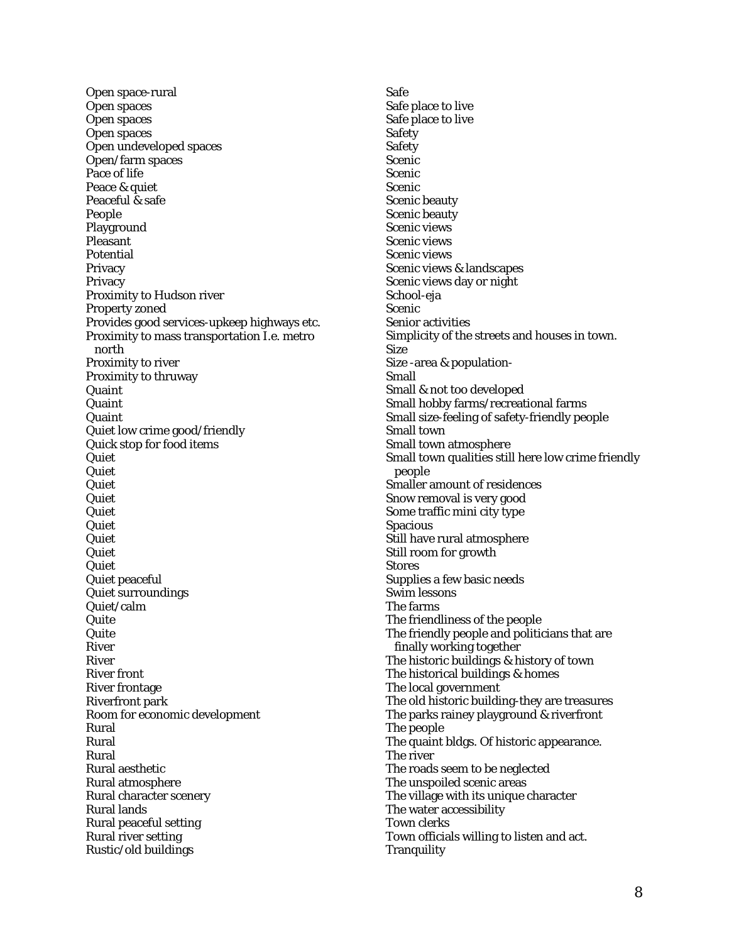Open space-rural Open spaces Open spaces Open spaces Open undeveloped spaces Open/farm spaces Pace of life Peace & quiet Peaceful & safe People Playground Pleasant Potential Privacy **Privacy** Proximity to Hudson river Property zoned Provides good services-upkeep highways etc. Proximity to mass transportation I.e. metro north Proximity to river Proximity to thruway Quaint Quaint Quaint Quiet low crime good/friendly Quick stop for food items Quiet Quiet Quiet Quiet Quiet **Quiet Quiet Quiet** Quiet Quiet peaceful Quiet surroundings Quiet/calm Quite Quite River River River front River frontage Riverfront park Room for economic development Rural Rural Rural Rural aesthetic Rural atmosphere Rural character scenery Rural lands Rural peaceful setting Rural river setting Rustic/old buildings

Safe Safe place to live Safe place to live Safety Safety Scenic **Scenic Scenic** Scenic beauty Scenic beauty Scenic views Scenic views Scenic views Scenic views & landscapes Scenic views day or night School-eja Scenic Senior activities Simplicity of the streets and houses in town. Size Size -area & population-Small Small & not too developed Small hobby farms/recreational farms Small size-feeling of safety-friendly people Small town Small town atmosphere Small town qualities still here low crime friendly people Smaller amount of residences Snow removal is very good Some traffic mini city type Spacious Still have rural atmosphere Still room for growth **Stores** Supplies a few basic needs Swim lessons The farms The friendliness of the people The friendly people and politicians that are finally working together The historic buildings & history of town The historical buildings & homes The local government The old historic building-they are treasures The parks rainey playground & riverfront The people The quaint bldgs. Of historic appearance. The river The roads seem to be neglected The unspoiled scenic areas The village with its unique character The water accessibility Town clerks Town officials willing to listen and act. **Tranquility**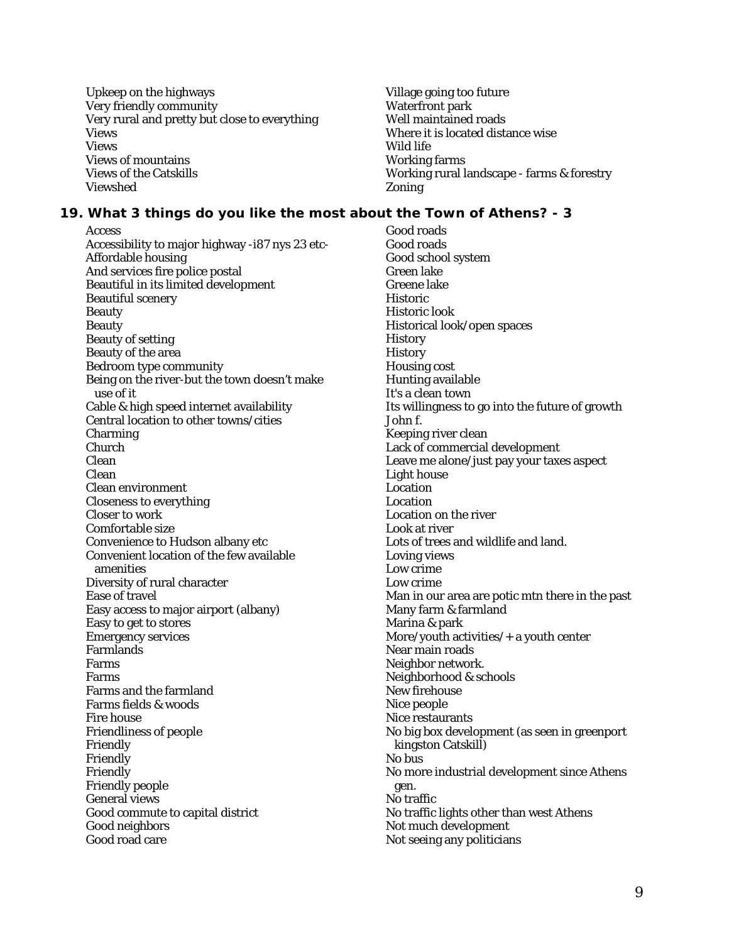Upkeep on the highways Very friendly community Very rural and pretty but close to everything Views Views Views of mountains Views of the Catskills Viewshed

Village going too future Waterfront park Well maintained roads Where it is located distance wise Wild life Working farms Working rural landscape - farms & forestry Zoning

## **19. What 3 things do you like the most about the Town of Athens? - 3**

Access Accessibility to major highway -i87 nys 23 etc-Affordable housing And services fire police postal Beautiful in its limited development Beautiful scenery Beauty Beauty Beauty of setting Beauty of the area Bedroom type community Being on the river-but the town doesn't make use of it Cable & high speed internet availability Central location to other towns/cities Charming Church Clean Clean Clean environment Closeness to everything Closer to work Comfortable size Convenience to Hudson albany etc Convenient location of the few available amenities Diversity of rural character Ease of travel Easy access to major airport (albany) Easy to get to stores Emergency services Farmlands Farms Farms Farms and the farmland Farms fields & woods Fire house Friendliness of people Friendly Friendly Friendly Friendly people General views Good commute to capital district Good neighbors Good road care

Good roads Good roads Good school system Green lake Greene lake **Historic** Historic look Historical look/open spaces **History History** Housing cost Hunting available It's a clean town Its willingness to go into the future of growth John f. Keeping river clean Lack of commercial development Leave me alone/just pay your taxes aspect Light house Location Location Location on the river Look at river Lots of trees and wildlife and land. Loving views Low crime Low crime Man in our area are potic mtn there in the past Many farm & farmland Marina & park More/youth activities/+ a youth center Near main roads Neighbor network. Neighborhood & schools New firehouse Nice people Nice restaurants No big box development (as seen in greenport kingston Catskill) No bus No more industrial development since Athens gen. No traffic No traffic lights other than west Athens Not much development Not seeing any politicians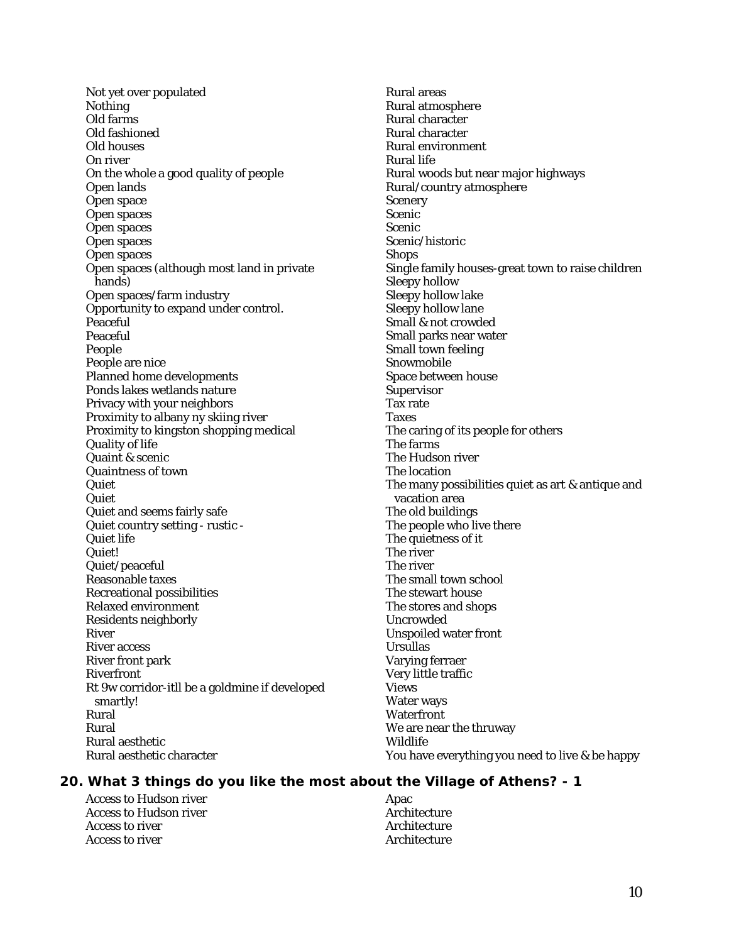Not yet over populated Nothing Old farms Old fashioned Old houses On river On the whole a good quality of people Open lands Open space Open spaces Open spaces Open spaces Open spaces Open spaces (although most land in private hands) Open spaces/farm industry Opportunity to expand under control. Peaceful Peaceful People People are nice Planned home developments Ponds lakes wetlands nature Privacy with your neighbors Proximity to albany ny skiing river Proximity to kingston shopping medical Quality of life Quaint & scenic Quaintness of town Quiet Quiet Quiet and seems fairly safe Quiet country setting - rustic - Quiet life Quiet! Quiet/peaceful Reasonable taxes Recreational possibilities Relaxed environment Residents neighborly River River access River front park Riverfront Rt 9w corridor-itll be a goldmine if developed smartly! Rural Rural Rural aesthetic Rural aesthetic character

Rural areas Rural atmosphere Rural character Rural character Rural environment Rural life Rural woods but near major highways Rural/country atmosphere **Scenery** Scenic Scenic Scenic/historic **Shops** Single family houses-great town to raise children Sleepy hollow Sleepy hollow lake Sleepy hollow lane Small & not crowded Small parks near water Small town feeling Snowmobile Space between house **Supervisor** Tax rate Taxes The caring of its people for others The farms The Hudson river The location The many possibilities quiet as art & antique and vacation area The old buildings The people who live there The quietness of it The river The river The small town school The stewart house The stores and shops Uncrowded Unspoiled water front Ursullas Varying ferraer Very little traffic Views Water ways **Waterfront** We are near the thruway Wildlife You have everything you need to live & be happy

## **20. What 3 things do you like the most about the Village of Athens? - 1**

Access to Hudson river Access to Hudson river Access to river Access to river

Apac **Architecture** Architecture Architecture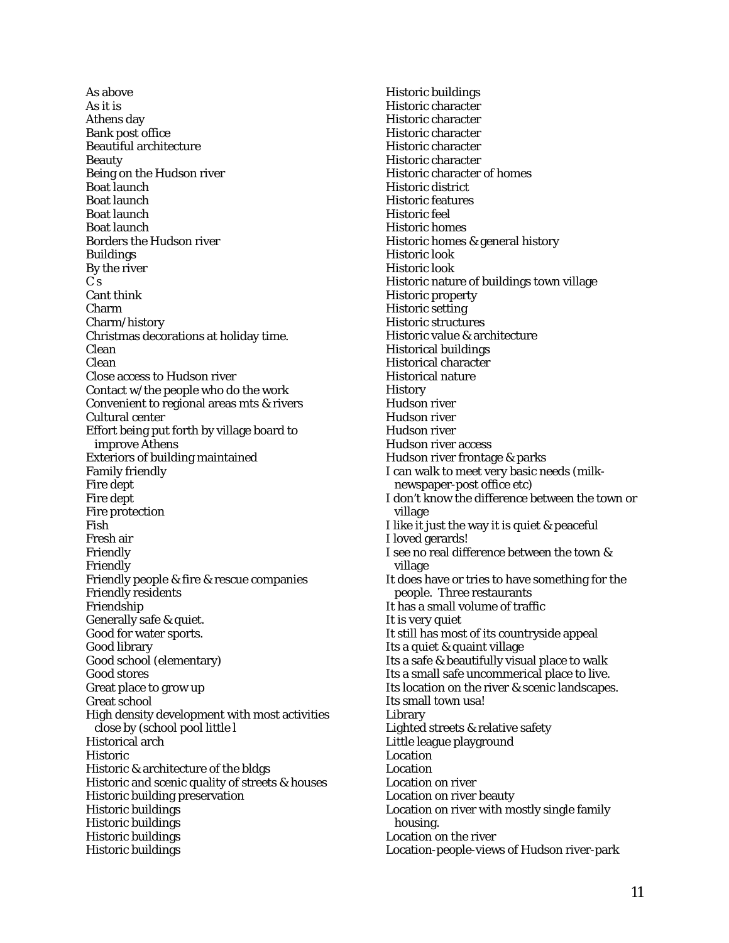As above As it is Athens day Bank post office Beautiful architecture Beauty Being on the Hudson river Boat launch Boat launch Boat launch Boat launch Borders the Hudson river Buildings By the river  $\tilde{C}$  s Cant think Charm Charm/history Christmas decorations at holiday time. Clean Clean Close access to Hudson river Contact w/the people who do the work Convenient to regional areas mts & rivers Cultural center Effort being put forth by village board to improve Athens Exteriors of building maintained Family friendly Fire dept Fire dept Fire protection Fish Fresh air Friendly Friendly Friendly people & fire & rescue companies Friendly residents Friendship Generally safe & quiet. Good for water sports. Good library Good school (elementary) Good stores Great place to grow up Great school High density development with most activities close by (school pool little l Historical arch Historic Historic & architecture of the bldgs Historic and scenic quality of streets & houses Historic building preservation Historic buildings Historic buildings Historic buildings Historic buildings

Historic buildings Historic character Historic character Historic character Historic character Historic character Historic character of homes Historic district Historic features Historic feel Historic homes Historic homes & general history Historic look Historic look Historic nature of buildings town village Historic property Historic setting Historic structures Historic value & architecture Historical buildings Historical character Historical nature **History** Hudson river Hudson river Hudson river Hudson river access Hudson river frontage & parks I can walk to meet very basic needs (milknewspaper-post office etc) I don't know the difference between the town or village I like it just the way it is quiet & peaceful I loved gerards! I see no real difference between the town & village It does have or tries to have something for the people. Three restaurants It has a small volume of traffic It is very quiet It still has most of its countryside appeal Its a quiet & quaint village Its a safe & beautifully visual place to walk Its a small safe uncommerical place to live. Its location on the river & scenic landscapes. Its small town usa! Library Lighted streets & relative safety Little league playground Location Location Location on river Location on river beauty Location on river with mostly single family housing. Location on the river Location-people-views of Hudson river-park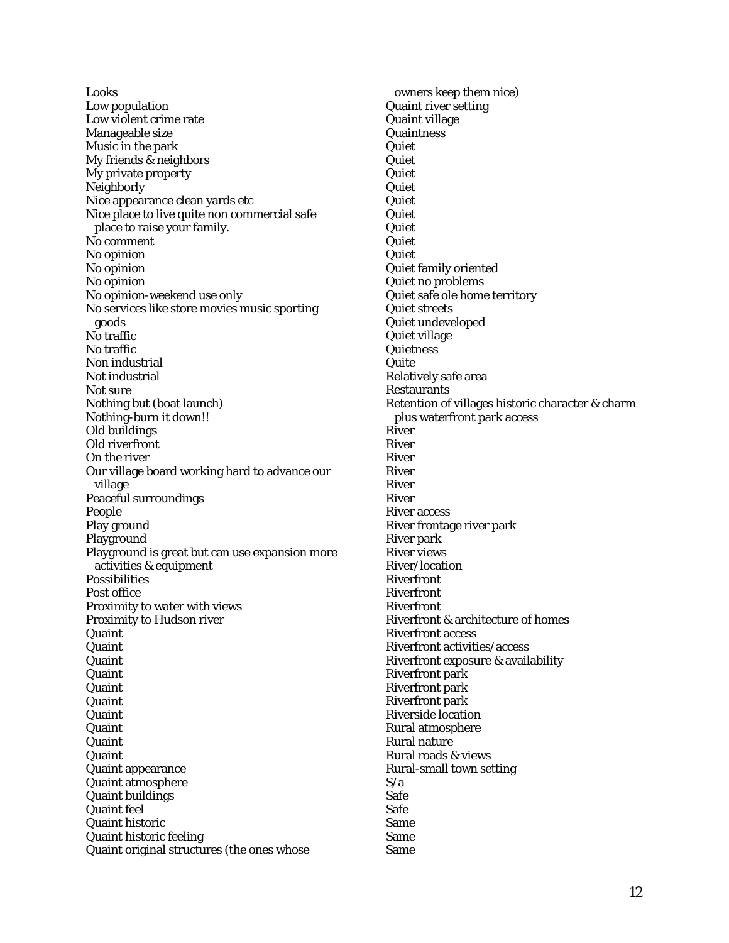Looks Low population Low violent crime rate Manageable size Music in the park My friends & neighbors My private property **Neighborly** Nice appearance clean yards etc Nice place to live quite non commercial safe place to raise your family. No comment No opinion No opinion No opinion No opinion-weekend use only No services like store movies music sporting goods No traffic No traffic Non industrial Not industrial Not sure Nothing but (boat launch) Nothing-burn it down!! Old buildings Old riverfront On the river Our village board working hard to advance our village Peaceful surroundings People Play ground Playground Playground is great but can use expansion more activities & equipment Possibilities Post office Proximity to water with views Proximity to Hudson river Quaint Quaint Quaint Quaint Quaint **Quaint Quaint** Quaint Quaint Quaint Quaint appearance Quaint atmosphere Quaint buildings Quaint feel Quaint historic Quaint historic feeling Quaint original structures (the ones whose

owners keep them nice) Quaint river setting Quaint village **Quaintness** Quiet **Quiet** Quiet **Quiet** Quiet Quiet Quiet **Quiet Quiet** Quiet family oriented Quiet no problems Quiet safe ole home territory Quiet streets Quiet undeveloped Quiet village **Quietness Quite** Relatively safe area **Restaurants** Retention of villages historic character & charm plus waterfront park access River River River River River River River access River frontage river park River park River views River/location Riverfront Riverfront Riverfront Riverfront & architecture of homes Riverfront access Riverfront activities/access Riverfront exposure & availability Riverfront park Riverfront park Riverfront park Riverside location Rural atmosphere Rural nature Rural roads & views Rural-small town setting S/a Safe Safe Same Same Same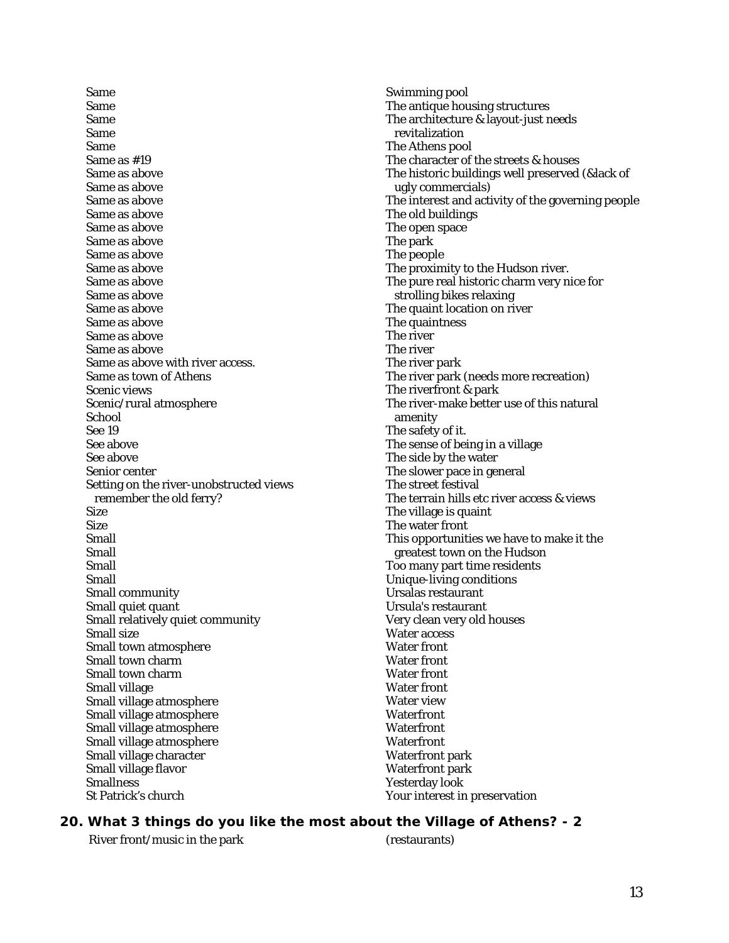Same Same Same Same Same Same as #19 Same as above Same as above Same as above Same as above Same as above Same as above Same as above Same as above Same as above Same as above Same as above Same as above Same as above Same as above Same as above with river access. Same as town of Athens Scenic views Scenic/rural atmosphere School See 19 See above See above Senior center Setting on the river-unobstructed views remember the old ferry? Size Size Small Small Small Small Small community Small quiet quant Small relatively quiet community Small size Small town atmosphere Small town charm Small town charm Small village Small village atmosphere Small village atmosphere Small village atmosphere Small village atmosphere Small village character Small village flavor **Smallness** St Patrick's church

Swimming pool The antique housing structures The architecture & layout-just needs revitalization The Athens pool The character of the streets & houses The historic buildings well preserved (&lack of ugly commercials) The interest and activity of the governing people The old buildings The open space The park The people The proximity to the Hudson river. The pure real historic charm very nice for strolling bikes relaxing The quaint location on river The quaintness The river The river The river park The river park (needs more recreation) The riverfront & park The river-make better use of this natural amenity The safety of it. The sense of being in a village The side by the water The slower pace in general The street festival The terrain hills etc river access & views The village is quaint The water front This opportunities we have to make it the greatest town on the Hudson Too many part time residents Unique-living conditions Ursalas restaurant Ursula's restaurant Very clean very old houses Water access Water front Water front Water front Water front Water view **Waterfront Waterfront Waterfront** Waterfront park Waterfront park Yesterday look Your interest in preservation

#### **20. What 3 things do you like the most about the Village of Athens? - 2**

River front/music in the park (restaurants)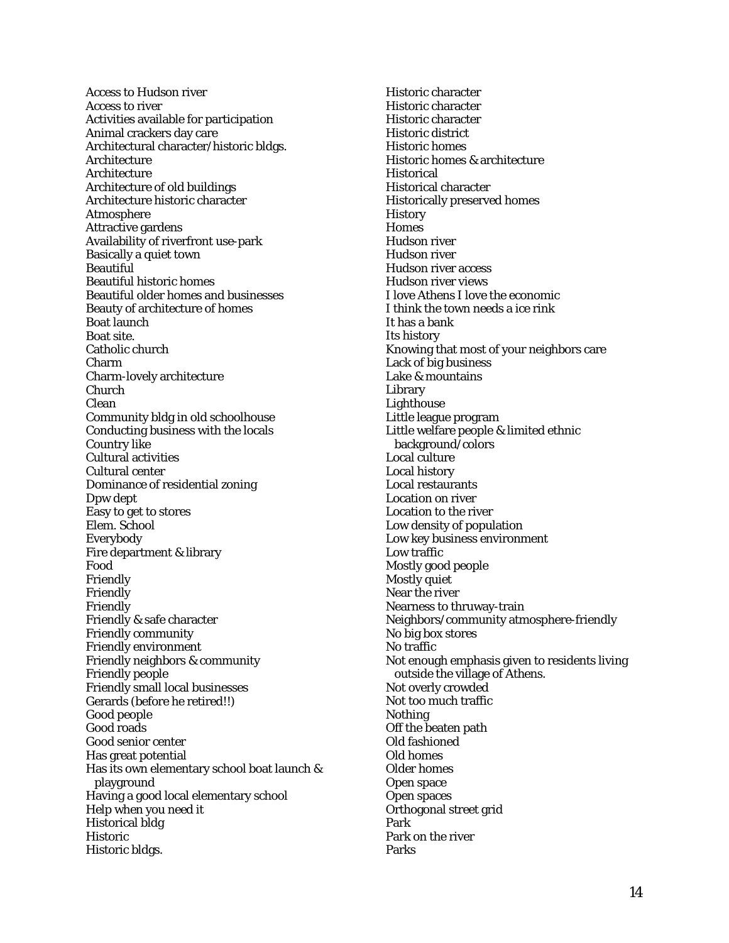Access to Hudson river Access to river Activities available for participation Animal crackers day care Architectural character/historic bldgs. **Architecture Architecture** Architecture of old buildings Architecture historic character **Atmosphere** Attractive gardens Availability of riverfront use-park Basically a quiet town **Beautiful** Beautiful historic homes Beautiful older homes and businesses Beauty of architecture of homes Boat launch Boat site. Catholic church Charm Charm-lovely architecture Church Clean Community bldg in old schoolhouse Conducting business with the locals Country like Cultural activities Cultural center Dominance of residential zoning Dpw dept Easy to get to stores Elem. School Everybody Fire department & library Food Friendly Friendly Friendly Friendly & safe character Friendly community Friendly environment Friendly neighbors & community Friendly people Friendly small local businesses Gerards (before he retired!!) Good people Good roads Good senior center Has great potential Has its own elementary school boat launch & playground Having a good local elementary school Help when you need it Historical bldg Historic Historic bldgs.

Historic character Historic character Historic character Historic district Historic homes Historic homes & architecture **Historical** Historical character Historically preserved homes **History Homes** Hudson river Hudson river Hudson river access Hudson river views I love Athens I love the economic I think the town needs a ice rink It has a bank Its history Knowing that most of your neighbors care Lack of big business Lake & mountains Library Lighthouse Little league program Little welfare people & limited ethnic background/colors Local culture Local history Local restaurants Location on river Location to the river Low density of population Low key business environment Low traffic Mostly good people Mostly quiet Near the river Nearness to thruway-train Neighbors/community atmosphere-friendly No big box stores No traffic Not enough emphasis given to residents living outside the village of Athens. Not overly crowded Not too much traffic **Nothing** Off the beaten path Old fashioned Old homes Older homes Open space Open spaces Orthogonal street grid Park Park on the river Parks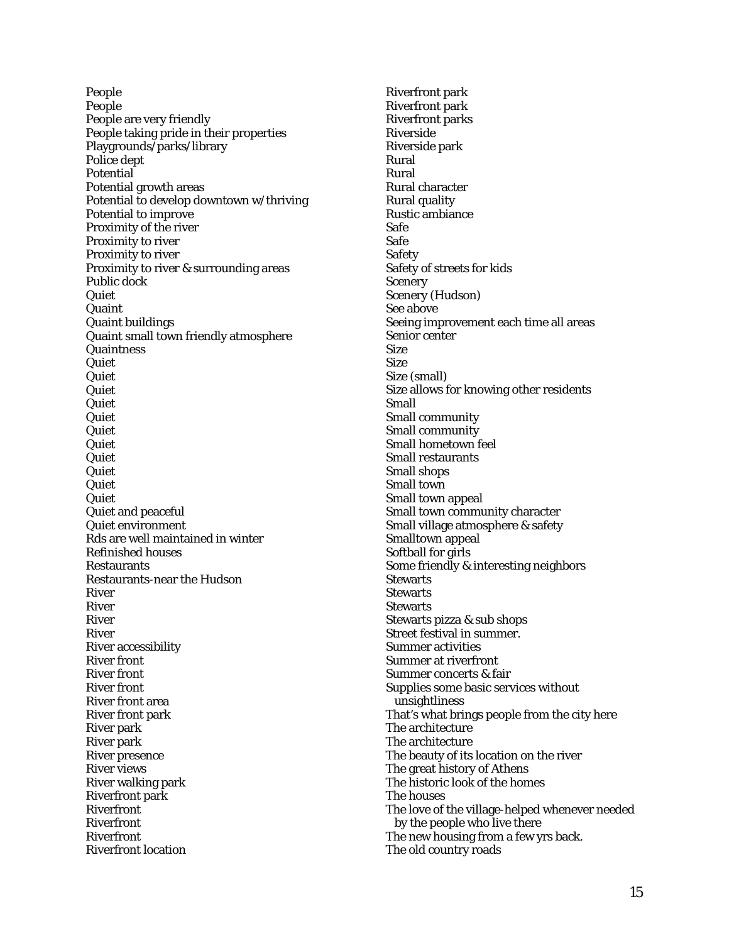People People People are very friendly People taking pride in their properties Playgrounds/parks/library Police dept Potential Potential growth areas Potential to develop downtown w/thriving Potential to improve Proximity of the river Proximity to river Proximity to river Proximity to river & surrounding areas Public dock Quiet Quaint Quaint buildings Quaint small town friendly atmosphere **Quaintness Quiet Quiet Quiet** Quiet Quiet **Quiet Quiet** Quiet Quiet Quiet Quiet Quiet and peaceful Quiet environment Rds are well maintained in winter Refinished houses Restaurants Restaurants-near the Hudson River River River River River accessibility River front River front River front River front area River front park River park River park River presence River views River walking park Riverfront park Riverfront Riverfront Riverfront Riverfront location

Riverfront park Riverfront park Riverfront parks Riverside Riverside park Rural Rural Rural character Rural quality Rustic ambiance Safe Safe **Safety** Safety of streets for kids **Scenery** Scenery (Hudson) See above Seeing improvement each time all areas Senior center Size **Size** Size (small) Size allows for knowing other residents Small Small community Small community Small hometown feel Small restaurants Small shops Small town Small town appeal Small town community character Small village atmosphere & safety Smalltown appeal Softball for girls Some friendly & interesting neighbors **Stewarts Stewarts Stewarts** Stewarts pizza & sub shops Street festival in summer. Summer activities Summer at riverfront Summer concerts & fair Supplies some basic services without unsightliness That's what brings people from the city here The architecture The architecture The beauty of its location on the river The great history of Athens The historic look of the homes The houses The love of the village-helped whenever needed by the people who live there The new housing from a few yrs back. The old country roads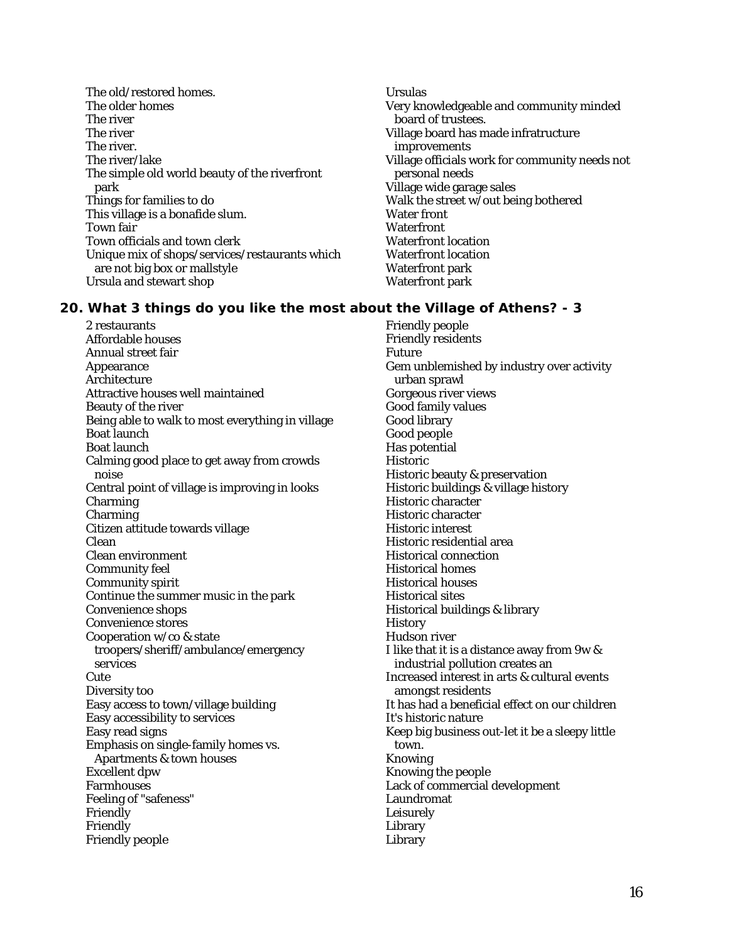The old/restored homes. The older homes The river The river The river. The river/lake The simple old world beauty of the riverfront park Things for families to do This village is a bonafide slum. Town fair Town officials and town clerk Unique mix of shops/services/restaurants which are not big box or mallstyle Ursula and stewart shop

2 restaurants Affordable houses Annual street fair Appearance Architecture Attractive houses well maintained Beauty of the river Being able to walk to most everything in village Boat launch Boat launch Calming good place to get away from crowds noise Central point of village is improving in looks Charming Charming Citizen attitude towards village Clean Clean environment Community feel Community spirit Continue the summer music in the park Convenience shops Convenience stores Cooperation w/co & state troopers/sheriff/ambulance/emergency services **Cute** Diversity too Easy access to town/village building Easy accessibility to services Easy read signs Emphasis on single-family homes vs. Apartments & town houses Excellent dpw **Farmhouses** Feeling of "safeness" Friendly Friendly Friendly people

Ursulas Very knowledgeable and community minded board of trustees. Village board has made infratructure improvements Village officials work for community needs not personal needs Village wide garage sales Walk the street w/out being bothered Water front **Waterfront** Waterfront location Waterfront location Waterfront park Waterfront park

## **20. What 3 things do you like the most about the Village of Athens? - 3**

Friendly people Friendly residents Future Gem unblemished by industry over activity urban sprawl Gorgeous river views Good family values Good library Good people Has potential Historic Historic beauty & preservation Historic buildings & village history Historic character Historic character Historic interest Historic residential area Historical connection Historical homes Historical houses Historical sites Historical buildings & library **History** Hudson river I like that it is a distance away from 9w & industrial pollution creates an Increased interest in arts & cultural events amongst residents It has had a beneficial effect on our children It's historic nature Keep big business out-let it be a sleepy little town. Knowing Knowing the people Lack of commercial development Laundromat Leisurely Library Library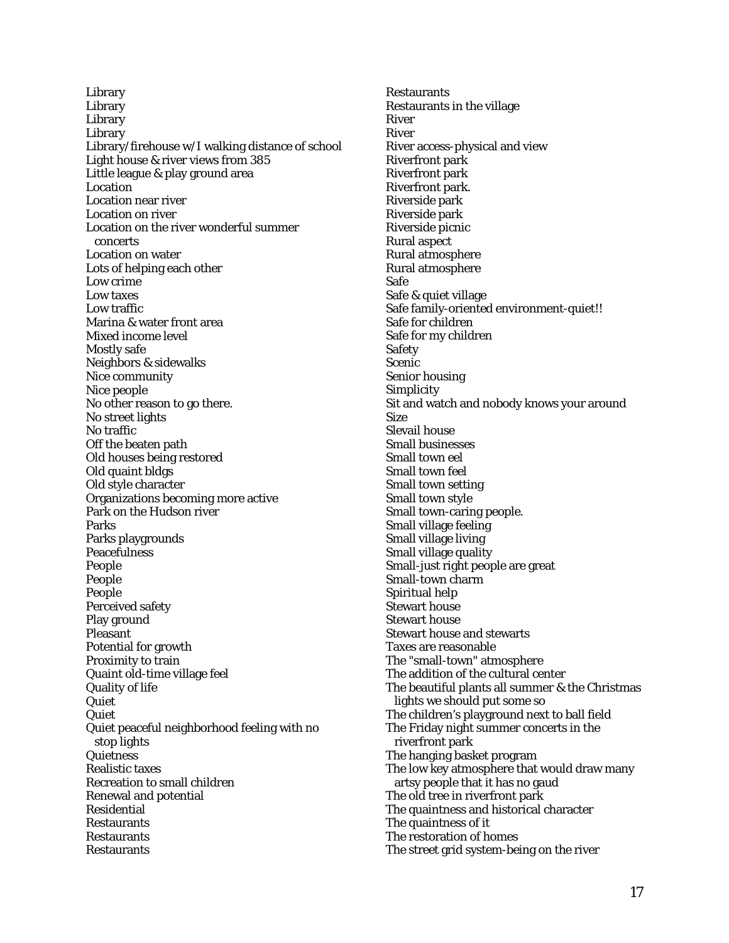Library **Library Library** Library Library/firehouse w/I walking distance of school Light house & river views from 385 Little league & play ground area **Location** Location near river Location on river Location on the river wonderful summer concerts Location on water Lots of helping each other Low crime Low taxes Low traffic Marina & water front area Mixed income level Mostly safe Neighbors & sidewalks Nice community Nice people No other reason to go there. No street lights No traffic Off the beaten path Old houses being restored Old quaint bldgs Old style character Organizations becoming more active Park on the Hudson river Parks Parks playgrounds **Peacefulness** People People People Perceived safety Play ground Pleasant Potential for growth Proximity to train Quaint old-time village feel Quality of life **Quiet** Quiet Quiet peaceful neighborhood feeling with no stop lights **Quietness** Realistic taxes Recreation to small children Renewal and potential Residential Restaurants Restaurants **Restaurants** 

**Restaurants** Restaurants in the village River River River access-physical and view Riverfront park Riverfront park Riverfront park. Riverside park Riverside park Riverside picnic Rural aspect Rural atmosphere Rural atmosphere Safe Safe & quiet village Safe family-oriented environment-quiet!! Safe for children Safe for my children Safety Scenic Senior housing **Simplicity** Sit and watch and nobody knows your around Size Slevail house Small businesses Small town eel Small town feel Small town setting Small town style Small town-caring people. Small village feeling Small village living Small village quality Small-just right people are great Small-town charm Spiritual help Stewart house Stewart house Stewart house and stewarts Taxes are reasonable The "small-town" atmosphere The addition of the cultural center The beautiful plants all summer & the Christmas lights we should put some so The children's playground next to ball field The Friday night summer concerts in the riverfront park The hanging basket program The low key atmosphere that would draw many artsy people that it has no gaud The old tree in riverfront park The quaintness and historical character The quaintness of it The restoration of homes The street grid system-being on the river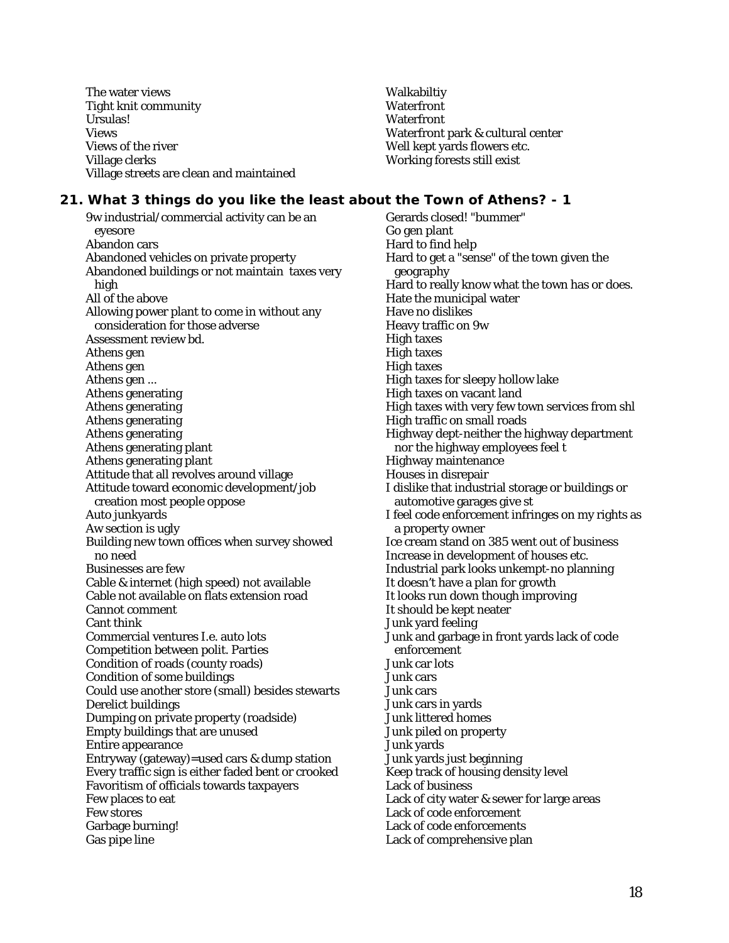The water views Tight knit community Ursulas! Views Views of the river Village clerks Village streets are clean and maintained Walkabiltiy **Waterfront Waterfront** Waterfront park & cultural center Well kept yards flowers etc. Working forests still exist

#### **21. What 3 things do you like the least about the Town of Athens? - 1**

9w industrial/commercial activity can be an eyesore Abandon cars Abandoned vehicles on private property Abandoned buildings or not maintain taxes very high All of the above Allowing power plant to come in without any consideration for those adverse Assessment review bd. Athens gen Athens gen Athens gen ... Athens generating Athens generating Athens generating Athens generating Athens generating plant Athens generating plant Attitude that all revolves around village Attitude toward economic development/job creation most people oppose Auto junkyards Aw section is ugly Building new town offices when survey showed no need Businesses are few Cable & internet (high speed) not available Cable not available on flats extension road Cannot comment Cant think Commercial ventures I.e. auto lots Competition between polit. Parties Condition of roads (county roads) Condition of some buildings Could use another store (small) besides stewarts Derelict buildings Dumping on private property (roadside) Empty buildings that are unused Entire appearance Entryway (gateway)=used cars & dump station Every traffic sign is either faded bent or crooked Favoritism of officials towards taxpayers Few places to eat Few stores Garbage burning! Gas pipe line

Gerards closed! "bummer" Go gen plant Hard to find help Hard to get a "sense" of the town given the geography Hard to really know what the town has or does. Hate the municipal water Have no dislikes Heavy traffic on 9w High taxes High taxes High taxes High taxes for sleepy hollow lake High taxes on vacant land High taxes with very few town services from shl High traffic on small roads Highway dept-neither the highway department nor the highway employees feel t Highway maintenance Houses in disrepair I dislike that industrial storage or buildings or automotive garages give st I feel code enforcement infringes on my rights as a property owner Ice cream stand on 385 went out of business Increase in development of houses etc. Industrial park looks unkempt-no planning It doesn't have a plan for growth It looks run down though improving It should be kept neater Junk yard feeling Junk and garbage in front yards lack of code enforcement Junk car lots Junk cars Junk cars Junk cars in yards Junk littered homes Junk piled on property Junk yards Junk yards just beginning Keep track of housing density level Lack of business Lack of city water & sewer for large areas Lack of code enforcement Lack of code enforcements Lack of comprehensive plan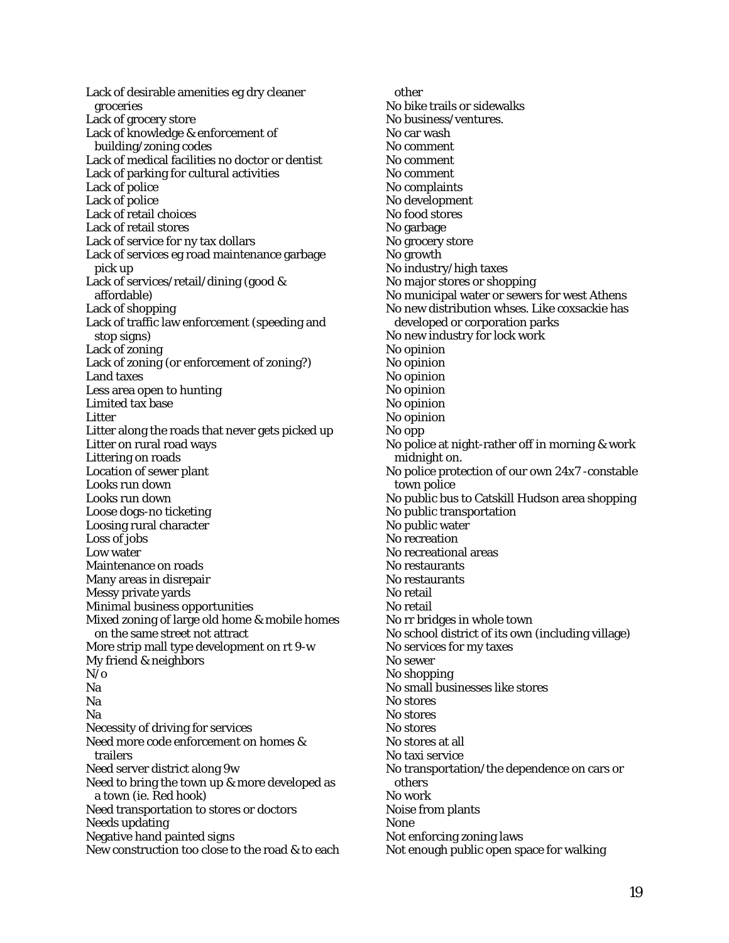Lack of desirable amenities eg dry cleaner groceries Lack of grocery store Lack of knowledge & enforcement of building/zoning codes Lack of medical facilities no doctor or dentist Lack of parking for cultural activities Lack of police Lack of police Lack of retail choices Lack of retail stores Lack of service for ny tax dollars Lack of services eg road maintenance garbage pick up Lack of services/retail/dining (good & affordable) Lack of shopping Lack of traffic law enforcement (speeding and stop signs) Lack of zoning Lack of zoning (or enforcement of zoning?) Land taxes Less area open to hunting Limited tax base Litter Litter along the roads that never gets picked up Litter on rural road ways Littering on roads Location of sewer plant Looks run down Looks run down Loose dogs-no ticketing Loosing rural character Loss of jobs Low water Maintenance on roads Many areas in disrepair Messy private yards Minimal business opportunities Mixed zoning of large old home & mobile homes on the same street not attract More strip mall type development on rt 9-w My friend & neighbors  $N_0$ Na Na Na Necessity of driving for services Need more code enforcement on homes & trailers Need server district along 9w Need to bring the town up & more developed as a town (ie. Red hook) Need transportation to stores or doctors Needs updating Negative hand painted signs New construction too close to the road & to each

other No bike trails or sidewalks No business/ventures. No car wash No comment No comment No comment No complaints No development No food stores No garbage No grocery store No growth No industry/high taxes No major stores or shopping No municipal water or sewers for west Athens No new distribution whses. Like coxsackie has developed or corporation parks No new industry for lock work No opinion No opinion No opinion No opinion No opinion No opinion No opp No police at night-rather off in morning & work midnight on. No police protection of our own 24x7 -constable town police No public bus to Catskill Hudson area shopping No public transportation No public water No recreation No recreational areas No restaurants No restaurants No retail No retail No rr bridges in whole town No school district of its own (including village) No services for my taxes No sewer No shopping No small businesses like stores No stores No stores No stores No stores at all No taxi service No transportation/the dependence on cars or others No work Noise from plants None Not enforcing zoning laws Not enough public open space for walking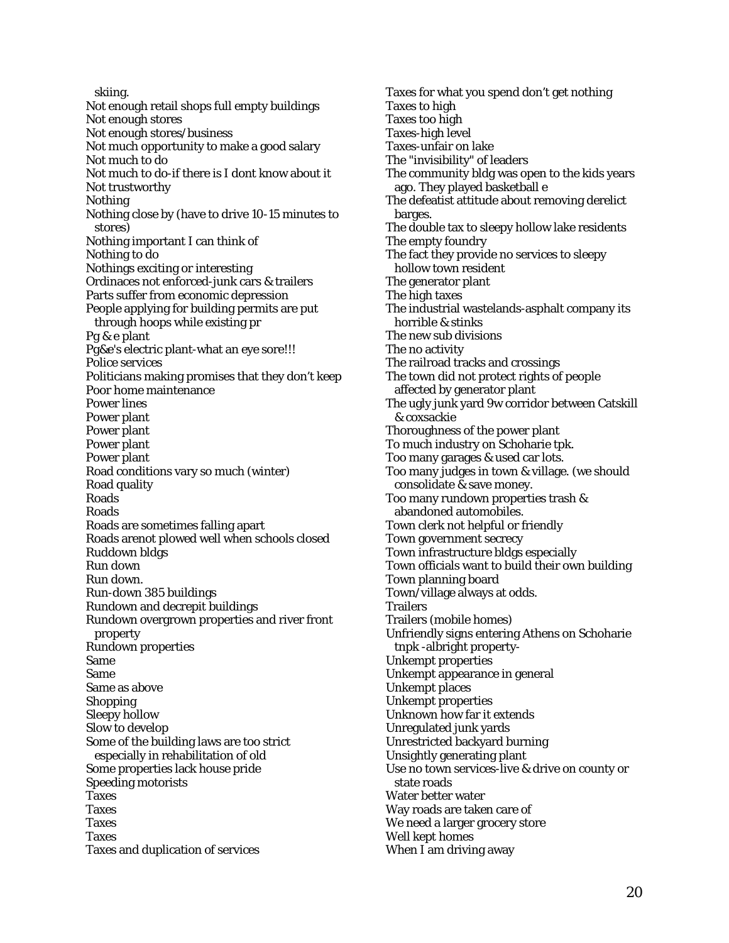skiing. Not enough retail shops full empty buildings Not enough stores Not enough stores/business Not much opportunity to make a good salary Not much to do Not much to do-if there is I dont know about it Not trustworthy Nothing Nothing close by (have to drive 10-15 minutes to stores) Nothing important I can think of Nothing to do Nothings exciting or interesting Ordinaces not enforced-junk cars & trailers Parts suffer from economic depression People applying for building permits are put through hoops while existing pr Pg & e plant Pg&e's electric plant-what an eye sore!!! Police services Politicians making promises that they don't keep Poor home maintenance Power lines Power plant Power plant Power plant Power plant Road conditions vary so much (winter) Road quality Roads Roads Roads are sometimes falling apart Roads arenot plowed well when schools closed Ruddown bldgs Run down Run down. Run-down 385 buildings Rundown and decrepit buildings Rundown overgrown properties and river front property Rundown properties Same Same Same as above Shopping Sleepy hollow Slow to develop Some of the building laws are too strict especially in rehabilitation of old Some properties lack house pride Speeding motorists **Taxes** Taxes Taxes Taxes Taxes and duplication of services

Taxes for what you spend don't get nothing Taxes to high Taxes too high Taxes-high level Taxes-unfair on lake The "invisibility" of leaders The community bldg was open to the kids years ago. They played basketball e The defeatist attitude about removing derelict barges. The double tax to sleepy hollow lake residents The empty foundry The fact they provide no services to sleepy hollow town resident The generator plant The high taxes The industrial wastelands-asphalt company its horrible & stinks The new sub divisions The no activity The railroad tracks and crossings The town did not protect rights of people affected by generator plant The ugly junk yard 9w corridor between Catskill & coxsackie Thoroughness of the power plant To much industry on Schoharie tpk. Too many garages & used car lots. Too many judges in town & village. (we should consolidate & save money. Too many rundown properties trash & abandoned automobiles. Town clerk not helpful or friendly Town government secrecy Town infrastructure bldgs especially Town officials want to build their own building Town planning board Town/village always at odds. **Trailers** Trailers (mobile homes) Unfriendly signs entering Athens on Schoharie tnpk -albright property-Unkempt properties Unkempt appearance in general Unkempt places Unkempt properties Unknown how far it extends Unregulated junk yards Unrestricted backyard burning Unsightly generating plant Use no town services-live & drive on county or state roads Water better water Way roads are taken care of We need a larger grocery store Well kept homes When I am driving away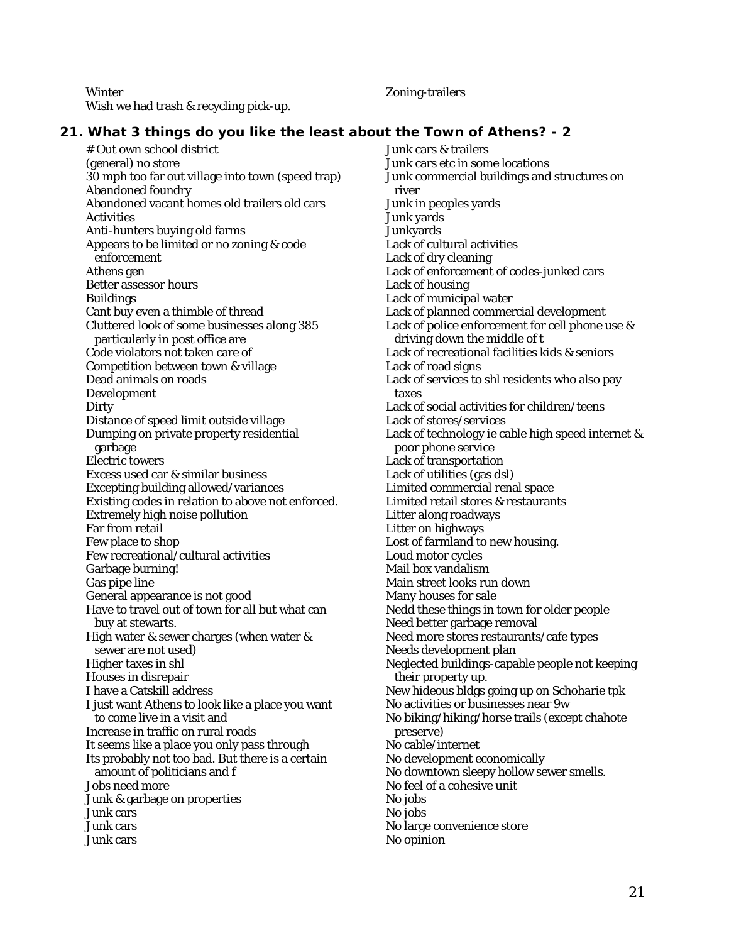**Winter** Wish we had trash & recycling pick-up.

Zoning-trailers

## **21. What 3 things do you like the least about the Town of Athens? - 2**

# Out own school district (general) no store 30 mph too far out village into town (speed trap) Abandoned foundry Abandoned vacant homes old trailers old cars **Activities** Anti-hunters buying old farms Appears to be limited or no zoning & code enforcement Athens gen Better assessor hours Buildings Cant buy even a thimble of thread Cluttered look of some businesses along 385 particularly in post office are Code violators not taken care of Competition between town & village Dead animals on roads Development **Dirty** Distance of speed limit outside village Dumping on private property residential garbage Electric towers Excess used car & similar business Excepting building allowed/variances Existing codes in relation to above not enforced. Extremely high noise pollution Far from retail Few place to shop Few recreational/cultural activities Garbage burning! Gas pipe line General appearance is not good Have to travel out of town for all but what can buy at stewarts. High water & sewer charges (when water & sewer are not used) Higher taxes in shl Houses in disrepair I have a Catskill address I just want Athens to look like a place you want to come live in a visit and Increase in traffic on rural roads It seems like a place you only pass through Its probably not too bad. But there is a certain amount of politicians and f Jobs need more Junk & garbage on properties Junk cars Junk cars Junk cars

Junk cars & trailers Junk cars etc in some locations Junk commercial buildings and structures on river Junk in peoples yards Junk yards **Junkyards** Lack of cultural activities Lack of dry cleaning Lack of enforcement of codes-junked cars Lack of housing Lack of municipal water Lack of planned commercial development Lack of police enforcement for cell phone use & driving down the middle of t Lack of recreational facilities kids & seniors Lack of road signs Lack of services to shl residents who also pay taxes Lack of social activities for children/teens Lack of stores/services Lack of technology ie cable high speed internet & poor phone service Lack of transportation Lack of utilities (gas dsl) Limited commercial renal space Limited retail stores & restaurants Litter along roadways Litter on highways Lost of farmland to new housing. Loud motor cycles Mail box vandalism Main street looks run down Many houses for sale Nedd these things in town for older people Need better garbage removal Need more stores restaurants/cafe types Needs development plan Neglected buildings-capable people not keeping their property up. New hideous bldgs going up on Schoharie tpk No activities or businesses near 9w No biking/hiking/horse trails (except chahote preserve) No cable/internet No development economically No downtown sleepy hollow sewer smells. No feel of a cohesive unit No jobs No jobs No large convenience store No opinion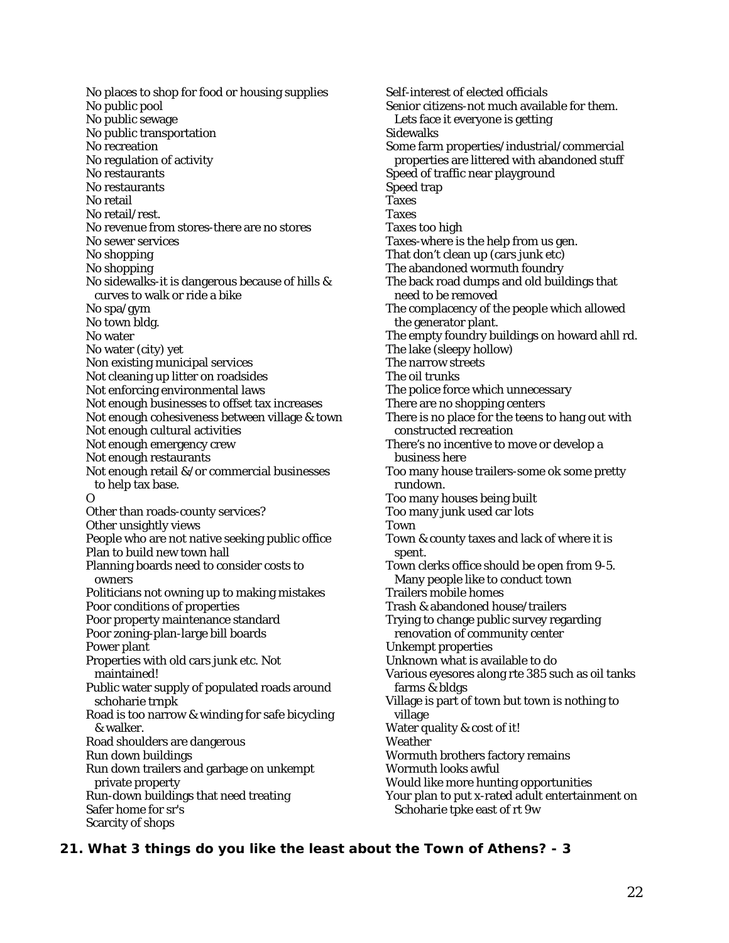No places to shop for food or housing supplies No public pool No public sewage No public transportation No recreation No regulation of activity No restaurants No restaurants No retail No retail/rest. No revenue from stores-there are no stores No sewer services No shopping No shopping No sidewalks-it is dangerous because of hills & curves to walk or ride a bike No spa/gym No town bldg. No water No water (city) yet Non existing municipal services Not cleaning up litter on roadsides Not enforcing environmental laws Not enough businesses to offset tax increases Not enough cohesiveness between village & town Not enough cultural activities Not enough emergency crew Not enough restaurants Not enough retail &/or commercial businesses to help tax base. O Other than roads-county services? Other unsightly views People who are not native seeking public office Plan to build new town hall Planning boards need to consider costs to owners Politicians not owning up to making mistakes Poor conditions of properties Poor property maintenance standard Poor zoning-plan-large bill boards Power plant Properties with old cars junk etc. Not maintained! Public water supply of populated roads around schoharie trnpk Road is too narrow & winding for safe bicycling & walker. Road shoulders are dangerous Run down buildings Run down trailers and garbage on unkempt private property Run-down buildings that need treating Safer home for sr's

Scarcity of shops

Self-interest of elected officials Senior citizens-not much available for them. Lets face it everyone is getting Sidewalks Some farm properties/industrial/commercial properties are littered with abandoned stuff Speed of traffic near playground Speed trap **Taxes** Taxes Taxes too high Taxes-where is the help from us gen. That don't clean up (cars junk etc) The abandoned wormuth foundry The back road dumps and old buildings that need to be removed The complacency of the people which allowed the generator plant. The empty foundry buildings on howard ahll rd. The lake (sleepy hollow) The narrow streets The oil trunks The police force which unnecessary There are no shopping centers There is no place for the teens to hang out with constructed recreation There's no incentive to move or develop a business here Too many house trailers-some ok some pretty rundown. Too many houses being built Too many junk used car lots Town Town & county taxes and lack of where it is spent. Town clerks office should be open from 9-5. Many people like to conduct town Trailers mobile homes Trash & abandoned house/trailers Trying to change public survey regarding renovation of community center Unkempt properties Unknown what is available to do Various eyesores along rte 385 such as oil tanks farms & bldgs Village is part of town but town is nothing to village Water quality & cost of it! Weather Wormuth brothers factory remains Wormuth looks awful Would like more hunting opportunities Your plan to put x-rated adult entertainment on Schoharie tpke east of rt 9w

#### **21. What 3 things do you like the least about the Town of Athens? - 3**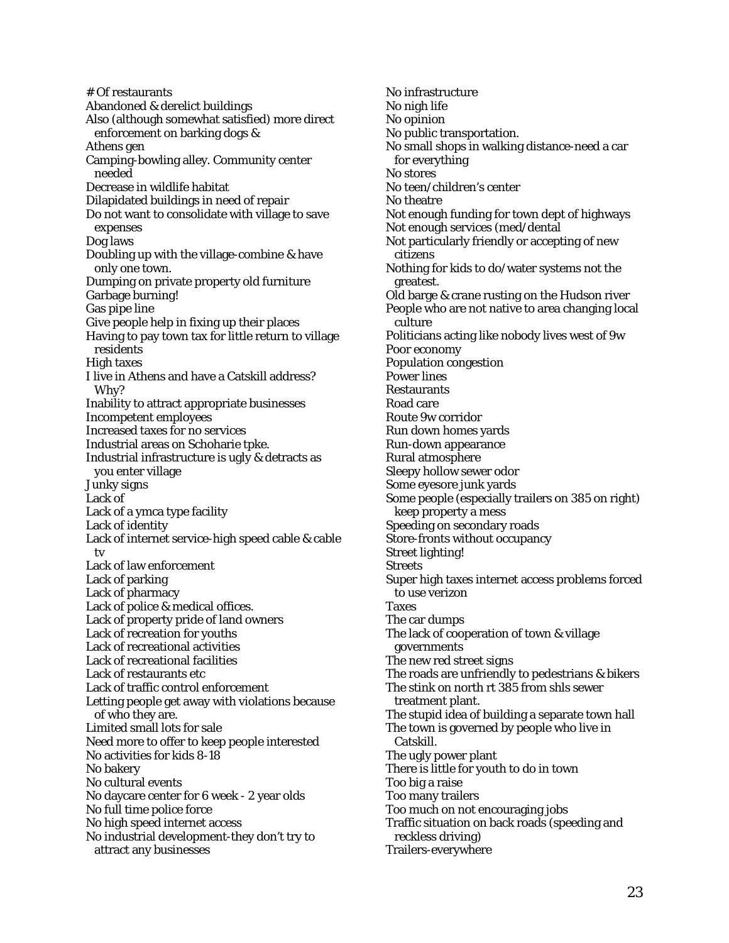# Of restaurants Abandoned & derelict buildings Also (although somewhat satisfied) more direct enforcement on barking dogs & Athens gen Camping-bowling alley. Community center needed Decrease in wildlife habitat Dilapidated buildings in need of repair Do not want to consolidate with village to save expenses Dog laws Doubling up with the village-combine & have only one town. Dumping on private property old furniture Garbage burning! Gas pipe line Give people help in fixing up their places Having to pay town tax for little return to village residents High taxes I live in Athens and have a Catskill address? Why? Inability to attract appropriate businesses Incompetent employees Increased taxes for no services Industrial areas on Schoharie tpke. Industrial infrastructure is ugly & detracts as you enter village Junky signs Lack of Lack of a ymca type facility Lack of identity Lack of internet service-high speed cable & cable tv Lack of law enforcement Lack of parking Lack of pharmacy Lack of police & medical offices. Lack of property pride of land owners Lack of recreation for youths Lack of recreational activities Lack of recreational facilities Lack of restaurants etc Lack of traffic control enforcement Letting people get away with violations because of who they are. Limited small lots for sale Need more to offer to keep people interested No activities for kids 8-18 No bakery No cultural events No daycare center for 6 week - 2 year olds No full time police force No high speed internet access No industrial development-they don't try to attract any businesses

No infrastructure No nigh life No opinion No public transportation. No small shops in walking distance-need a car for everything No stores No teen/children's center No theatre Not enough funding for town dept of highways Not enough services (med/dental Not particularly friendly or accepting of new citizens Nothing for kids to do/water systems not the greatest. Old barge & crane rusting on the Hudson river People who are not native to area changing local culture Politicians acting like nobody lives west of 9w Poor economy Population congestion Power lines **Restaurants** Road care Route 9w corridor Run down homes yards Run-down appearance Rural atmosphere Sleepy hollow sewer odor Some eyesore junk yards Some people (especially trailers on 385 on right) keep property a mess Speeding on secondary roads Store-fronts without occupancy Street lighting! **Streets** Super high taxes internet access problems forced to use verizon Taxes The car dumps The lack of cooperation of town & village governments The new red street signs The roads are unfriendly to pedestrians & bikers The stink on north rt 385 from shls sewer treatment plant. The stupid idea of building a separate town hall The town is governed by people who live in Catskill. The ugly power plant There is little for youth to do in town Too big a raise Too many trailers Too much on not encouraging jobs Traffic situation on back roads (speeding and reckless driving) Trailers-everywhere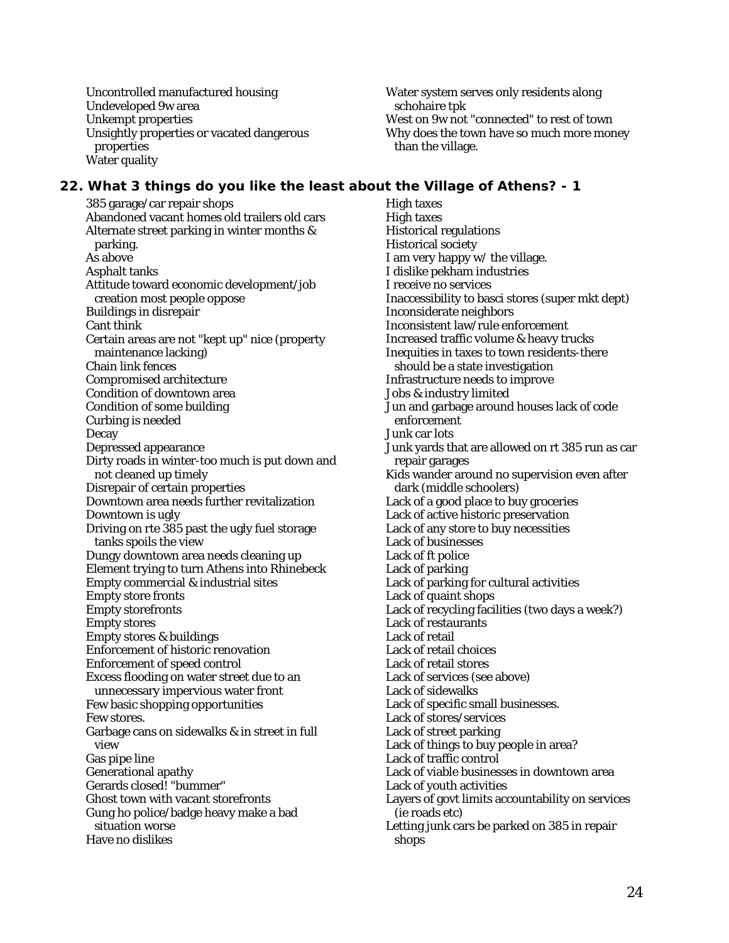Uncontrolled manufactured housing Undeveloped 9w area Unkempt properties Unsightly properties or vacated dangerous properties Water quality

Water system serves only residents along schohaire tpk West on 9w not "connected" to rest of town Why does the town have so much more money than the village.

## **22. What 3 things do you like the least about the Village of Athens? - 1**

385 garage/car repair shops Abandoned vacant homes old trailers old cars Alternate street parking in winter months & parking. As above Asphalt tanks Attitude toward economic development/job creation most people oppose Buildings in disrepair Cant think Certain areas are not "kept up" nice (property maintenance lacking) Chain link fences Compromised architecture Condition of downtown area Condition of some building Curbing is needed Decay Depressed appearance Dirty roads in winter-too much is put down and not cleaned up timely Disrepair of certain properties Downtown area needs further revitalization Downtown is ugly Driving on rte 385 past the ugly fuel storage tanks spoils the view Dungy downtown area needs cleaning up Element trying to turn Athens into Rhinebeck Empty commercial & industrial sites Empty store fronts Empty storefronts Empty stores Empty stores & buildings Enforcement of historic renovation Enforcement of speed control Excess flooding on water street due to an unnecessary impervious water front Few basic shopping opportunities Few stores. Garbage cans on sidewalks & in street in full view Gas pipe line Generational apathy Gerards closed! "bummer" Ghost town with vacant storefronts Gung ho police/badge heavy make a bad situation worse Have no dislikes

High taxes High taxes Historical regulations Historical society I am very happy w/ the village. I dislike pekham industries I receive no services Inaccessibility to basci stores (super mkt dept) Inconsiderate neighbors Inconsistent law/rule enforcement Increased traffic volume & heavy trucks Inequities in taxes to town residents-there should be a state investigation Infrastructure needs to improve Jobs & industry limited Jun and garbage around houses lack of code enforcement Junk car lots Junk yards that are allowed on rt 385 run as car repair garages Kids wander around no supervision even after dark (middle schoolers) Lack of a good place to buy groceries Lack of active historic preservation Lack of any store to buy necessities Lack of businesses Lack of ft police Lack of parking Lack of parking for cultural activities Lack of quaint shops Lack of recycling facilities (two days a week?) Lack of restaurants Lack of retail Lack of retail choices Lack of retail stores Lack of services (see above) Lack of sidewalks Lack of specific small businesses. Lack of stores/services Lack of street parking Lack of things to buy people in area? Lack of traffic control Lack of viable businesses in downtown area Lack of youth activities Layers of govt limits accountability on services (ie roads etc) Letting junk cars be parked on 385 in repair shops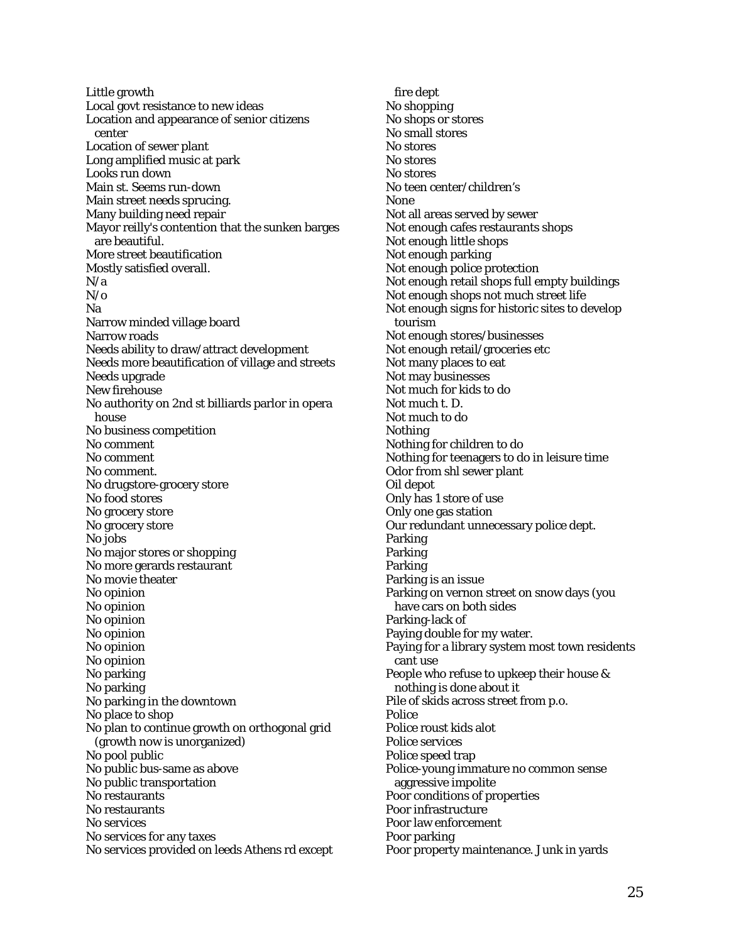Little growth Local govt resistance to new ideas Location and appearance of senior citizens center Location of sewer plant Long amplified music at park Looks run down Main st. Seems run-down Main street needs sprucing. Many building need repair Mayor reilly's contention that the sunken barges are beautiful. More street beautification Mostly satisfied overall. N/a  $N/\sigma$ Na Narrow minded village board Narrow roads Needs ability to draw/attract development Needs more beautification of village and streets Needs upgrade New firehouse No authority on 2nd st billiards parlor in opera house No business competition No comment No comment No comment. No drugstore-grocery store No food stores No grocery store No grocery store No jobs No major stores or shopping No more gerards restaurant No movie theater No opinion No opinion No opinion No opinion No opinion No opinion No parking No parking No parking in the downtown No place to shop No plan to continue growth on orthogonal grid (growth now is unorganized) No pool public No public bus-same as above No public transportation No restaurants No restaurants No services No services for any taxes No services provided on leeds Athens rd except

fire dept No shopping No shops or stores No small stores No stores No stores No stores No teen center/children's None Not all areas served by sewer Not enough cafes restaurants shops Not enough little shops Not enough parking Not enough police protection Not enough retail shops full empty buildings Not enough shops not much street life Not enough signs for historic sites to develop tourism Not enough stores/businesses Not enough retail/groceries etc Not many places to eat Not may businesses Not much for kids to do Not much t. D. Not much to do Nothing Nothing for children to do Nothing for teenagers to do in leisure time Odor from shl sewer plant Oil depot Only has 1 store of use Only one gas station Our redundant unnecessary police dept. **Parking** Parking Parking Parking is an issue Parking on vernon street on snow days (you have cars on both sides Parking-lack of Paying double for my water. Paying for a library system most town residents cant use People who refuse to upkeep their house & nothing is done about it Pile of skids across street from p.o. Police Police roust kids alot Police services Police speed trap Police-young immature no common sense aggressive impolite Poor conditions of properties Poor infrastructure Poor law enforcement Poor parking Poor property maintenance. Junk in yards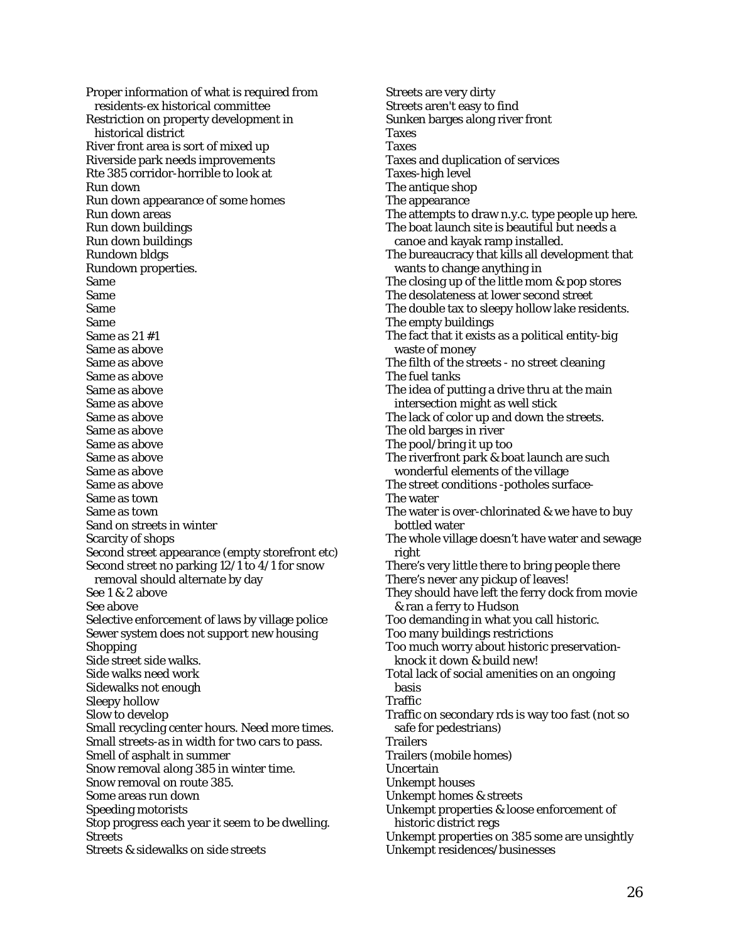Proper information of what is required from residents-ex historical committee Restriction on property development in historical district River front area is sort of mixed up Riverside park needs improvements Rte 385 corridor-horrible to look at Run down Run down appearance of some homes Run down areas Run down buildings Run down buildings Rundown bldgs Rundown properties. Same Same Same Same Same as 21 #1 Same as above Same as above Same as above Same as above Same as above Same as above Same as above Same as above Same as above Same as above Same as above Same as town Same as town Sand on streets in winter Scarcity of shops Second street appearance (empty storefront etc) Second street no parking 12/1 to 4/1 for snow removal should alternate by day See 1 & 2 above See above Selective enforcement of laws by village police Sewer system does not support new housing Shopping Side street side walks. Side walks need work Sidewalks not enough Sleepy hollow Slow to develop Small recycling center hours. Need more times. Small streets-as in width for two cars to pass. Smell of asphalt in summer Snow removal along 385 in winter time. Snow removal on route 385. Some areas run down Speeding motorists Stop progress each year it seem to be dwelling. **Streets** Streets & sidewalks on side streets

Streets are very dirty Streets aren't easy to find Sunken barges along river front Taxes Taxes Taxes and duplication of services Taxes-high level The antique shop The appearance The attempts to draw n.y.c. type people up here. The boat launch site is beautiful but needs a canoe and kayak ramp installed. The bureaucracy that kills all development that wants to change anything in The closing up of the little mom & pop stores The desolateness at lower second street The double tax to sleepy hollow lake residents. The empty buildings The fact that it exists as a political entity-big waste of money The filth of the streets - no street cleaning The fuel tanks The idea of putting a drive thru at the main intersection might as well stick The lack of color up and down the streets. The old barges in river The pool/bring it up too The riverfront park & boat launch are such wonderful elements of the village The street conditions -potholes surface-The water The water is over-chlorinated & we have to buy bottled water The whole village doesn't have water and sewage right There's very little there to bring people there There's never any pickup of leaves! They should have left the ferry dock from movie & ran a ferry to Hudson Too demanding in what you call historic. Too many buildings restrictions Too much worry about historic preservationknock it down & build new! Total lack of social amenities on an ongoing basis Traffic Traffic on secondary rds is way too fast (not so safe for pedestrians) **Trailers** Trailers (mobile homes) Uncertain Unkempt houses Unkempt homes & streets Unkempt properties & loose enforcement of historic district regs Unkempt properties on 385 some are unsightly

Unkempt residences/businesses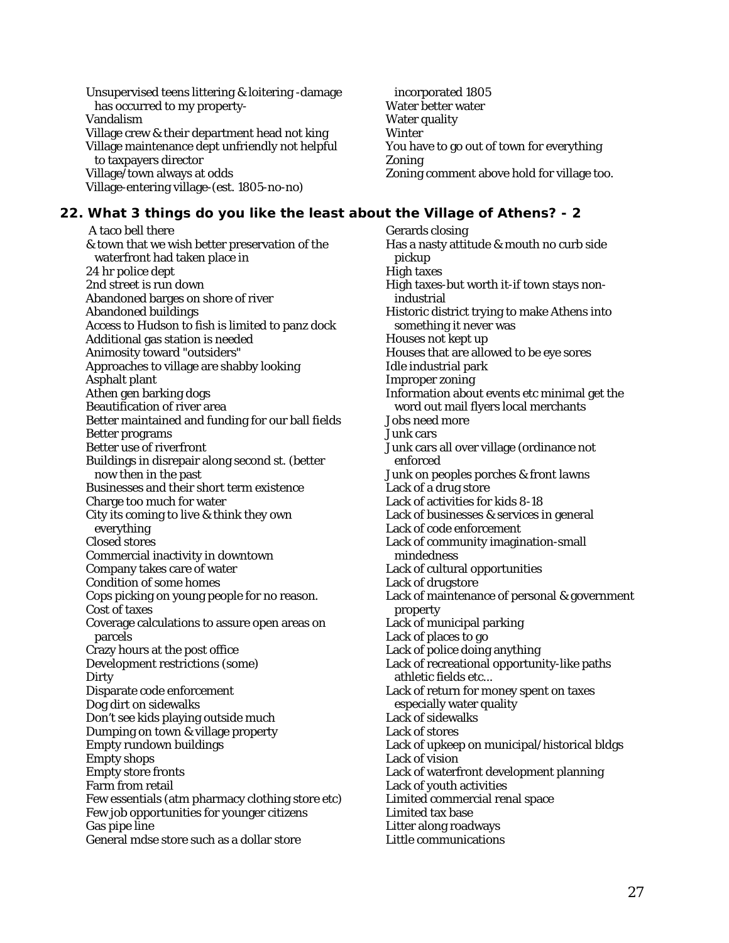Unsupervised teens littering & loitering -damage has occurred to my property-Vandalism Village crew & their department head not king Village maintenance dept unfriendly not helpful to taxpayers director Village/town always at odds Village-entering village-(est. 1805-no-no)

incorporated 1805 Water better water Water quality Winter You have to go out of town for everything Zoning Zoning comment above hold for village too.

## **22. What 3 things do you like the least about the Village of Athens? - 2**

 A taco bell there & town that we wish better preservation of the waterfront had taken place in 24 hr police dept 2nd street is run down Abandoned barges on shore of river Abandoned buildings Access to Hudson to fish is limited to panz dock Additional gas station is needed Animosity toward "outsiders" Approaches to village are shabby looking Asphalt plant Athen gen barking dogs Beautification of river area Better maintained and funding for our ball fields Better programs Better use of riverfront Buildings in disrepair along second st. (better now then in the past Businesses and their short term existence Charge too much for water City its coming to live & think they own everything Closed stores Commercial inactivity in downtown Company takes care of water Condition of some homes Cops picking on young people for no reason. Cost of taxes Coverage calculations to assure open areas on parcels Crazy hours at the post office Development restrictions (some) **Dirty** Disparate code enforcement Dog dirt on sidewalks Don't see kids playing outside much Dumping on town & village property Empty rundown buildings Empty shops Empty store fronts Farm from retail Few essentials (atm pharmacy clothing store etc) Few job opportunities for younger citizens Gas pipe line General mdse store such as a dollar store

Gerards closing Has a nasty attitude & mouth no curb side pickup High taxes High taxes-but worth it-if town stays nonindustrial Historic district trying to make Athens into something it never was Houses not kept up Houses that are allowed to be eye sores Idle industrial park Improper zoning Information about events etc minimal get the word out mail flyers local merchants Jobs need more Junk cars Junk cars all over village (ordinance not enforced Junk on peoples porches & front lawns Lack of a drug store Lack of activities for kids 8-18 Lack of businesses & services in general Lack of code enforcement Lack of community imagination-small mindedness Lack of cultural opportunities Lack of drugstore Lack of maintenance of personal & government property Lack of municipal parking Lack of places to go Lack of police doing anything Lack of recreational opportunity-like paths athletic fields etc... Lack of return for money spent on taxes especially water quality Lack of sidewalks Lack of stores Lack of upkeep on municipal/historical bldgs Lack of vision Lack of waterfront development planning Lack of youth activities Limited commercial renal space Limited tax base Litter along roadways Little communications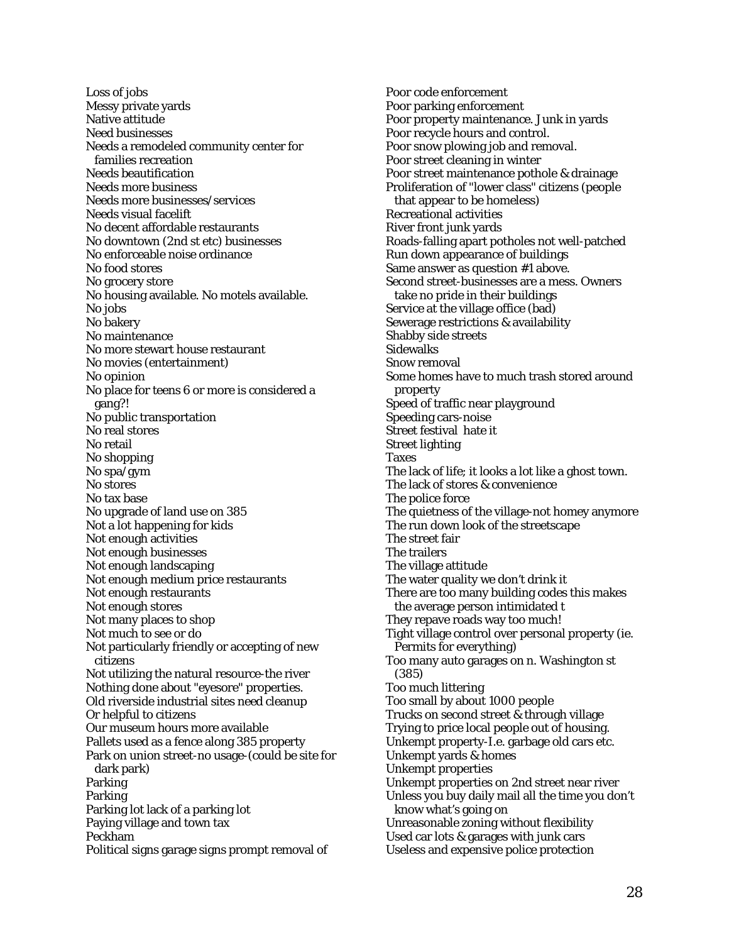Loss of jobs Messy private yards Native attitude Need businesses Needs a remodeled community center for families recreation Needs beautification Needs more business Needs more businesses/services Needs visual facelift No decent affordable restaurants No downtown (2nd st etc) businesses No enforceable noise ordinance No food stores No grocery store No housing available. No motels available. No jobs No bakery No maintenance No more stewart house restaurant No movies (entertainment) No opinion No place for teens 6 or more is considered a gang?! No public transportation No real stores No retail No shopping No spa/gym No stores No tax base No upgrade of land use on 385 Not a lot happening for kids Not enough activities Not enough businesses Not enough landscaping Not enough medium price restaurants Not enough restaurants Not enough stores Not many places to shop Not much to see or do Not particularly friendly or accepting of new citizens Not utilizing the natural resource-the river Nothing done about "eyesore" properties. Old riverside industrial sites need cleanup Or helpful to citizens Our museum hours more available Pallets used as a fence along 385 property Park on union street-no usage-(could be site for dark park) Parking Parking Parking lot lack of a parking lot Paying village and town tax Peckham Political signs garage signs prompt removal of

Poor code enforcement Poor parking enforcement Poor property maintenance. Junk in yards Poor recycle hours and control. Poor snow plowing job and removal. Poor street cleaning in winter Poor street maintenance pothole & drainage Proliferation of "lower class" citizens (people that appear to be homeless) Recreational activities River front junk yards Roads-falling apart potholes not well-patched Run down appearance of buildings Same answer as question #1 above. Second street-businesses are a mess. Owners take no pride in their buildings Service at the village office (bad) Sewerage restrictions & availability Shabby side streets Sidewalks Snow removal Some homes have to much trash stored around property Speed of traffic near playground Speeding cars-noise Street festival hate it Street lighting Taxes The lack of life; it looks a lot like a ghost town. The lack of stores & convenience The police force The quietness of the village-not homey anymore The run down look of the streetscape The street fair The trailers The village attitude The water quality we don't drink it There are too many building codes this makes the average person intimidated t They repave roads way too much! Tight village control over personal property (ie. Permits for everything) Too many auto garages on n. Washington st (385) Too much littering Too small by about 1000 people Trucks on second street & through village Trying to price local people out of housing. Unkempt property-I.e. garbage old cars etc. Unkempt yards & homes Unkempt properties Unkempt properties on 2nd street near river Unless you buy daily mail all the time you don't know what's going on Unreasonable zoning without flexibility Used car lots & garages with junk cars Useless and expensive police protection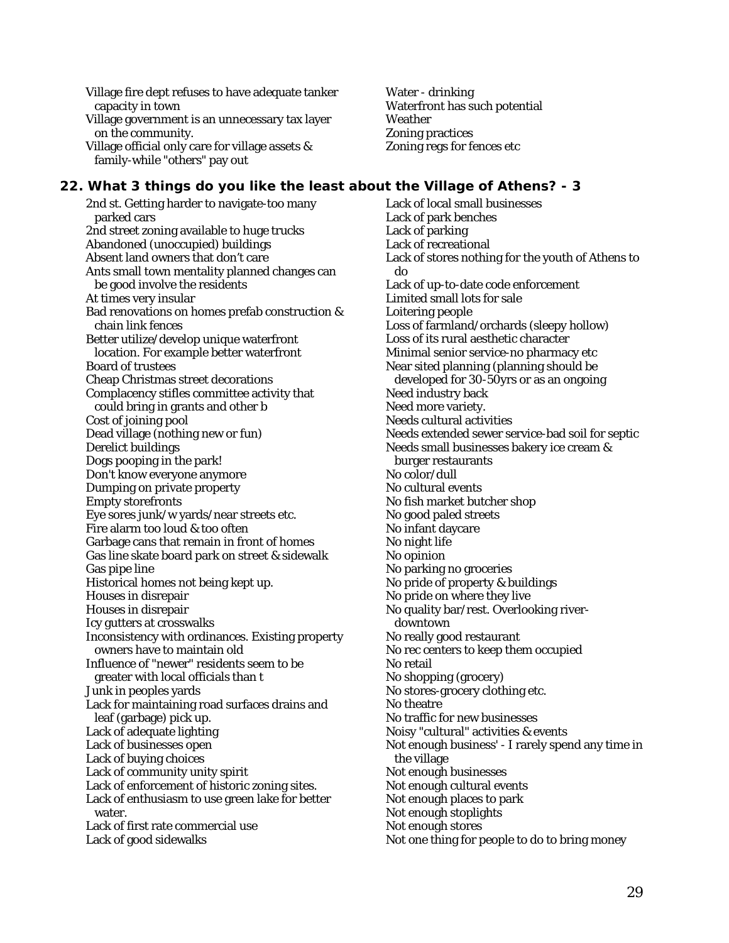Village fire dept refuses to have adequate tanker capacity in town

Village government is an unnecessary tax layer on the community.

Village official only care for village assets & family-while "others" pay out

Water - drinking Waterfront has such potential Weather Zoning practices Zoning regs for fences etc

# **22. What 3 things do you like the least about the Village of Athens? - 3**

2nd st. Getting harder to navigate-too many parked cars 2nd street zoning available to huge trucks Abandoned (unoccupied) buildings Absent land owners that don't care Ants small town mentality planned changes can be good involve the residents At times very insular Bad renovations on homes prefab construction & chain link fences Better utilize/develop unique waterfront location. For example better waterfront Board of trustees Cheap Christmas street decorations Complacency stifles committee activity that could bring in grants and other b Cost of joining pool Dead village (nothing new or fun) Derelict buildings Dogs pooping in the park! Don't know everyone anymore Dumping on private property Empty storefronts Eye sores junk/w yards/near streets etc. Fire alarm too loud & too often Garbage cans that remain in front of homes Gas line skate board park on street & sidewalk Gas pipe line Historical homes not being kept up. Houses in disrepair Houses in disrepair Icy gutters at crosswalks Inconsistency with ordinances. Existing property owners have to maintain old Influence of "newer" residents seem to be greater with local officials than t Junk in peoples yards Lack for maintaining road surfaces drains and leaf (garbage) pick up. Lack of adequate lighting Lack of businesses open Lack of buying choices Lack of community unity spirit Lack of enforcement of historic zoning sites. Lack of enthusiasm to use green lake for better water. Lack of first rate commercial use Lack of good sidewalks

Lack of local small businesses Lack of park benches Lack of parking Lack of recreational Lack of stores nothing for the youth of Athens to do Lack of up-to-date code enforcement Limited small lots for sale Loitering people Loss of farmland/orchards (sleepy hollow) Loss of its rural aesthetic character Minimal senior service-no pharmacy etc Near sited planning (planning should be developed for 30-50yrs or as an ongoing Need industry back Need more variety. Needs cultural activities Needs extended sewer service-bad soil for septic Needs small businesses bakery ice cream & burger restaurants No color/dull No cultural events No fish market butcher shop No good paled streets No infant daycare No night life No opinion No parking no groceries No pride of property & buildings No pride on where they live No quality bar/rest. Overlooking riverdowntown No really good restaurant No rec centers to keep them occupied No retail No shopping (grocery) No stores-grocery clothing etc. No theatre No traffic for new businesses Noisy "cultural" activities & events Not enough business' - I rarely spend any time in the village Not enough businesses Not enough cultural events Not enough places to park Not enough stoplights Not enough stores Not one thing for people to do to bring money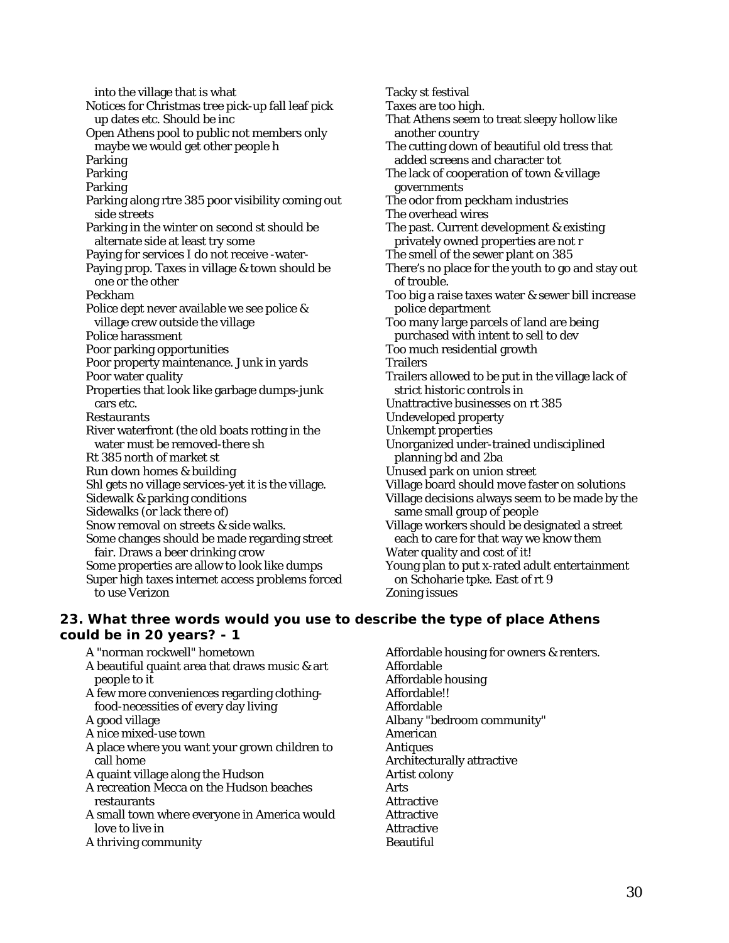into the village that is what Notices for Christmas tree pick-up fall leaf pick up dates etc. Should be inc Open Athens pool to public not members only maybe we would get other people h Parking Parking Parking Parking along rtre 385 poor visibility coming out side streets Parking in the winter on second st should be alternate side at least try some Paying for services I do not receive -water-Paying prop. Taxes in village & town should be one or the other Peckham Police dept never available we see police & village crew outside the village Police harassment Poor parking opportunities Poor property maintenance. Junk in yards Poor water quality Properties that look like garbage dumps-junk cars etc. Restaurants River waterfront (the old boats rotting in the water must be removed-there sh Rt 385 north of market st Run down homes & building Shl gets no village services-yet it is the village. Sidewalk & parking conditions Sidewalks (or lack there of) Snow removal on streets & side walks. Some changes should be made regarding street fair. Draws a beer drinking crow Some properties are allow to look like dumps Super high taxes internet access problems forced Tacky st festival Taxes are too high. That Athens seem to treat sleepy hollow like another country The cutting down of beautiful old tress that added screens and character tot The lack of cooperation of town & village governments The odor from peckham industries The overhead wires The past. Current development & existing privately owned properties are not r The smell of the sewer plant on 385 There's no place for the youth to go and stay out of trouble. Too big a raise taxes water & sewer bill increase police department Too many large parcels of land are being purchased with intent to sell to dev Too much residential growth **Trailers** Trailers allowed to be put in the village lack of strict historic controls in Unattractive businesses on rt 385 Undeveloped property Unkempt properties Unorganized under-trained undisciplined planning bd and 2ba Unused park on union street Village board should move faster on solutions Village decisions always seem to be made by the same small group of people Village workers should be designated a street each to care for that way we know them Water quality and cost of it! Young plan to put x-rated adult entertainment on Schoharie tpke. East of rt 9 Zoning issues

## **23. What three words would you use to describe the type of place Athens could be in 20 years? - 1**

- A "norman rockwell" hometown
- A beautiful quaint area that draws music & art people to it
- A few more conveniences regarding clothingfood-necessities of every day living
- A good village

to use Verizon

- A nice mixed-use town
- A place where you want your grown children to call home
- A quaint village along the Hudson
- A recreation Mecca on the Hudson beaches restaurants
- A small town where everyone in America would love to live in
- A thriving community

Affordable housing for owners & renters. Affordable Affordable housing Affordable!! Affordable Albany "bedroom community" American Antiques Architecturally attractive Artist colony Arts Attractive **Attractive** Attractive Beautiful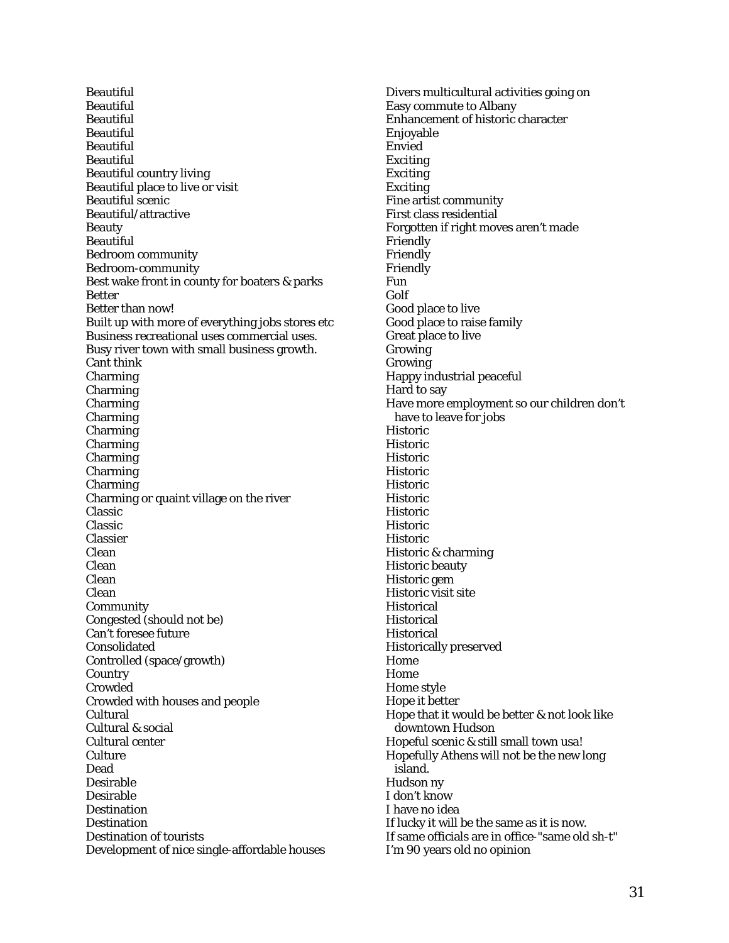Beautiful Beautiful Beautiful Beautiful Beautiful **Beautiful** Beautiful country living Beautiful place to live or visit Beautiful scenic Beautiful/attractive Beauty Beautiful Bedroom community Bedroom-community Best wake front in county for boaters & parks Better Better than now! Built up with more of everything jobs stores etc Business recreational uses commercial uses. Busy river town with small business growth. Cant think Charming Charming Charming Charming Charming Charming Charming Charming Charming Charming or quaint village on the river Classic Classic Classier Clean Clean Clean Clean Community Congested (should not be) Can't foresee future Consolidated Controlled (space/growth) **Country** Crowded Crowded with houses and people Cultural Cultural & social Cultural center **Culture** Dead Desirable Desirable **Destination Destination** Destination of tourists Development of nice single-affordable houses

Divers multicultural activities going on Easy commute to Albany Enhancement of historic character Enjoyable Envied Exciting Exciting Exciting Fine artist community First class residential Forgotten if right moves aren't made Friendly Friendly Friendly Fun Golf Good place to live Good place to raise family Great place to live Growing Growing Happy industrial peaceful Hard to say Have more employment so our children don't have to leave for jobs Historic **Historic** Historic Historic Historic Historic Historic Historic Historic Historic & charming Historic beauty Historic gem Historic visit site **Historical Historical Historical** Historically preserved Home Home Home style Hope it better Hope that it would be better & not look like downtown Hudson Hopeful scenic & still small town usa! Hopefully Athens will not be the new long island. Hudson ny I don't know I have no idea If lucky it will be the same as it is now. If same officials are in office-"same old sh-t" I'm 90 years old no opinion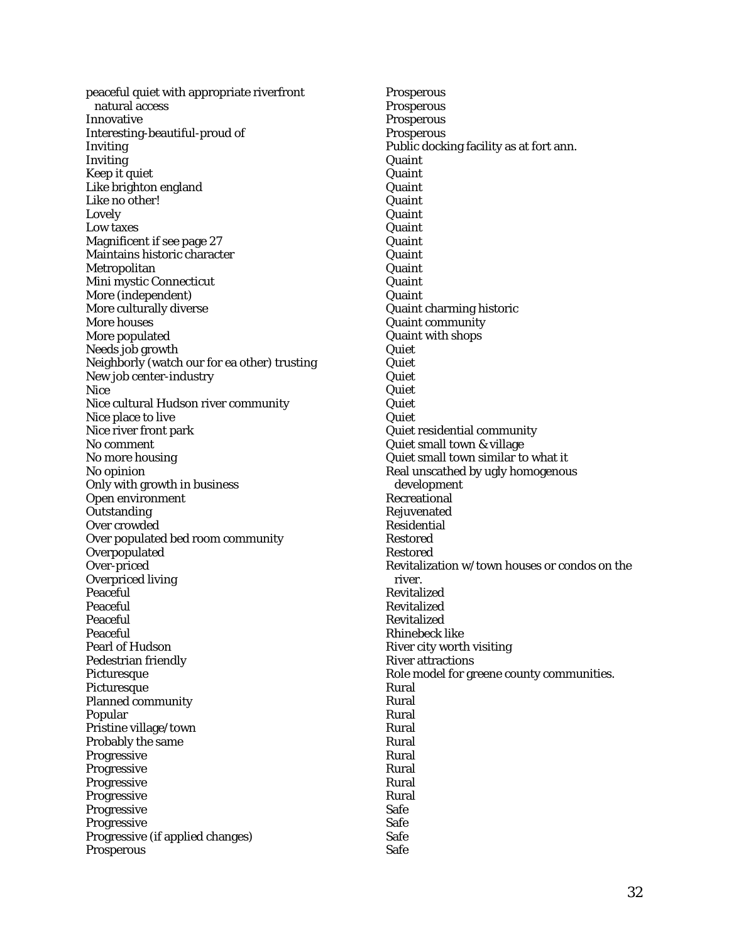peaceful quiet with appropriate riverfront natural access Innovative Interesting-beautiful-proud of Inviting Inviting Keep it quiet Like brighton england Like no other! Lovely Low taxes Magnificent if see page 27 Maintains historic character Metropolitan Mini mystic Connecticut More (independent) More culturally diverse More houses More populated Needs job growth Neighborly (watch our for ea other) trusting New job center-industry Nice Nice cultural Hudson river community Nice place to live Nice river front park No comment No more housing No opinion Only with growth in business Open environment **Outstanding** Over crowded Over populated bed room community **Overpopulated** Over-priced Overpriced living Peaceful Peaceful Peaceful Peaceful Pearl of Hudson Pedestrian friendly Picturesque Picturesque Planned community Popular Pristine village/town Probably the same Progressive Progressive Progressive Progressive Progressive Progressive Progressive (if applied changes) Prosperous

Prosperous **Prosperous Prosperous Prosperous** Public docking facility as at fort ann. **Quaint** Quaint Quaint Quaint **Quaint** Quaint Quaint **Quaint Quaint** Quaint **Quaint** Quaint charming historic Quaint community Quaint with shops **Quiet Quiet Quiet** Quiet Quiet Quiet Quiet residential community Quiet small town & village Quiet small town similar to what it Real unscathed by ugly homogenous development Recreational Rejuvenated Residential Restored Restored Revitalization w/town houses or condos on the river. Revitalized Revitalized Revitalized Rhinebeck like River city worth visiting River attractions Role model for greene county communities. Rural Rural Rural Rural Rural Rural Rural Rural Rural Safe Safe Safe Safe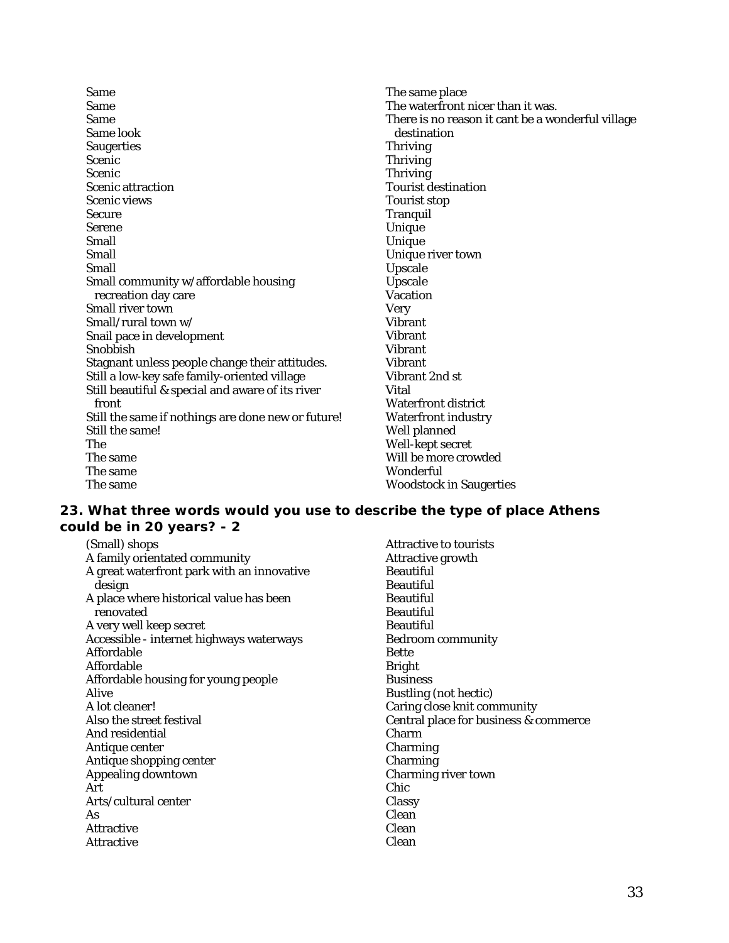| <b>Same</b>                                        | The same place                                    |
|----------------------------------------------------|---------------------------------------------------|
| <b>Same</b>                                        | The waterfront nicer than it was.                 |
| <b>Same</b>                                        | There is no reason it cant be a wonderful village |
| Same look                                          | destination                                       |
| <b>Saugerties</b>                                  | <b>Thriving</b>                                   |
| <b>Scenic</b>                                      | <b>Thriving</b>                                   |
| <b>Scenic</b>                                      | <b>Thriving</b>                                   |
| <b>Scenic attraction</b>                           | <b>Tourist destination</b>                        |
| <b>Scenic views</b>                                | <b>Tourist stop</b>                               |
| <b>Secure</b>                                      | <b>Tranquil</b>                                   |
| <b>Serene</b>                                      | Unique                                            |
| Small                                              | Unique                                            |
| Small                                              | Unique river town                                 |
| Small                                              | <b>Upscale</b>                                    |
| Small community w/affordable housing               | Upscale                                           |
| recreation day care                                | <b>Vacation</b>                                   |
| <b>Small river town</b>                            | <b>Very</b>                                       |
| Small/rural town w/                                | <b>Vibrant</b>                                    |
| Snail pace in development                          | <b>Vibrant</b>                                    |
| Snobbish                                           | <b>Vibrant</b>                                    |
| Stagnant unless people change their attitudes.     | <b>Vibrant</b>                                    |
| Still a low-key safe family-oriented village       | Vibrant 2nd st                                    |
| Still beautiful & special and aware of its river   | Vital                                             |
| front                                              | <b>Waterfront district</b>                        |
| Still the same if nothings are done new or future! | <b>Waterfront industry</b>                        |
| Still the same!                                    | Well planned                                      |
| The                                                | Well-kept secret                                  |
| The same                                           | Will be more crowded                              |
| The same                                           | Wonderful                                         |
| The same                                           | <b>Woodstock in Saugerties</b>                    |

## **23. What three words would you use to describe the type of place Athens could be in 20 years? - 2**

(Small) shops A family orientated community A great waterfront park with an innovative design A place where historical value has been renovated A very well keep secret Accessible - internet highways waterways Affordable Affordable Affordable housing for young people Alive A lot cleaner! Also the street festival And residential Antique center Antique shopping center Appealing downtown Art Arts/cultural center As Attractive Attractive Attractive to tourists Attractive growth Beautiful Beautiful **Beautiful** Beautiful Beautiful Bedroom community Bette Bright **Business** Bustling (not hectic) Caring close knit community Central place for business & commerce Charm Charming Charming Charming river town Chic **Classy** Clean Clean Clean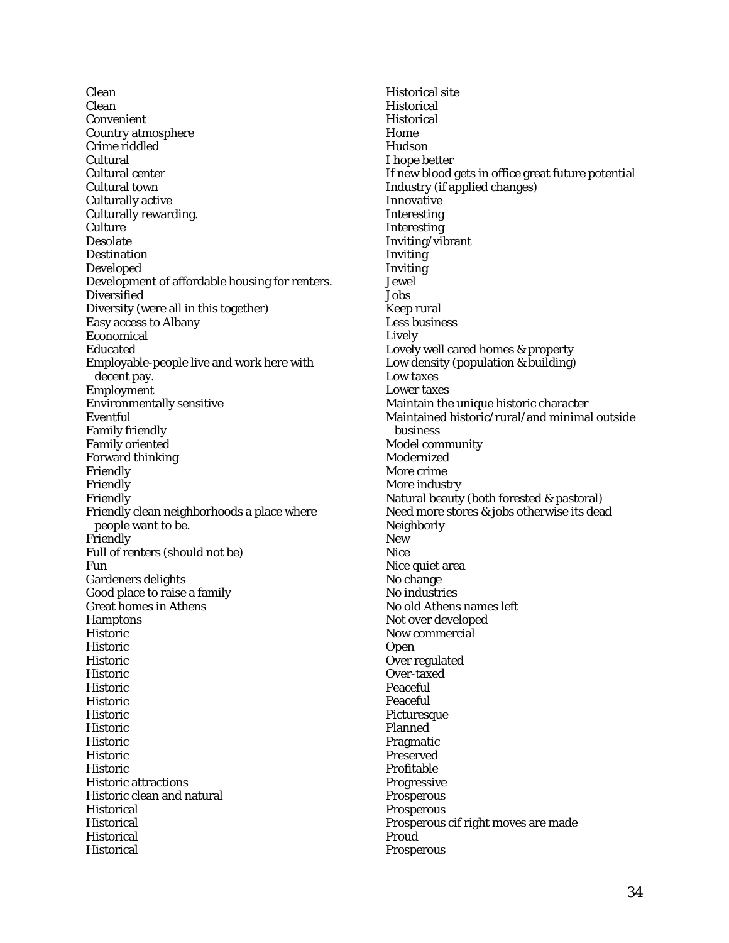Clean Clean Convenient Country atmosphere Crime riddled Cultural Cultural center Cultural town Culturally active Culturally rewarding. **Culture** Desolate **Destination** Developed Development of affordable housing for renters. Diversified Diversity (were all in this together) Easy access to Albany Economical Educated Employable-people live and work here with decent pay. Employment Environmentally sensitive Eventful Family friendly Family oriented Forward thinking Friendly Friendly Friendly Friendly clean neighborhoods a place where people want to be. Friendly Full of renters (should not be) Fun Gardeners delights Good place to raise a family Great homes in Athens **Hamptons** Historic Historic Historic Historic Historic Historic **Historic** Historic Historic Historic Historic Historic attractions Historic clean and natural **Historical Historical Historical** Historical

Historical site **Historical Historical** Home Hudson I hope better If new blood gets in office great future potential Industry (if applied changes) Innovative Interesting Interesting Inviting/vibrant Inviting Inviting Jewel Jobs Keep rural Less business Lively Lovely well cared homes & property Low density (population & building) Low taxes Lower taxes Maintain the unique historic character Maintained historic/rural/and minimal outside business Model community Modernized More crime More industry Natural beauty (both forested & pastoral) Need more stores & jobs otherwise its dead **Neighborly** New Nice Nice quiet area No change No industries No old Athens names left Not over developed Now commercial Open Over regulated Over-taxed Peaceful Peaceful **Picturesque** Planned Pragmatic Preserved Profitable **Progressive** Prosperous Prosperous Prosperous cif right moves are made Proud Prosperous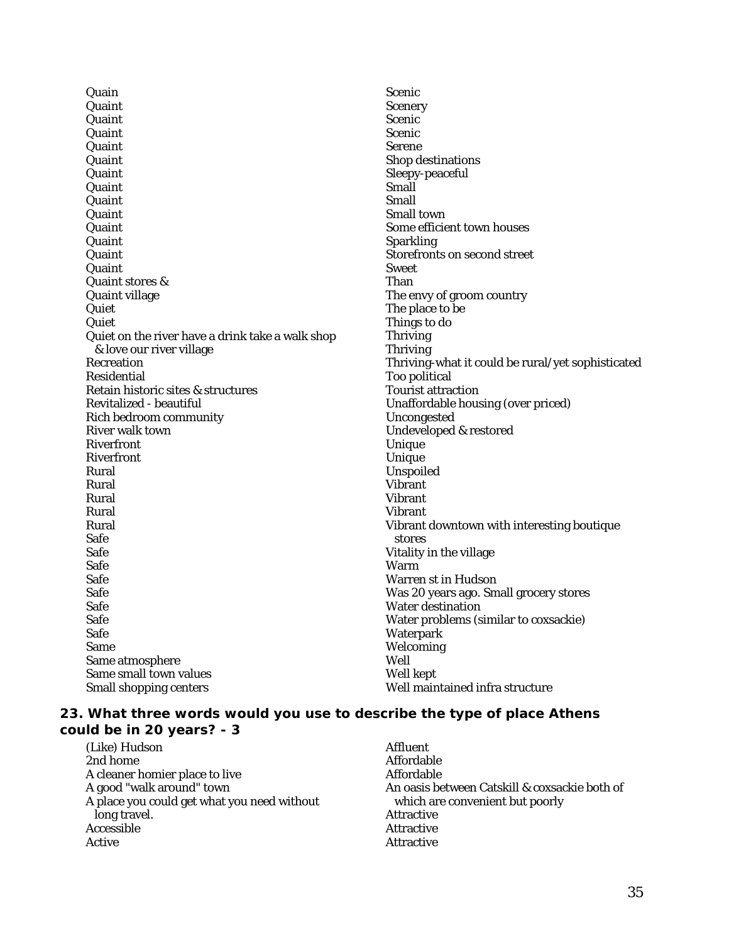**Quain** Quaint Quaint Quaint Quaint **Quaint** Quaint **Quaint** Quaint Quaint Quaint **Quaint Quaint Quaint** Quaint stores & Quaint village Quiet Quiet Quiet on the river have a drink take a walk shop & love our river village Recreation Residential Retain historic sites & structures Revitalized - beautiful Rich bedroom community River walk town Riverfront Riverfront Rural Rural Rural Rural Rural Safe Safe Safe Safe Safe Safe Safe Safe Same Same atmosphere Same small town values Small shopping centers

Scenic Scenery Scenic<sup>1</sup> Scenic Serene Shop destinations Sleepy-peaceful Small Small Small town Some efficient town houses Sparkling Storefronts on second street Sweet Than The envy of groom country The place to be Things to do Thriving **Thriving** Thriving-what it could be rural/yet sophisticated Too political Tourist attraction Unaffordable housing (over priced) Uncongested Undeveloped & restored Unique Unique Unspoiled Vibrant Vibrant Vibrant Vibrant downtown with interesting boutique stores Vitality in the village Warm<sup>1</sup> Warren st in Hudson Was 20 years ago. Small grocery stores Water destination Water problems (similar to coxsackie) **Waterpark** Welcoming Well Well kept Well maintained infra structure

## **23. What three words would you use to describe the type of place Athens could be in 20 years? - 3**

(Like) Hudson 2nd home A cleaner homier place to live A good "walk around" town A place you could get what you need without long travel. **Accessible** Active

Affluent Affordable Affordable An oasis between Catskill & coxsackie both of which are convenient but poorly Attractive Attractive Attractive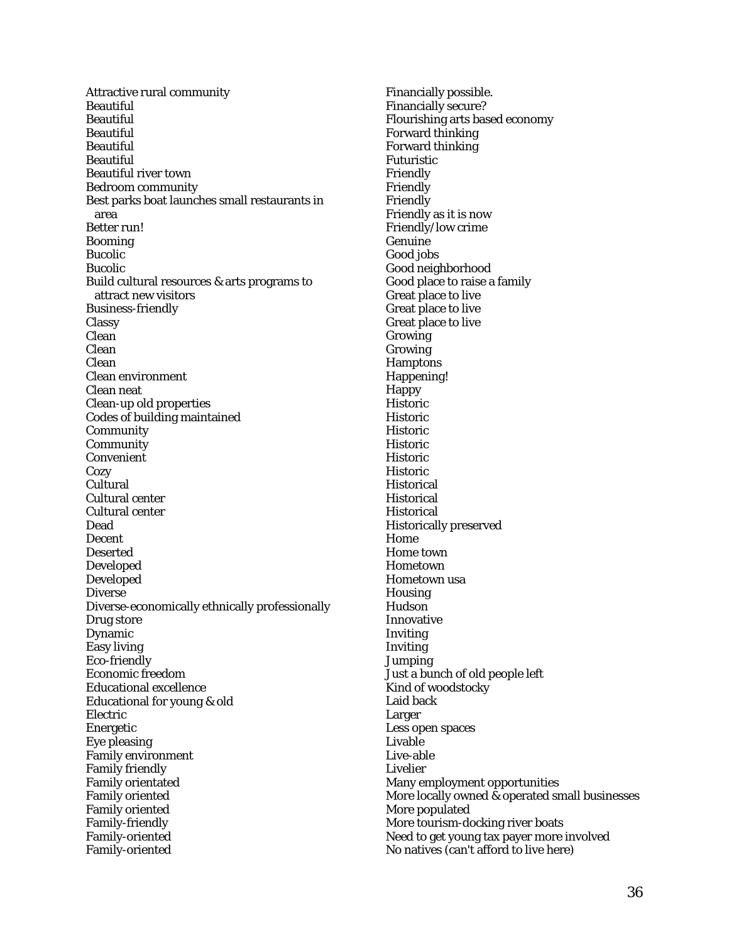Attractive rural community Beautiful Beautiful **Beautiful** Beautiful Beautiful Beautiful river town Bedroom community Best parks boat launches small restaurants in area Better run! Booming Bucolic Bucolic Build cultural resources & arts programs to attract new visitors Business-friendly Classy Clean Clean Clean Clean environment Clean neat Clean-up old properties Codes of building maintained Community **Community** Convenient **Cozy** Cultural Cultural center Cultural center Dead Decent Deserted Developed Developed Diverse Diverse-economically ethnically professionally Drug store Dynamic Easy living Eco-friendly Economic freedom Educational excellence Educational for young & old Electric Energetic Eye pleasing Family environment Family friendly Family orientated Family oriented Family oriented Family-friendly Family-oriented Family-oriented

Financially possible. Financially secure? Flourishing arts based economy Forward thinking Forward thinking Futuristic Friendly Friendly Friendly Friendly as it is now Friendly/low crime Genuine Good jobs Good neighborhood Good place to raise a family Great place to live Great place to live Great place to live Growing Growing **Hamptons** Happening! Happy Historic Historic Historic **Historic** Historic Historic **Historical** Historical **Historical** Historically preserved Home Home town Hometown Hometown usa **Housing** Hudson Innovative Inviting Inviting **Jumping** Just a bunch of old people left Kind of woodstocky Laid back Larger Less open spaces Livable Live-able Livelier Many employment opportunities More locally owned & operated small businesses More populated More tourism-docking river boats Need to get young tax payer more involved No natives (can't afford to live here)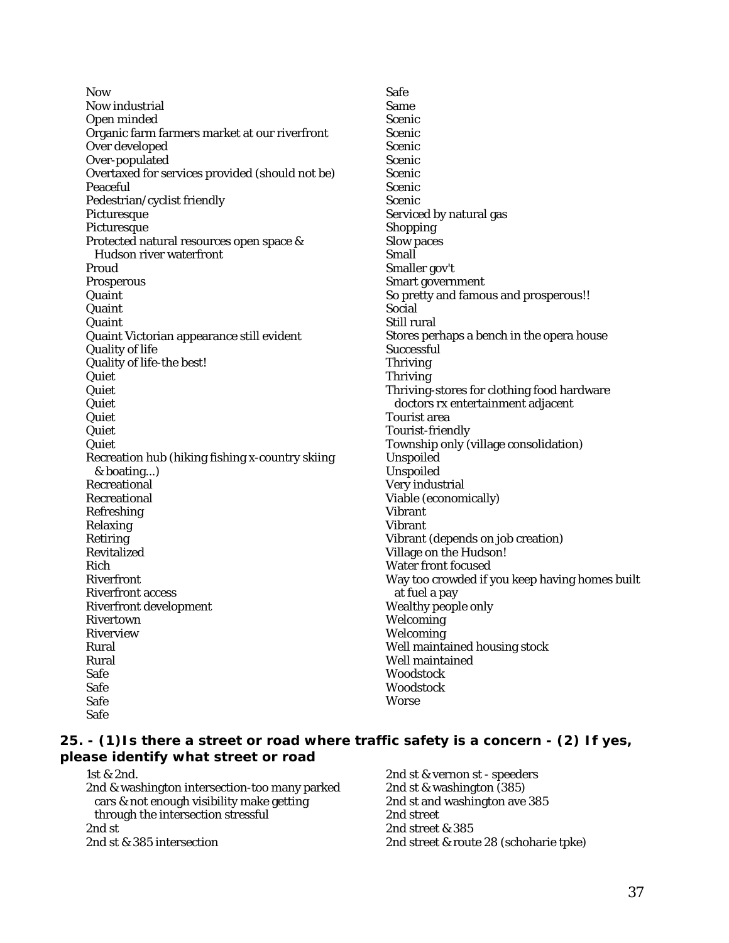Now Now industrial Open minded Organic farm farmers market at our riverfront Over developed Over-populated Overtaxed for services provided (should not be) Peaceful Pedestrian/cyclist friendly **Picturesque** Picturesque Protected natural resources open space & Hudson river waterfront Proud Prosperous Quaint Quaint Quaint Quaint Victorian appearance still evident Quality of life Quality of life-the best! Quiet **Quiet** Quiet Quiet **Quiet Quiet** Recreation hub (hiking fishing x-country skiing & boating...) Recreational Recreational Refreshing Relaxing Retiring Revitalized Rich Riverfront Riverfront access Riverfront development Rivertown Riverview Rural Rural Safe Safe Safe Safe

Safe Same Scenic Scenic Scenic Scenic Scenic **Scenic** Scenic Serviced by natural gas Shopping Slow paces Small Smaller gov't Smart government So pretty and famous and prosperous!! Social Still rural Stores perhaps a bench in the opera house **Successful** Thriving Thriving Thriving-stores for clothing food hardware doctors rx entertainment adjacent Tourist area Tourist-friendly Township only (village consolidation) Unspoiled Unspoiled Very industrial Viable (economically) Vibrant Vibrant Vibrant (depends on job creation) Village on the Hudson! Water front focused Way too crowded if you keep having homes built at fuel a pay Wealthy people only **Welcoming Welcoming** Well maintained housing stock Well maintained Woodstock Woodstock Worse

#### **25. - (1)Is there a street or road where traffic safety is a concern - (2) If yes, please identify what street or road**

1st & 2nd. 2nd & washington intersection-too many parked cars & not enough visibility make getting through the intersection stressful 2nd st 2nd st & 385 intersection

2nd st & vernon st - speeders 2nd st & washington (385) 2nd st and washington ave 385 2nd street 2nd street & 385 2nd street & route 28 (schoharie tpke)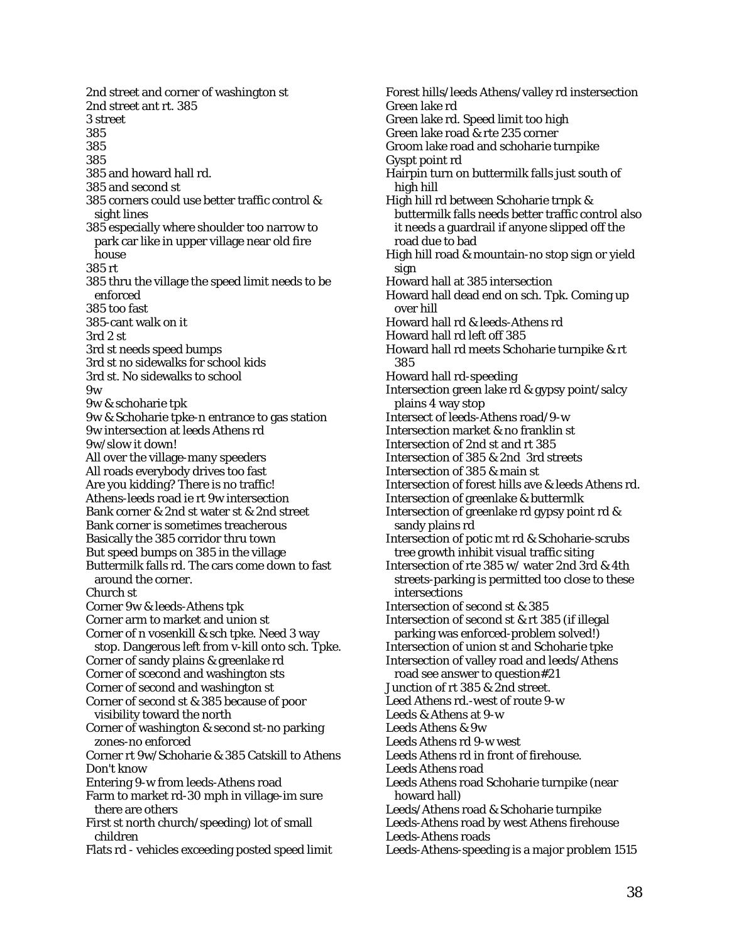2nd street and corner of washington st 2nd street ant rt. 385 3 street 385 385 385 385 and howard hall rd. 385 and second st 385 corners could use better traffic control & sight lines 385 especially where shoulder too narrow to park car like in upper village near old fire **house** 385 rt 385 thru the village the speed limit needs to be enforced 385 too fast 385-cant walk on it 3rd 2 st 3rd st needs speed bumps 3rd st no sidewalks for school kids 3rd st. No sidewalks to school 9w 9w & schoharie tpk 9w & Schoharie tpke-n entrance to gas station 9w intersection at leeds Athens rd 9w/slow it down! All over the village-many speeders All roads everybody drives too fast Are you kidding? There is no traffic! Athens-leeds road ie rt 9w intersection Bank corner & 2nd st water st & 2nd street Bank corner is sometimes treacherous Basically the 385 corridor thru town But speed bumps on 385 in the village Buttermilk falls rd. The cars come down to fast around the corner. Church st Corner 9w & leeds-Athens tpk Corner arm to market and union st Corner of n vosenkill & sch tpke. Need 3 way stop. Dangerous left from v-kill onto sch. Tpke. Corner of sandy plains & greenlake rd Corner of scecond and washington sts Corner of second and washington st Corner of second st & 385 because of poor visibility toward the north Corner of washington & second st-no parking zones-no enforced Corner rt 9w/Schoharie & 385 Catskill to Athens Don't know Entering 9-w from leeds-Athens road Farm to market rd-30 mph in village-im sure there are others First st north church/speeding) lot of small children Flats rd - vehicles exceeding posted speed limit

Forest hills/leeds Athens/valley rd instersection Green lake rd Green lake rd. Speed limit too high Green lake road & rte 235 corner Groom lake road and schoharie turnpike Gyspt point rd Hairpin turn on buttermilk falls just south of high hill High hill rd between Schoharie trnpk & buttermilk falls needs better traffic control also it needs a guardrail if anyone slipped off the road due to bad High hill road & mountain-no stop sign or yield sign Howard hall at 385 intersection Howard hall dead end on sch. Tpk. Coming up over hill Howard hall rd & leeds-Athens rd Howard hall rd left off 385 Howard hall rd meets Schoharie turnpike & rt 385 Howard hall rd-speeding Intersection green lake rd & gypsy point/salcy plains 4 way stop Intersect of leeds-Athens road/9-w Intersection market & no franklin st Intersection of 2nd st and rt 385 Intersection of 385 & 2nd 3rd streets Intersection of 385 & main st Intersection of forest hills ave & leeds Athens rd. Intersection of greenlake & buttermlk Intersection of greenlake rd gypsy point rd & sandy plains rd Intersection of potic mt rd & Schoharie-scrubs tree growth inhibit visual traffic siting Intersection of rte 385 w/ water 2nd 3rd & 4th streets-parking is permitted too close to these intersections Intersection of second st & 385 Intersection of second st & rt 385 (if illegal parking was enforced-problem solved!) Intersection of union st and Schoharie tpke Intersection of valley road and leeds/Athens road see answer to question#21 Junction of rt 385 & 2nd street. Leed Athens rd.-west of route 9-w Leeds & Athens at 9-w Leeds Athens & 9w Leeds Athens rd 9-w west Leeds Athens rd in front of firehouse. Leeds Athens road Leeds Athens road Schoharie turnpike (near howard hall) Leeds/Athens road & Schoharie turnpike Leeds-Athens road by west Athens firehouse Leeds-Athens roads Leeds-Athens-speeding is a major problem 1515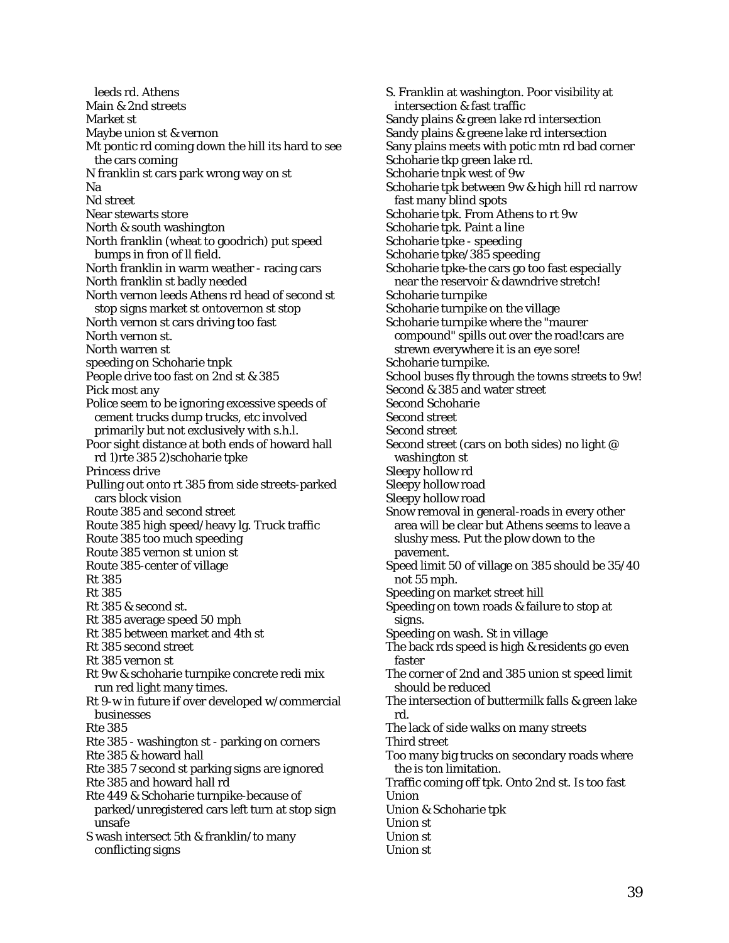leeds rd. Athens Main & 2nd streets Market st Maybe union st & vernon Mt pontic rd coming down the hill its hard to see the cars coming N franklin st cars park wrong way on st Na Nd street Near stewarts store North & south washington North franklin (wheat to goodrich) put speed bumps in fron of ll field. North franklin in warm weather - racing cars North franklin st badly needed North vernon leeds Athens rd head of second st stop signs market st ontovernon st stop North vernon st cars driving too fast North vernon st. North warren st speeding on Schoharie tnpk People drive too fast on 2nd st & 385 Pick most any Police seem to be ignoring excessive speeds of cement trucks dump trucks, etc involved primarily but not exclusively with s.h.l. Poor sight distance at both ends of howard hall rd 1)rte 385 2)schoharie tpke Princess drive Pulling out onto rt 385 from side streets-parked cars block vision Route 385 and second street Route 385 high speed/heavy lg. Truck traffic Route 385 too much speeding Route 385 vernon st union st Route 385-center of village Rt 385 Rt 385 Rt 385 & second st. Rt 385 average speed 50 mph Rt 385 between market and 4th st Rt 385 second street Rt 385 vernon st Rt 9w & schoharie turnpike concrete redi mix run red light many times. Rt 9-w in future if over developed w/commercial businesses Rte 385 Rte 385 - washington st - parking on corners Rte 385 & howard hall Rte 385 7 second st parking signs are ignored Rte 385 and howard hall rd Rte 449 & Schoharie turnpike-because of parked/unregistered cars left turn at stop sign unsafe S wash intersect 5th & franklin/to many conflicting signs

S. Franklin at washington. Poor visibility at intersection & fast traffic Sandy plains & green lake rd intersection Sandy plains & greene lake rd intersection Sany plains meets with potic mtn rd bad corner Schoharie tkp green lake rd. Schoharie tnpk west of 9w Schoharie tpk between 9w & high hill rd narrow fast many blind spots Schoharie tpk. From Athens to rt 9w Schoharie tpk. Paint a line Schoharie tpke - speeding Schoharie tpke/385 speeding Schoharie tpke-the cars go too fast especially near the reservoir & dawndrive stretch! Schoharie turnpike Schoharie turnpike on the village Schoharie turnpike where the "maurer compound" spills out over the road!cars are strewn everywhere it is an eye sore! Schoharie turnpike. School buses fly through the towns streets to 9w! Second & 385 and water street Second Schoharie Second street Second street Second street (cars on both sides) no light @ washington st Sleepy hollow rd Sleepy hollow road Sleepy hollow road Snow removal in general-roads in every other area will be clear but Athens seems to leave a slushy mess. Put the plow down to the pavement. Speed limit 50 of village on 385 should be 35/40 not 55 mph. Speeding on market street hill Speeding on town roads & failure to stop at signs. Speeding on wash. St in village The back rds speed is high & residents go even faster The corner of 2nd and 385 union st speed limit should be reduced The intersection of buttermilk falls & green lake rd. The lack of side walks on many streets Third street Too many big trucks on secondary roads where the is ton limitation. Traffic coming off tpk. Onto 2nd st. Is too fast Union Union & Schoharie tpk Union st Union st Union st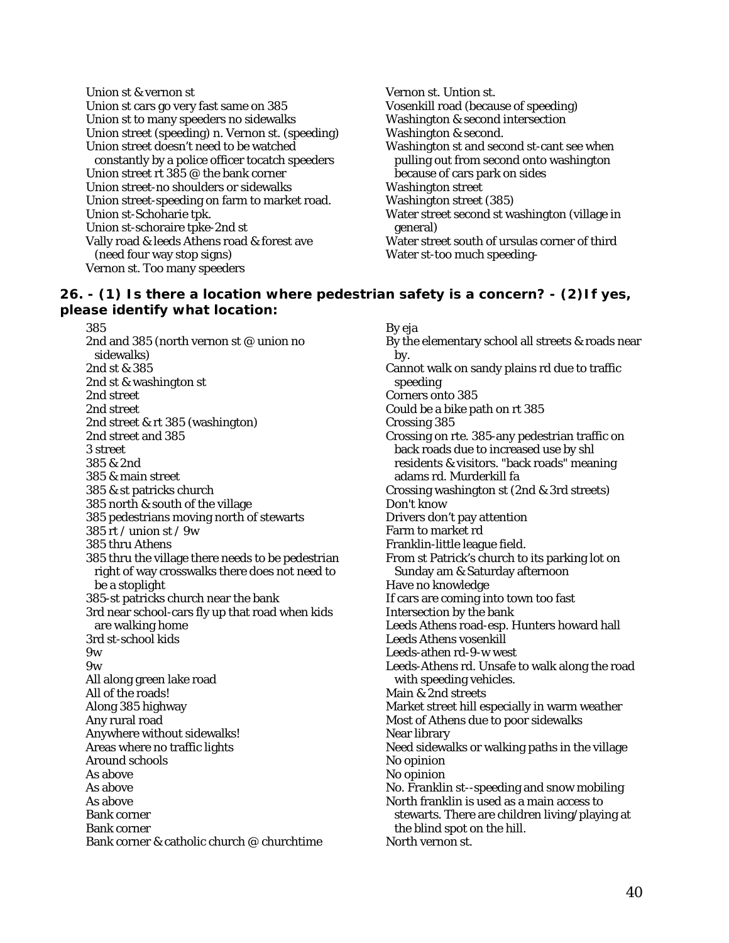Union st & vernon st Union st cars go very fast same on 385 Union st to many speeders no sidewalks Union street (speeding) n. Vernon st. (speeding) Union street doesn't need to be watched constantly by a police officer tocatch speeders Union street rt  $385\varnothing$  the bank corner Union street-no shoulders or sidewalks Union street-speeding on farm to market road. Union st-Schoharie tpk. Union st-schoraire tpke-2nd st Vally road & leeds Athens road & forest ave (need four way stop signs) Vernon st. Too many speeders

Vernon st. Untion st. Vosenkill road (because of speeding) Washington & second intersection Washington & second. Washington st and second st-cant see when pulling out from second onto washington because of cars park on sides Washington street Washington street (385) Water street second st washington (village in general) Water street south of ursulas corner of third Water st-too much speeding-

## **26. - (1) Is there a location where pedestrian safety is a concern? - (2)If yes, please identify what location:**

385 2nd and 385 (north vernon st @ union no sidewalks) 2nd st & 385 2nd st & washington st 2nd street 2nd street 2nd street & rt 385 (washington) 2nd street and 385 3 street 385 & 2nd 385 & main street 385 & st patricks church 385 north & south of the village 385 pedestrians moving north of stewarts 385 rt / union st / 9w 385 thru Athens 385 thru the village there needs to be pedestrian right of way crosswalks there does not need to be a stoplight 385-st patricks church near the bank 3rd near school-cars fly up that road when kids are walking home 3rd st-school kids 9w 9w All along green lake road All of the roads! Along 385 highway Any rural road Anywhere without sidewalks! Areas where no traffic lights Around schools As above As above As above Bank corner Bank corner Bank corner & catholic church @ churchtime

By eja By the elementary school all streets & roads near by. Cannot walk on sandy plains rd due to traffic speeding Corners onto 385 Could be a bike path on rt 385 Crossing 385 Crossing on rte. 385-any pedestrian traffic on back roads due to increased use by shl residents & visitors. "back roads" meaning adams rd. Murderkill fa Crossing washington st (2nd & 3rd streets) Don't know Drivers don't pay attention Farm to market rd Franklin-little league field. From st Patrick's church to its parking lot on Sunday am & Saturday afternoon Have no knowledge If cars are coming into town too fast Intersection by the bank Leeds Athens road-esp. Hunters howard hall Leeds Athens vosenkill Leeds-athen rd-9-w west Leeds-Athens rd. Unsafe to walk along the road with speeding vehicles. Main & 2nd streets Market street hill especially in warm weather Most of Athens due to poor sidewalks Near library Need sidewalks or walking paths in the village No opinion No opinion No. Franklin st--speeding and snow mobiling North franklin is used as a main access to stewarts. There are children living/playing at the blind spot on the hill. North vernon st.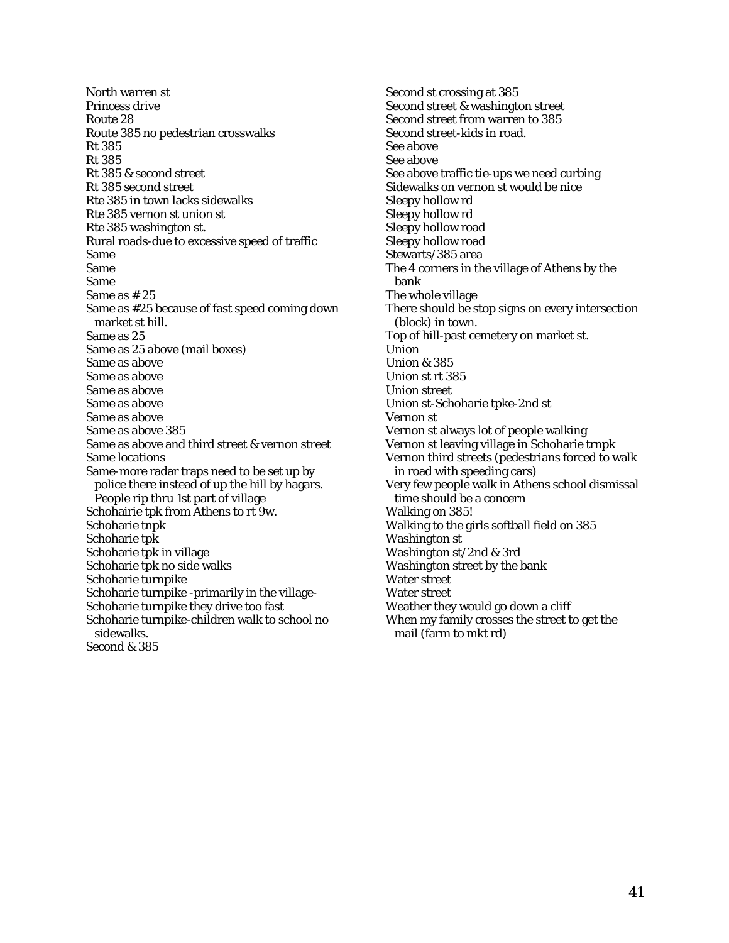North warren st Princess drive Route 28 Route 385 no pedestrian crosswalks Rt 385 Rt 385 Rt 385 & second street Rt 385 second street Rte 385 in town lacks sidewalks Rte 385 vernon st union st Rte 385 washington st. Rural roads-due to excessive speed of traffic Same Same Same Same as # 25 Same as #25 because of fast speed coming down market st hill. Same as 25 Same as 25 above (mail boxes) Same as above Same as above Same as above Same as above Same as above Same as above 385 Same as above and third street & vernon street Same locations Same-more radar traps need to be set up by police there instead of up the hill by hagars. People rip thru 1st part of village Schohairie tpk from Athens to rt 9w. Schoharie tnpk Schoharie tpk Schoharie tpk in village Schoharie tpk no side walks Schoharie turnpike Schoharie turnpike -primarily in the village-Schoharie turnpike they drive too fast Schoharie turnpike-children walk to school no sidewalks. Second & 385

Second st crossing at 385 Second street & washington street Second street from warren to 385 Second street-kids in road. See above See above See above traffic tie-ups we need curbing Sidewalks on vernon st would be nice Sleepy hollow rd Sleepy hollow rd Sleepy hollow road Sleepy hollow road Stewarts/385 area The 4 corners in the village of Athens by the bank The whole village There should be stop signs on every intersection (block) in town. Top of hill-past cemetery on market st. Union Union & 385 Union st rt 385 Union street Union st-Schoharie tpke-2nd st Vernon st Vernon st always lot of people walking Vernon st leaving village in Schoharie trnpk Vernon third streets (pedestrians forced to walk in road with speeding cars) Very few people walk in Athens school dismissal time should be a concern Walking on 385! Walking to the girls softball field on 385 Washington st Washington st/2nd & 3rd Washington street by the bank Water street Water street Weather they would go down a cliff When my family crosses the street to get the mail (farm to mkt rd)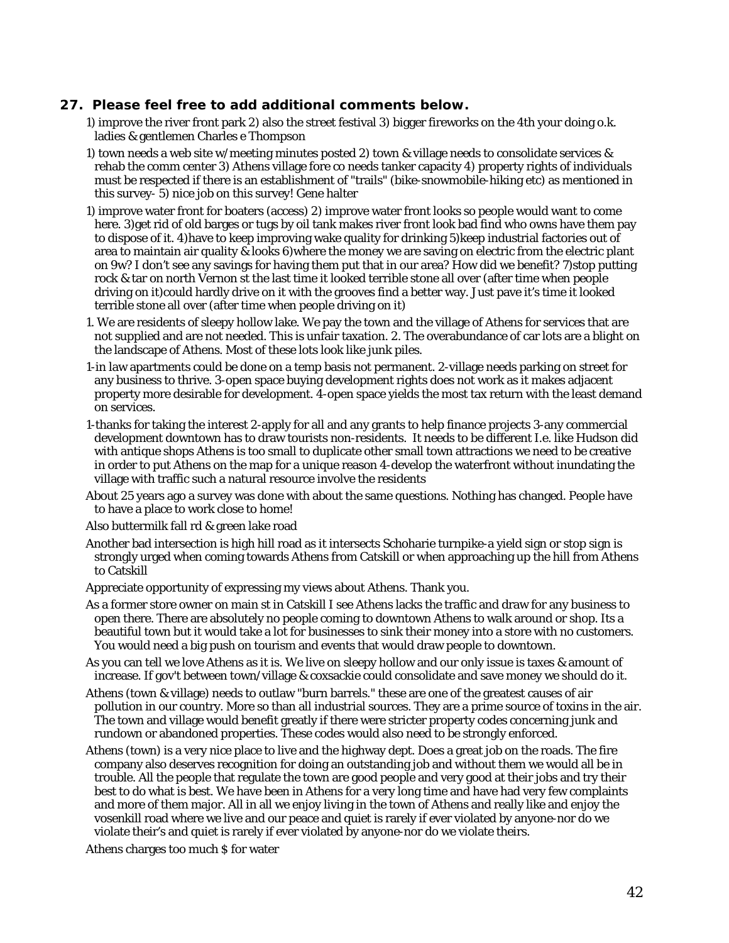#### **27. Please feel free to add additional comments below.**

- 1) improve the river front park 2) also the street festival 3) bigger fireworks on the 4th your doing o.k. ladies & gentlemen Charles e Thompson
- 1) town needs a web site w/meeting minutes posted 2) town & village needs to consolidate services & rehab the comm center 3) Athens village fore co needs tanker capacity 4) property rights of individuals must be respected if there is an establishment of "trails" (bike-snowmobile-hiking etc) as mentioned in this survey- 5) nice job on this survey! Gene halter
- 1) improve water front for boaters (access) 2) improve water front looks so people would want to come here. 3)get rid of old barges or tugs by oil tank makes river front look bad find who owns have them pay to dispose of it. 4)have to keep improving wake quality for drinking 5)keep industrial factories out of area to maintain air quality & looks 6)where the money we are saving on electric from the electric plant on 9w? I don't see any savings for having them put that in our area? How did we benefit? 7)stop putting rock & tar on north Vernon st the last time it looked terrible stone all over (after time when people driving on it)could hardly drive on it with the grooves find a better way. Just pave it's time it looked terrible stone all over (after time when people driving on it)
- 1. We are residents of sleepy hollow lake. We pay the town and the village of Athens for services that are not supplied and are not needed. This is unfair taxation. 2. The overabundance of car lots are a blight on the landscape of Athens. Most of these lots look like junk piles.
- 1-in law apartments could be done on a temp basis not permanent. 2-village needs parking on street for any business to thrive. 3-open space buying development rights does not work as it makes adjacent property more desirable for development. 4-open space yields the most tax return with the least demand on services.
- 1-thanks for taking the interest 2-apply for all and any grants to help finance projects 3-any commercial development downtown has to draw tourists non-residents. It needs to be different I.e. like Hudson did with antique shops Athens is too small to duplicate other small town attractions we need to be creative in order to put Athens on the map for a unique reason 4-develop the waterfront without inundating the village with traffic such a natural resource involve the residents
- About 25 years ago a survey was done with about the same questions. Nothing has changed. People have to have a place to work close to home!
- Also buttermilk fall rd & green lake road
- Another bad intersection is high hill road as it intersects Schoharie turnpike-a yield sign or stop sign is strongly urged when coming towards Athens from Catskill or when approaching up the hill from Athens to Catskill
- Appreciate opportunity of expressing my views about Athens. Thank you.
- As a former store owner on main st in Catskill I see Athens lacks the traffic and draw for any business to open there. There are absolutely no people coming to downtown Athens to walk around or shop. Its a beautiful town but it would take a lot for businesses to sink their money into a store with no customers. You would need a big push on tourism and events that would draw people to downtown.
- As you can tell we love Athens as it is. We live on sleepy hollow and our only issue is taxes & amount of increase. If gov't between town/village & coxsackie could consolidate and save money we should do it.
- Athens (town & village) needs to outlaw "burn barrels." these are one of the greatest causes of air pollution in our country. More so than all industrial sources. They are a prime source of toxins in the air. The town and village would benefit greatly if there were stricter property codes concerning junk and rundown or abandoned properties. These codes would also need to be strongly enforced.
- Athens (town) is a very nice place to live and the highway dept. Does a great job on the roads. The fire company also deserves recognition for doing an outstanding job and without them we would all be in trouble. All the people that regulate the town are good people and very good at their jobs and try their best to do what is best. We have been in Athens for a very long time and have had very few complaints and more of them major. All in all we enjoy living in the town of Athens and really like and enjoy the vosenkill road where we live and our peace and quiet is rarely if ever violated by anyone-nor do we violate their's and quiet is rarely if ever violated by anyone-nor do we violate theirs.

Athens charges too much \$ for water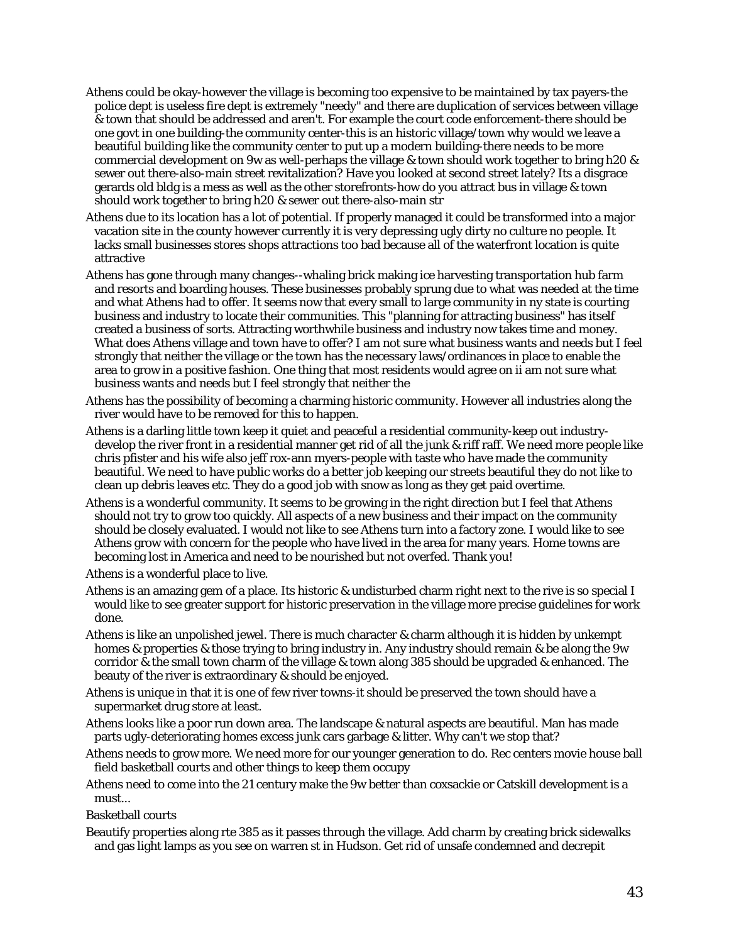- Athens could be okay-however the village is becoming too expensive to be maintained by tax payers-the police dept is useless fire dept is extremely "needy" and there are duplication of services between village & town that should be addressed and aren't. For example the court code enforcement-there should be one govt in one building-the community center-this is an historic village/town why would we leave a beautiful building like the community center to put up a modern building-there needs to be more commercial development on 9w as well-perhaps the village & town should work together to bring h20 & sewer out there-also-main street revitalization? Have you looked at second street lately? Its a disgrace gerards old bldg is a mess as well as the other storefronts-how do you attract bus in village & town should work together to bring h20 & sewer out there-also-main str
- Athens due to its location has a lot of potential. If properly managed it could be transformed into a major vacation site in the county however currently it is very depressing ugly dirty no culture no people. It lacks small businesses stores shops attractions too bad because all of the waterfront location is quite attractive
- Athens has gone through many changes--whaling brick making ice harvesting transportation hub farm and resorts and boarding houses. These businesses probably sprung due to what was needed at the time and what Athens had to offer. It seems now that every small to large community in ny state is courting business and industry to locate their communities. This "planning for attracting business" has itself created a business of sorts. Attracting worthwhile business and industry now takes time and money. What does Athens village and town have to offer? I am not sure what business wants and needs but I feel strongly that neither the village or the town has the necessary laws/ordinances in place to enable the area to grow in a positive fashion. One thing that most residents would agree on ii am not sure what business wants and needs but I feel strongly that neither the
- Athens has the possibility of becoming a charming historic community. However all industries along the river would have to be removed for this to happen.
- Athens is a darling little town keep it quiet and peaceful a residential community-keep out industrydevelop the river front in a residential manner get rid of all the junk & riff raff. We need more people like chris pfister and his wife also jeff rox-ann myers-people with taste who have made the community beautiful. We need to have public works do a better job keeping our streets beautiful they do not like to clean up debris leaves etc. They do a good job with snow as long as they get paid overtime.
- Athens is a wonderful community. It seems to be growing in the right direction but I feel that Athens should not try to grow too quickly. All aspects of a new business and their impact on the community should be closely evaluated. I would not like to see Athens turn into a factory zone. I would like to see Athens grow with concern for the people who have lived in the area for many years. Home towns are becoming lost in America and need to be nourished but not overfed. Thank you!

Athens is a wonderful place to live.

- Athens is an amazing gem of a place. Its historic & undisturbed charm right next to the rive is so special I would like to see greater support for historic preservation in the village more precise guidelines for work done.
- Athens is like an unpolished jewel. There is much character & charm although it is hidden by unkempt homes & properties & those trying to bring industry in. Any industry should remain & be along the 9w corridor & the small town charm of the village & town along 385 should be upgraded & enhanced. The beauty of the river is extraordinary & should be enjoyed.
- Athens is unique in that it is one of few river towns-it should be preserved the town should have a supermarket drug store at least.
- Athens looks like a poor run down area. The landscape & natural aspects are beautiful. Man has made parts ugly-deteriorating homes excess junk cars garbage & litter. Why can't we stop that?
- Athens needs to grow more. We need more for our younger generation to do. Rec centers movie house ball field basketball courts and other things to keep them occupy
- Athens need to come into the 21 century make the 9w better than coxsackie or Catskill development is a must...

Basketball courts

Beautify properties along rte 385 as it passes through the village. Add charm by creating brick sidewalks and gas light lamps as you see on warren st in Hudson. Get rid of unsafe condemned and decrepit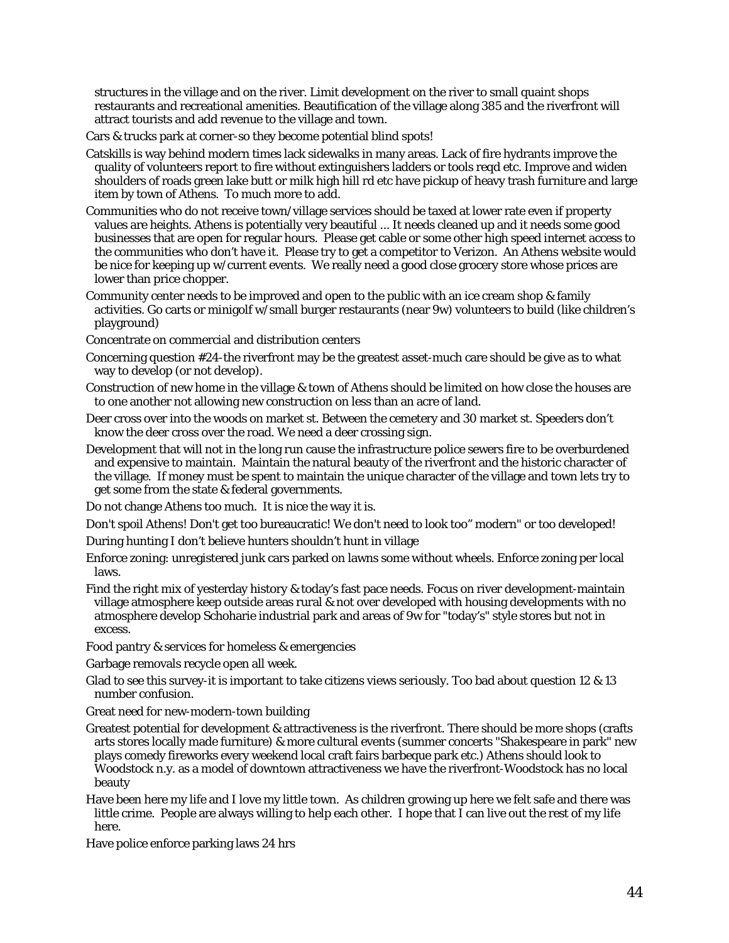structures in the village and on the river. Limit development on the river to small quaint shops restaurants and recreational amenities. Beautification of the village along 385 and the riverfront will attract tourists and add revenue to the village and town.

Cars & trucks park at corner-so they become potential blind spots!

- Catskills is way behind modern times lack sidewalks in many areas. Lack of fire hydrants improve the quality of volunteers report to fire without extinguishers ladders or tools reqd etc. Improve and widen shoulders of roads green lake butt or milk high hill rd etc have pickup of heavy trash furniture and large item by town of Athens. To much more to add.
- Communities who do not receive town/village services should be taxed at lower rate even if property values are heights. Athens is potentially very beautiful ... It needs cleaned up and it needs some good businesses that are open for regular hours. Please get cable or some other high speed internet access to the communities who don't have it. Please try to get a competitor to Verizon. An Athens website would be nice for keeping up w/current events. We really need a good close grocery store whose prices are lower than price chopper.
- Community center needs to be improved and open to the public with an ice cream shop & family activities. Go carts or minigolf w/small burger restaurants (near 9w) volunteers to build (like children's playground)

Concentrate on commercial and distribution centers

- Concerning question #24-the riverfront may be the greatest asset-much care should be give as to what way to develop (or not develop).
- Construction of new home in the village & town of Athens should be limited on how close the houses are to one another not allowing new construction on less than an acre of land.
- Deer cross over into the woods on market st. Between the cemetery and 30 market st. Speeders don't know the deer cross over the road. We need a deer crossing sign.
- Development that will not in the long run cause the infrastructure police sewers fire to be overburdened and expensive to maintain. Maintain the natural beauty of the riverfront and the historic character of the village. If money must be spent to maintain the unique character of the village and town lets try to get some from the state & federal governments.

Do not change Athens too much. It is nice the way it is.

Don't spoil Athens! Don't get too bureaucratic! We don't need to look too" modern" or too developed!

During hunting I don't believe hunters shouldn't hunt in village

- Enforce zoning: unregistered junk cars parked on lawns some without wheels. Enforce zoning per local laws.
- Find the right mix of yesterday history & today's fast pace needs. Focus on river development-maintain village atmosphere keep outside areas rural & not over developed with housing developments with no atmosphere develop Schoharie industrial park and areas of 9w for "today's" style stores but not in excess.

Food pantry & services for homeless & emergencies

- Garbage removals recycle open all week.
- Glad to see this survey-it is important to take citizens views seriously. Too bad about question 12 & 13 number confusion.
- Great need for new-modern-town building
- Greatest potential for development & attractiveness is the riverfront. There should be more shops (crafts arts stores locally made furniture) & more cultural events (summer concerts "Shakespeare in park" new plays comedy fireworks every weekend local craft fairs barbeque park etc.) Athens should look to Woodstock n.y. as a model of downtown attractiveness we have the riverfront-Woodstock has no local beauty
- Have been here my life and I love my little town. As children growing up here we felt safe and there was little crime. People are always willing to help each other. I hope that I can live out the rest of my life here.

Have police enforce parking laws 24 hrs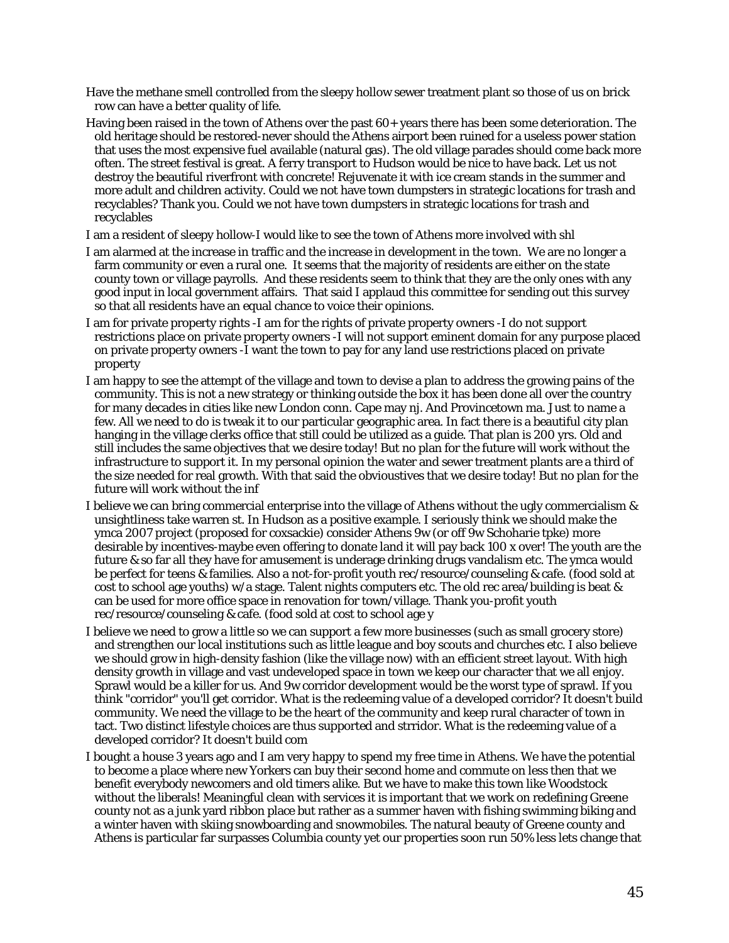Have the methane smell controlled from the sleepy hollow sewer treatment plant so those of us on brick row can have a better quality of life.

- Having been raised in the town of Athens over the past 60+ years there has been some deterioration. The old heritage should be restored-never should the Athens airport been ruined for a useless power station that uses the most expensive fuel available (natural gas). The old village parades should come back more often. The street festival is great. A ferry transport to Hudson would be nice to have back. Let us not destroy the beautiful riverfront with concrete! Rejuvenate it with ice cream stands in the summer and more adult and children activity. Could we not have town dumpsters in strategic locations for trash and recyclables? Thank you. Could we not have town dumpsters in strategic locations for trash and recyclables
- I am a resident of sleepy hollow-I would like to see the town of Athens more involved with shl
- I am alarmed at the increase in traffic and the increase in development in the town. We are no longer a farm community or even a rural one. It seems that the majority of residents are either on the state county town or village payrolls. And these residents seem to think that they are the only ones with any good input in local government affairs. That said I applaud this committee for sending out this survey so that all residents have an equal chance to voice their opinions.
- I am for private property rights -I am for the rights of private property owners -I do not support restrictions place on private property owners -I will not support eminent domain for any purpose placed on private property owners -I want the town to pay for any land use restrictions placed on private property
- I am happy to see the attempt of the village and town to devise a plan to address the growing pains of the community. This is not a new strategy or thinking outside the box it has been done all over the country for many decades in cities like new London conn. Cape may nj. And Provincetown ma. Just to name a few. All we need to do is tweak it to our particular geographic area. In fact there is a beautiful city plan hanging in the village clerks office that still could be utilized as a guide. That plan is 200 yrs. Old and still includes the same objectives that we desire today! But no plan for the future will work without the infrastructure to support it. In my personal opinion the water and sewer treatment plants are a third of the size needed for real growth. With that said the obvioustives that we desire today! But no plan for the future will work without the inf
- I believe we can bring commercial enterprise into the village of Athens without the ugly commercialism & unsightliness take warren st. In Hudson as a positive example. I seriously think we should make the ymca 2007 project (proposed for coxsackie) consider Athens 9w (or off 9w Schoharie tpke) more desirable by incentives-maybe even offering to donate land it will pay back 100 x over! The youth are the future & so far all they have for amusement is underage drinking drugs vandalism etc. The ymca would be perfect for teens & families. Also a not-for-profit youth rec/resource/counseling & cafe. (food sold at cost to school age youths) w/a stage. Talent nights computers etc. The old rec area/building is beat & can be used for more office space in renovation for town/village. Thank you-profit youth rec/resource/counseling & cafe. (food sold at cost to school age y
- I believe we need to grow a little so we can support a few more businesses (such as small grocery store) and strengthen our local institutions such as little league and boy scouts and churches etc. I also believe we should grow in high-density fashion (like the village now) with an efficient street layout. With high density growth in village and vast undeveloped space in town we keep our character that we all enjoy. Sprawl would be a killer for us. And 9w corridor development would be the worst type of sprawl. If you think "corridor" you'll get corridor. What is the redeeming value of a developed corridor? It doesn't build community. We need the village to be the heart of the community and keep rural character of town in tact. Two distinct lifestyle choices are thus supported and strridor. What is the redeeming value of a developed corridor? It doesn't build com
- I bought a house 3 years ago and I am very happy to spend my free time in Athens. We have the potential to become a place where new Yorkers can buy their second home and commute on less then that we benefit everybody newcomers and old timers alike. But we have to make this town like Woodstock without the liberals! Meaningful clean with services it is important that we work on redefining Greene county not as a junk yard ribbon place but rather as a summer haven with fishing swimming biking and a winter haven with skiing snowboarding and snowmobiles. The natural beauty of Greene county and Athens is particular far surpasses Columbia county yet our properties soon run 50% less lets change that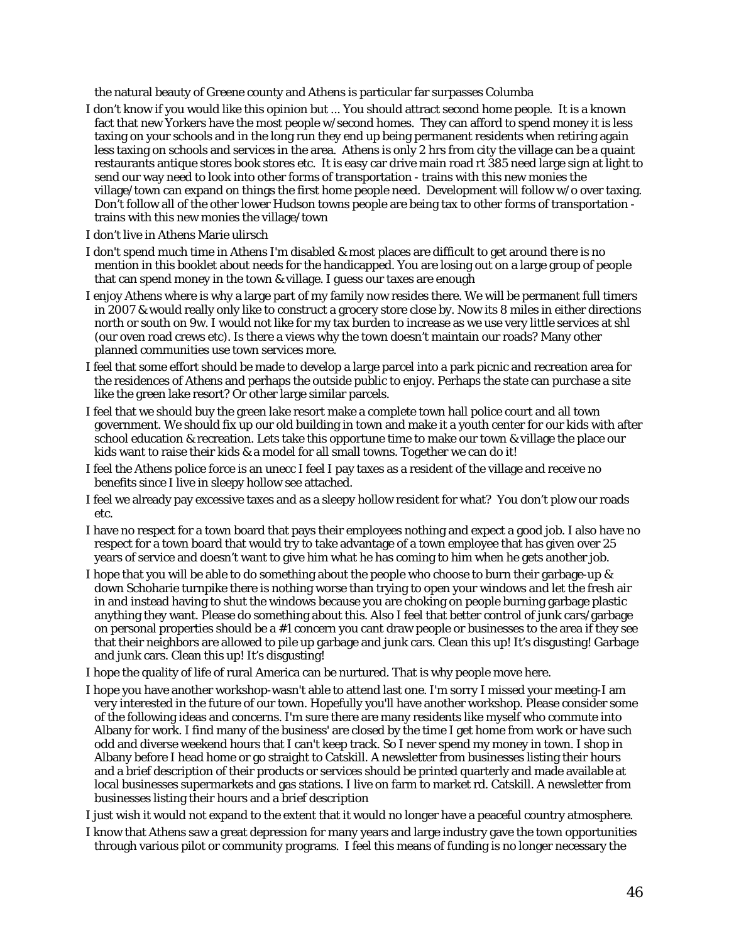the natural beauty of Greene county and Athens is particular far surpasses Columba

- I don't know if you would like this opinion but ... You should attract second home people. It is a known fact that new Yorkers have the most people w/second homes. They can afford to spend money it is less taxing on your schools and in the long run they end up being permanent residents when retiring again less taxing on schools and services in the area. Athens is only 2 hrs from city the village can be a quaint restaurants antique stores book stores etc. It is easy car drive main road rt 385 need large sign at light to send our way need to look into other forms of transportation - trains with this new monies the village/town can expand on things the first home people need. Development will follow w/o over taxing. Don't follow all of the other lower Hudson towns people are being tax to other forms of transportation trains with this new monies the village/town
- I don't live in Athens Marie ulirsch
- I don't spend much time in Athens I'm disabled & most places are difficult to get around there is no mention in this booklet about needs for the handicapped. You are losing out on a large group of people that can spend money in the town & village. I guess our taxes are enough
- I enjoy Athens where is why a large part of my family now resides there. We will be permanent full timers in 2007 & would really only like to construct a grocery store close by. Now its 8 miles in either directions north or south on 9w. I would not like for my tax burden to increase as we use very little services at shl (our oven road crews etc). Is there a views why the town doesn't maintain our roads? Many other planned communities use town services more.
- I feel that some effort should be made to develop a large parcel into a park picnic and recreation area for the residences of Athens and perhaps the outside public to enjoy. Perhaps the state can purchase a site like the green lake resort? Or other large similar parcels.
- I feel that we should buy the green lake resort make a complete town hall police court and all town government. We should fix up our old building in town and make it a youth center for our kids with after school education & recreation. Lets take this opportune time to make our town & village the place our kids want to raise their kids & a model for all small towns. Together we can do it!
- I feel the Athens police force is an unecc I feel I pay taxes as a resident of the village and receive no benefits since I live in sleepy hollow see attached.
- I feel we already pay excessive taxes and as a sleepy hollow resident for what? You don't plow our roads etc.
- I have no respect for a town board that pays their employees nothing and expect a good job. I also have no respect for a town board that would try to take advantage of a town employee that has given over 25 years of service and doesn't want to give him what he has coming to him when he gets another job.
- I hope that you will be able to do something about the people who choose to burn their garbage-up & down Schoharie turnpike there is nothing worse than trying to open your windows and let the fresh air in and instead having to shut the windows because you are choking on people burning garbage plastic anything they want. Please do something about this. Also I feel that better control of junk cars/garbage on personal properties should be a #1 concern you cant draw people or businesses to the area if they see that their neighbors are allowed to pile up garbage and junk cars. Clean this up! It's disgusting! Garbage and junk cars. Clean this up! It's disgusting!
- I hope the quality of life of rural America can be nurtured. That is why people move here.
- I hope you have another workshop-wasn't able to attend last one. I'm sorry I missed your meeting-I am very interested in the future of our town. Hopefully you'll have another workshop. Please consider some of the following ideas and concerns. I'm sure there are many residents like myself who commute into Albany for work. I find many of the business' are closed by the time I get home from work or have such odd and diverse weekend hours that I can't keep track. So I never spend my money in town. I shop in Albany before I head home or go straight to Catskill. A newsletter from businesses listing their hours and a brief description of their products or services should be printed quarterly and made available at local businesses supermarkets and gas stations. I live on farm to market rd. Catskill. A newsletter from businesses listing their hours and a brief description

I just wish it would not expand to the extent that it would no longer have a peaceful country atmosphere.

I know that Athens saw a great depression for many years and large industry gave the town opportunities through various pilot or community programs. I feel this means of funding is no longer necessary the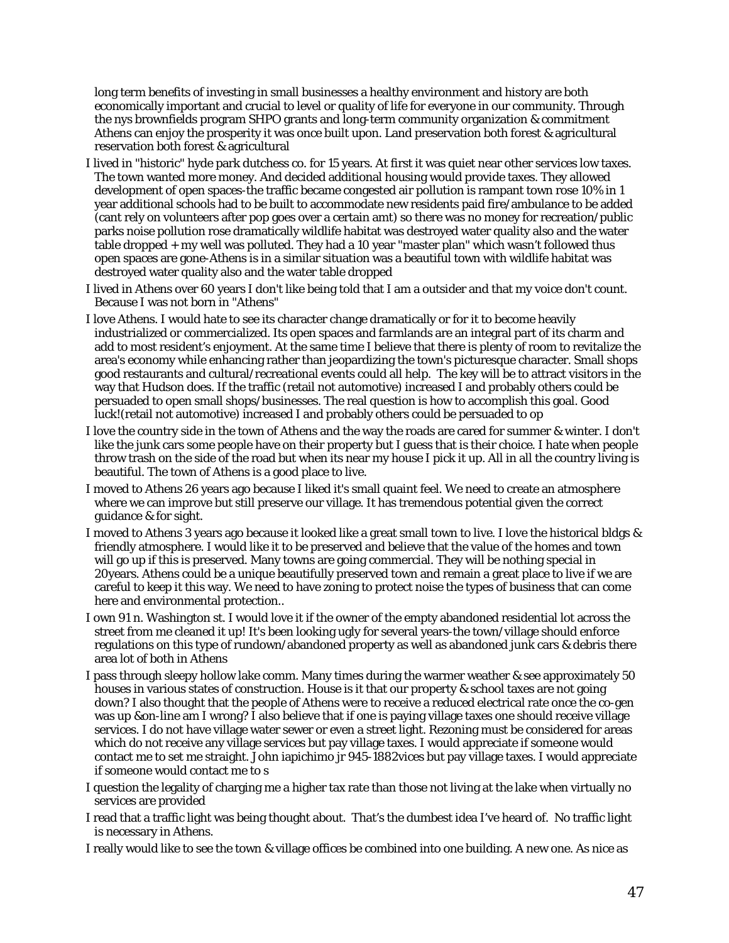long term benefits of investing in small businesses a healthy environment and history are both economically important and crucial to level or quality of life for everyone in our community. Through the nys brownfields program SHPO grants and long-term community organization & commitment Athens can enjoy the prosperity it was once built upon. Land preservation both forest & agricultural reservation both forest & agricultural

- I lived in "historic" hyde park dutchess co. for 15 years. At first it was quiet near other services low taxes. The town wanted more money. And decided additional housing would provide taxes. They allowed development of open spaces-the traffic became congested air pollution is rampant town rose 10% in 1 year additional schools had to be built to accommodate new residents paid fire/ambulance to be added (cant rely on volunteers after pop goes over a certain amt) so there was no money for recreation/public parks noise pollution rose dramatically wildlife habitat was destroyed water quality also and the water table dropped + my well was polluted. They had a 10 year "master plan" which wasn't followed thus open spaces are gone-Athens is in a similar situation was a beautiful town with wildlife habitat was destroyed water quality also and the water table dropped
- I lived in Athens over 60 years I don't like being told that I am a outsider and that my voice don't count. Because I was not born in "Athens"
- I love Athens. I would hate to see its character change dramatically or for it to become heavily industrialized or commercialized. Its open spaces and farmlands are an integral part of its charm and add to most resident's enjoyment. At the same time I believe that there is plenty of room to revitalize the area's economy while enhancing rather than jeopardizing the town's picturesque character. Small shops good restaurants and cultural/recreational events could all help. The key will be to attract visitors in the way that Hudson does. If the traffic (retail not automotive) increased I and probably others could be persuaded to open small shops/businesses. The real question is how to accomplish this goal. Good luck!(retail not automotive) increased I and probably others could be persuaded to op
- I love the country side in the town of Athens and the way the roads are cared for summer & winter. I don't like the junk cars some people have on their property but I guess that is their choice. I hate when people throw trash on the side of the road but when its near my house I pick it up. All in all the country living is beautiful. The town of Athens is a good place to live.
- I moved to Athens 26 years ago because I liked it's small quaint feel. We need to create an atmosphere where we can improve but still preserve our village. It has tremendous potential given the correct guidance & for sight.
- I moved to Athens 3 years ago because it looked like a great small town to live. I love the historical bldgs & friendly atmosphere. I would like it to be preserved and believe that the value of the homes and town will go up if this is preserved. Many towns are going commercial. They will be nothing special in 20years. Athens could be a unique beautifully preserved town and remain a great place to live if we are careful to keep it this way. We need to have zoning to protect noise the types of business that can come here and environmental protection..
- I own 91 n. Washington st. I would love it if the owner of the empty abandoned residential lot across the street from me cleaned it up! It's been looking ugly for several years-the town/village should enforce regulations on this type of rundown/abandoned property as well as abandoned junk cars & debris there area lot of both in Athens
- I pass through sleepy hollow lake comm. Many times during the warmer weather & see approximately 50 houses in various states of construction. House is it that our property & school taxes are not going down? I also thought that the people of Athens were to receive a reduced electrical rate once the co-gen was up &on-line am I wrong? I also believe that if one is paying village taxes one should receive village services. I do not have village water sewer or even a street light. Rezoning must be considered for areas which do not receive any village services but pay village taxes. I would appreciate if someone would contact me to set me straight. John iapichimo jr 945-1882vices but pay village taxes. I would appreciate if someone would contact me to s
- I question the legality of charging me a higher tax rate than those not living at the lake when virtually no services are provided
- I read that a traffic light was being thought about. That's the dumbest idea I've heard of. No traffic light is necessary in Athens.
- I really would like to see the town & village offices be combined into one building. A new one. As nice as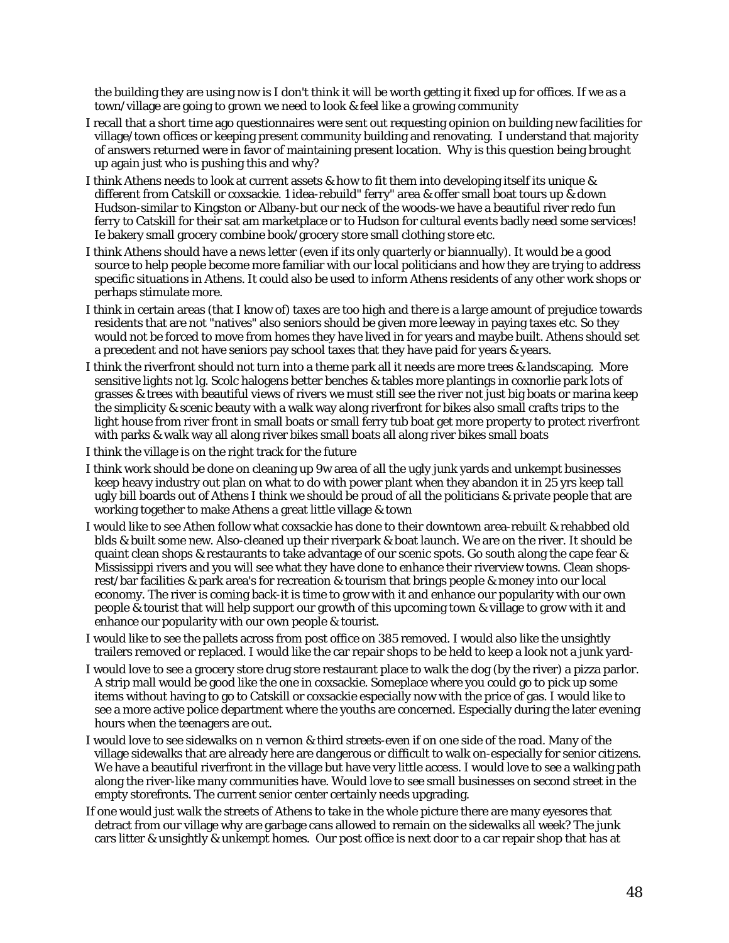the building they are using now is I don't think it will be worth getting it fixed up for offices. If we as a town/village are going to grown we need to look & feel like a growing community

- I recall that a short time ago questionnaires were sent out requesting opinion on building new facilities for village/town offices or keeping present community building and renovating. I understand that majority of answers returned were in favor of maintaining present location. Why is this question being brought up again just who is pushing this and why?
- I think Athens needs to look at current assets & how to fit them into developing itself its unique & different from Catskill or coxsackie. 1 idea-rebuild" ferry" area & offer small boat tours up & down Hudson-similar to Kingston or Albany-but our neck of the woods-we have a beautiful river redo fun ferry to Catskill for their sat am marketplace or to Hudson for cultural events badly need some services! Ie bakery small grocery combine book/grocery store small clothing store etc.
- I think Athens should have a news letter (even if its only quarterly or biannually). It would be a good source to help people become more familiar with our local politicians and how they are trying to address specific situations in Athens. It could also be used to inform Athens residents of any other work shops or perhaps stimulate more.
- I think in certain areas (that I know of) taxes are too high and there is a large amount of prejudice towards residents that are not "natives" also seniors should be given more leeway in paying taxes etc. So they would not be forced to move from homes they have lived in for years and maybe built. Athens should set a precedent and not have seniors pay school taxes that they have paid for years & years.
- I think the riverfront should not turn into a theme park all it needs are more trees & landscaping. More sensitive lights not lg. Scolc halogens better benches & tables more plantings in coxnorlie park lots of grasses & trees with beautiful views of rivers we must still see the river not just big boats or marina keep the simplicity & scenic beauty with a walk way along riverfront for bikes also small crafts trips to the light house from river front in small boats or small ferry tub boat get more property to protect riverfront with parks & walk way all along river bikes small boats all along river bikes small boats
- I think the village is on the right track for the future
- I think work should be done on cleaning up 9w area of all the ugly junk yards and unkempt businesses keep heavy industry out plan on what to do with power plant when they abandon it in 25 yrs keep tall ugly bill boards out of Athens I think we should be proud of all the politicians & private people that are working together to make Athens a great little village & town
- I would like to see Athen follow what coxsackie has done to their downtown area-rebuilt & rehabbed old blds & built some new. Also-cleaned up their riverpark & boat launch. We are on the river. It should be quaint clean shops & restaurants to take advantage of our scenic spots. Go south along the cape fear & Mississippi rivers and you will see what they have done to enhance their riverview towns. Clean shopsrest/bar facilities & park area's for recreation & tourism that brings people & money into our local economy. The river is coming back-it is time to grow with it and enhance our popularity with our own people & tourist that will help support our growth of this upcoming town & village to grow with it and enhance our popularity with our own people & tourist.
- I would like to see the pallets across from post office on 385 removed. I would also like the unsightly trailers removed or replaced. I would like the car repair shops to be held to keep a look not a junk yard-
- I would love to see a grocery store drug store restaurant place to walk the dog (by the river) a pizza parlor. A strip mall would be good like the one in coxsackie. Someplace where you could go to pick up some items without having to go to Catskill or coxsackie especially now with the price of gas. I would like to see a more active police department where the youths are concerned. Especially during the later evening hours when the teenagers are out.
- I would love to see sidewalks on n vernon & third streets-even if on one side of the road. Many of the village sidewalks that are already here are dangerous or difficult to walk on-especially for senior citizens. We have a beautiful riverfront in the village but have very little access. I would love to see a walking path along the river-like many communities have. Would love to see small businesses on second street in the empty storefronts. The current senior center certainly needs upgrading.
- If one would just walk the streets of Athens to take in the whole picture there are many eyesores that detract from our village why are garbage cans allowed to remain on the sidewalks all week? The junk cars litter & unsightly & unkempt homes. Our post office is next door to a car repair shop that has at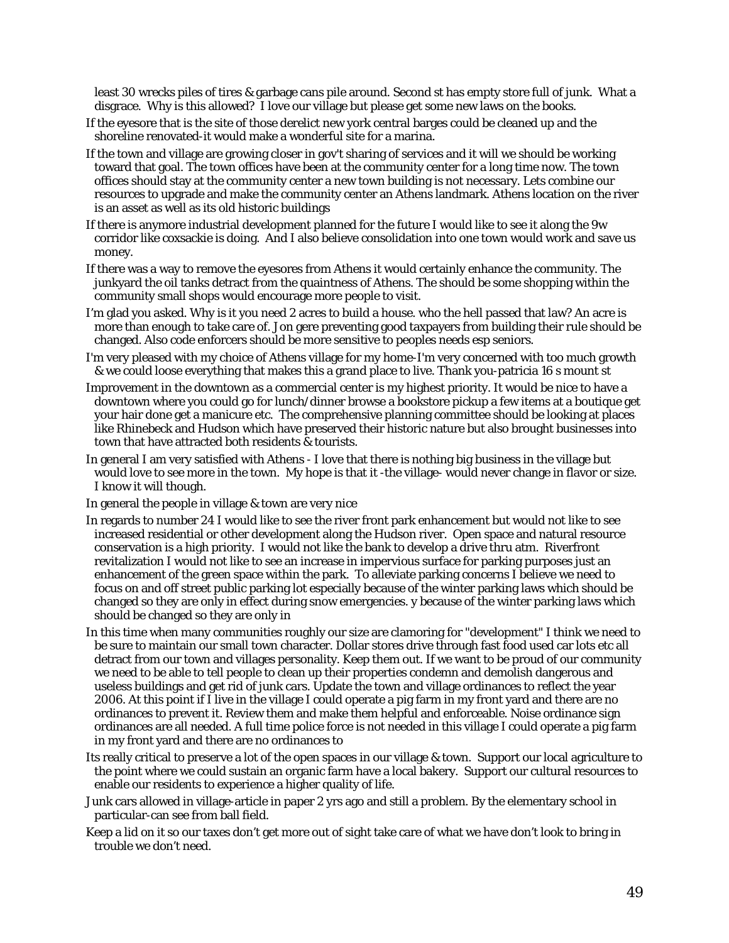least 30 wrecks piles of tires & garbage cans pile around. Second st has empty store full of junk. What a disgrace. Why is this allowed? I love our village but please get some new laws on the books.

- If the eyesore that is the site of those derelict new york central barges could be cleaned up and the shoreline renovated-it would make a wonderful site for a marina.
- If the town and village are growing closer in gov't sharing of services and it will we should be working toward that goal. The town offices have been at the community center for a long time now. The town offices should stay at the community center a new town building is not necessary. Lets combine our resources to upgrade and make the community center an Athens landmark. Athens location on the river is an asset as well as its old historic buildings
- If there is anymore industrial development planned for the future I would like to see it along the 9w corridor like coxsackie is doing. And I also believe consolidation into one town would work and save us money.
- If there was a way to remove the eyesores from Athens it would certainly enhance the community. The junkyard the oil tanks detract from the quaintness of Athens. The should be some shopping within the community small shops would encourage more people to visit.
- I'm glad you asked. Why is it you need 2 acres to build a house. who the hell passed that law? An acre is more than enough to take care of. Jon gere preventing good taxpayers from building their rule should be changed. Also code enforcers should be more sensitive to peoples needs esp seniors.
- I'm very pleased with my choice of Athens village for my home-I'm very concerned with too much growth & we could loose everything that makes this a grand place to live. Thank you-patricia 16 s mount st
- Improvement in the downtown as a commercial center is my highest priority. It would be nice to have a downtown where you could go for lunch/dinner browse a bookstore pickup a few items at a boutique get your hair done get a manicure etc. The comprehensive planning committee should be looking at places like Rhinebeck and Hudson which have preserved their historic nature but also brought businesses into town that have attracted both residents & tourists.
- In general I am very satisfied with Athens I love that there is nothing big business in the village but would love to see more in the town. My hope is that it -the village- would never change in flavor or size. I know it will though.

In general the people in village & town are very nice

- In regards to number 24 I would like to see the river front park enhancement but would not like to see increased residential or other development along the Hudson river. Open space and natural resource conservation is a high priority. I would not like the bank to develop a drive thru atm. Riverfront revitalization I would not like to see an increase in impervious surface for parking purposes just an enhancement of the green space within the park. To alleviate parking concerns I believe we need to focus on and off street public parking lot especially because of the winter parking laws which should be changed so they are only in effect during snow emergencies. y because of the winter parking laws which should be changed so they are only in
- In this time when many communities roughly our size are clamoring for "development" I think we need to be sure to maintain our small town character. Dollar stores drive through fast food used car lots etc all detract from our town and villages personality. Keep them out. If we want to be proud of our community we need to be able to tell people to clean up their properties condemn and demolish dangerous and useless buildings and get rid of junk cars. Update the town and village ordinances to reflect the year 2006. At this point if I live in the village I could operate a pig farm in my front yard and there are no ordinances to prevent it. Review them and make them helpful and enforceable. Noise ordinance sign ordinances are all needed. A full time police force is not needed in this village I could operate a pig farm in my front yard and there are no ordinances to
- Its really critical to preserve a lot of the open spaces in our village & town. Support our local agriculture to the point where we could sustain an organic farm have a local bakery. Support our cultural resources to enable our residents to experience a higher quality of life.
- Junk cars allowed in village-article in paper 2 yrs ago and still a problem. By the elementary school in particular-can see from ball field.
- Keep a lid on it so our taxes don't get more out of sight take care of what we have don't look to bring in trouble we don't need.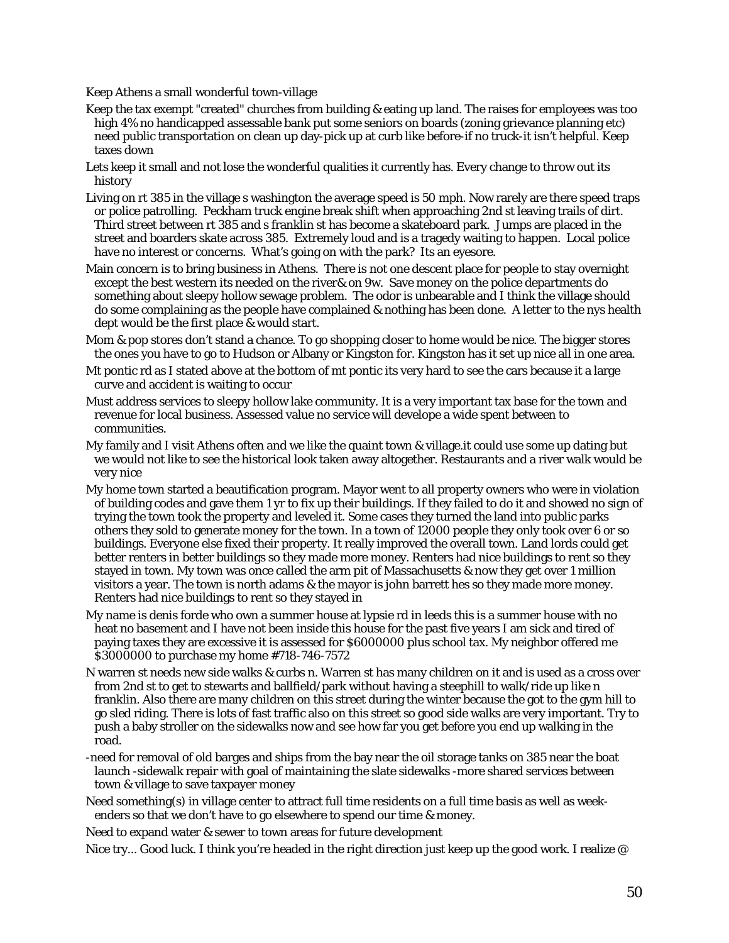Keep Athens a small wonderful town-village

- Keep the tax exempt "created" churches from building & eating up land. The raises for employees was too high 4% no handicapped assessable bank put some seniors on boards (zoning grievance planning etc) need public transportation on clean up day-pick up at curb like before-if no truck-it isn't helpful. Keep taxes down
- Lets keep it small and not lose the wonderful qualities it currently has. Every change to throw out its history
- Living on rt 385 in the village s washington the average speed is 50 mph. Now rarely are there speed traps or police patrolling. Peckham truck engine break shift when approaching 2nd st leaving trails of dirt. Third street between rt 385 and s franklin st has become a skateboard park. Jumps are placed in the street and boarders skate across 385. Extremely loud and is a tragedy waiting to happen. Local police have no interest or concerns. What's going on with the park? Its an eyesore.
- Main concern is to bring business in Athens. There is not one descent place for people to stay overnight except the best western its needed on the river& on 9w. Save money on the police departments do something about sleepy hollow sewage problem. The odor is unbearable and I think the village should do some complaining as the people have complained & nothing has been done. A letter to the nys health dept would be the first place & would start.
- Mom & pop stores don't stand a chance. To go shopping closer to home would be nice. The bigger stores the ones you have to go to Hudson or Albany or Kingston for. Kingston has it set up nice all in one area.
- Mt pontic rd as I stated above at the bottom of mt pontic its very hard to see the cars because it a large curve and accident is waiting to occur
- Must address services to sleepy hollow lake community. It is a very important tax base for the town and revenue for local business. Assessed value no service will develope a wide spent between to communities.
- My family and I visit Athens often and we like the quaint town & village.it could use some up dating but we would not like to see the historical look taken away altogether. Restaurants and a river walk would be very nice
- My home town started a beautification program. Mayor went to all property owners who were in violation of building codes and gave them 1 yr to fix up their buildings. If they failed to do it and showed no sign of trying the town took the property and leveled it. Some cases they turned the land into public parks others they sold to generate money for the town. In a town of 12000 people they only took over 6 or so buildings. Everyone else fixed their property. It really improved the overall town. Land lords could get better renters in better buildings so they made more money. Renters had nice buildings to rent so they stayed in town. My town was once called the arm pit of Massachusetts & now they get over 1 million visitors a year. The town is north adams & the mayor is john barrett hes so they made more money. Renters had nice buildings to rent so they stayed in
- My name is denis forde who own a summer house at lypsie rd in leeds this is a summer house with no heat no basement and I have not been inside this house for the past five years I am sick and tired of paying taxes they are excessive it is assessed for \$6000000 plus school tax. My neighbor offered me \$3000000 to purchase my home #718-746-7572
- N warren st needs new side walks & curbs n. Warren st has many children on it and is used as a cross over from 2nd st to get to stewarts and ballfield/park without having a steephill to walk/ride up like n franklin. Also there are many children on this street during the winter because the got to the gym hill to go sled riding. There is lots of fast traffic also on this street so good side walks are very important. Try to push a baby stroller on the sidewalks now and see how far you get before you end up walking in the road.
- -need for removal of old barges and ships from the bay near the oil storage tanks on 385 near the boat launch -sidewalk repair with goal of maintaining the slate sidewalks -more shared services between town & village to save taxpayer money
- Need something(s) in village center to attract full time residents on a full time basis as well as weekenders so that we don't have to go elsewhere to spend our time & money.

Need to expand water & sewer to town areas for future development

Nice try... Good luck. I think you're headed in the right direction just keep up the good work. I realize @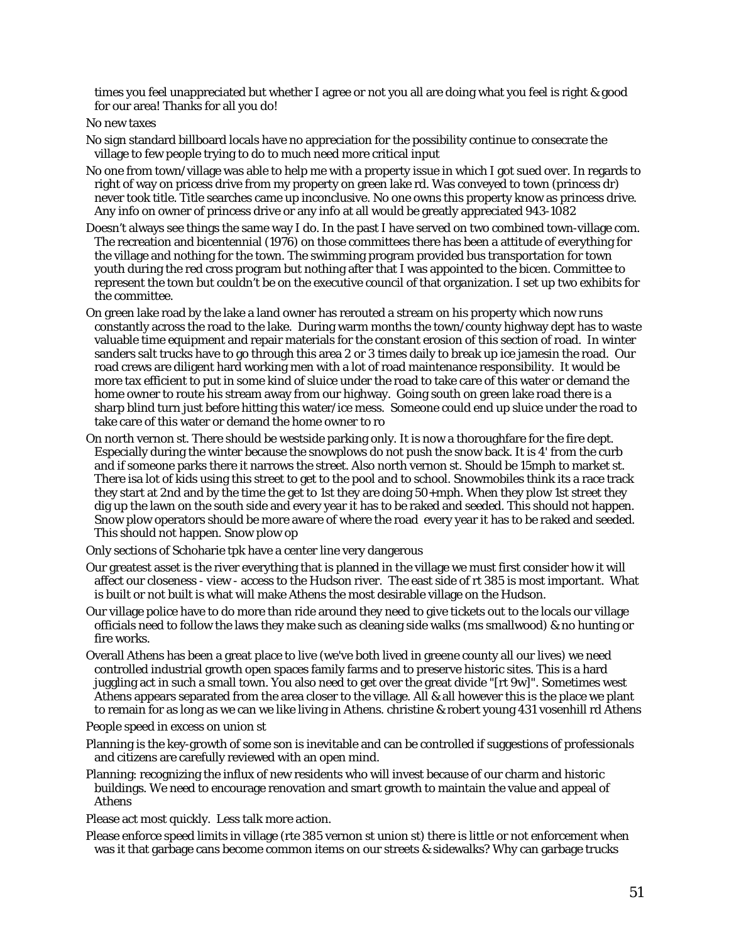times you feel unappreciated but whether I agree or not you all are doing what you feel is right & good for our area! Thanks for all you do!

#### No new taxes

- No sign standard billboard locals have no appreciation for the possibility continue to consecrate the village to few people trying to do to much need more critical input
- No one from town/village was able to help me with a property issue in which I got sued over. In regards to right of way on pricess drive from my property on green lake rd. Was conveyed to town (princess dr) never took title. Title searches came up inconclusive. No one owns this property know as princess drive. Any info on owner of princess drive or any info at all would be greatly appreciated 943-1082
- Doesn't always see things the same way I do. In the past I have served on two combined town-village com. The recreation and bicentennial (1976) on those committees there has been a attitude of everything for the village and nothing for the town. The swimming program provided bus transportation for town youth during the red cross program but nothing after that I was appointed to the bicen. Committee to represent the town but couldn't be on the executive council of that organization. I set up two exhibits for the committee.
- On green lake road by the lake a land owner has rerouted a stream on his property which now runs constantly across the road to the lake. During warm months the town/county highway dept has to waste valuable time equipment and repair materials for the constant erosion of this section of road. In winter sanders salt trucks have to go through this area 2 or 3 times daily to break up ice jamesin the road. Our road crews are diligent hard working men with a lot of road maintenance responsibility. It would be more tax efficient to put in some kind of sluice under the road to take care of this water or demand the home owner to route his stream away from our highway. Going south on green lake road there is a sharp blind turn just before hitting this water/ice mess. Someone could end up sluice under the road to take care of this water or demand the home owner to ro
- On north vernon st. There should be westside parking only. It is now a thoroughfare for the fire dept. Especially during the winter because the snowplows do not push the snow back. It is 4' from the curb and if someone parks there it narrows the street. Also north vernon st. Should be 15mph to market st. There isa lot of kids using this street to get to the pool and to school. Snowmobiles think its a race track they start at 2nd and by the time the get to 1st they are doing 50+mph. When they plow 1st street they dig up the lawn on the south side and every year it has to be raked and seeded. This should not happen. Snow plow operators should be more aware of where the road every year it has to be raked and seeded. This should not happen. Snow plow op

Only sections of Schoharie tpk have a center line very dangerous

- Our greatest asset is the river everything that is planned in the village we must first consider how it will affect our closeness - view - access to the Hudson river. The east side of rt 385 is most important. What is built or not built is what will make Athens the most desirable village on the Hudson.
- Our village police have to do more than ride around they need to give tickets out to the locals our village officials need to follow the laws they make such as cleaning side walks (ms smallwood) & no hunting or fire works.
- Overall Athens has been a great place to live (we've both lived in greene county all our lives) we need controlled industrial growth open spaces family farms and to preserve historic sites. This is a hard juggling act in such a small town. You also need to get over the great divide "[rt 9w]". Sometimes west Athens appears separated from the area closer to the village. All  $\&$  all however this is the place we plant to remain for as long as we can we like living in Athens. christine & robert young 431 vosenhill rd Athens

People speed in excess on union st

- Planning is the key-growth of some son is inevitable and can be controlled if suggestions of professionals and citizens are carefully reviewed with an open mind.
- Planning: recognizing the influx of new residents who will invest because of our charm and historic buildings. We need to encourage renovation and smart growth to maintain the value and appeal of Athens

Please act most quickly. Less talk more action.

Please enforce speed limits in village (rte 385 vernon st union st) there is little or not enforcement when was it that garbage cans become common items on our streets & sidewalks? Why can garbage trucks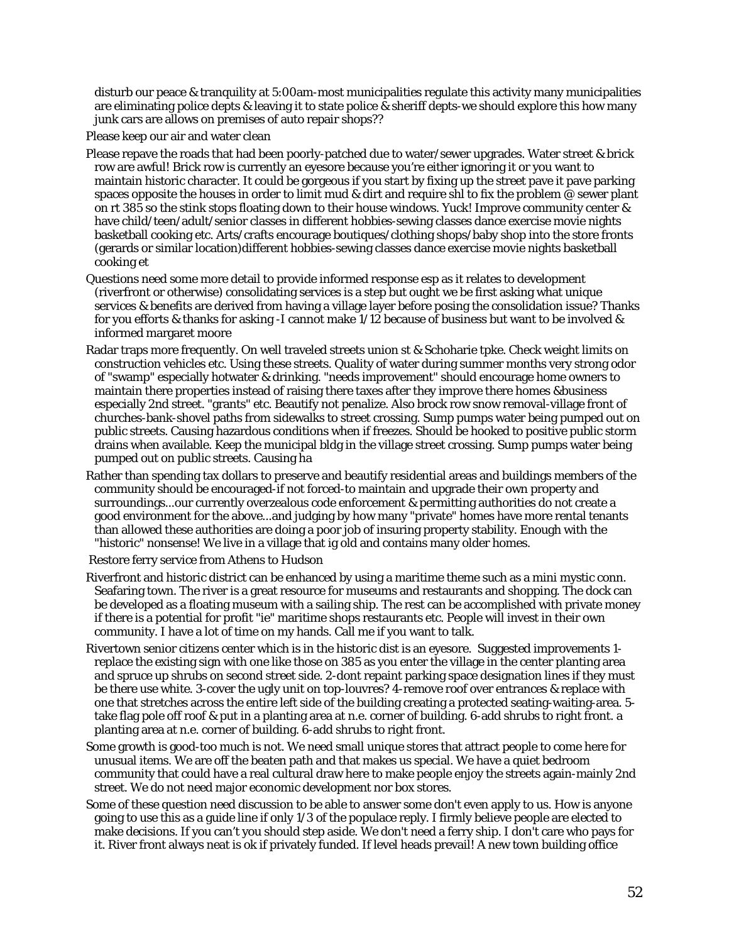disturb our peace & tranquility at 5:00am-most municipalities regulate this activity many municipalities are eliminating police depts & leaving it to state police & sheriff depts-we should explore this how many junk cars are allows on premises of auto repair shops??

Please keep our air and water clean

- Please repave the roads that had been poorly-patched due to water/sewer upgrades. Water street & brick row are awful! Brick row is currently an eyesore because you're either ignoring it or you want to maintain historic character. It could be gorgeous if you start by fixing up the street pave it pave parking spaces opposite the houses in order to limit mud & dirt and require shl to fix the problem @ sewer plant on rt 385 so the stink stops floating down to their house windows. Yuck! Improve community center & have child/teen/adult/senior classes in different hobbies-sewing classes dance exercise movie nights basketball cooking etc. Arts/crafts encourage boutiques/clothing shops/baby shop into the store fronts (gerards or similar location)different hobbies-sewing classes dance exercise movie nights basketball cooking et
- Questions need some more detail to provide informed response esp as it relates to development (riverfront or otherwise) consolidating services is a step but ought we be first asking what unique services & benefits are derived from having a village layer before posing the consolidation issue? Thanks for you efforts & thanks for asking -I cannot make 1/12 because of business but want to be involved & informed margaret moore
- Radar traps more frequently. On well traveled streets union st & Schoharie tpke. Check weight limits on construction vehicles etc. Using these streets. Quality of water during summer months very strong odor of "swamp" especially hotwater & drinking. "needs improvement" should encourage home owners to maintain there properties instead of raising there taxes after they improve there homes &business especially 2nd street. "grants" etc. Beautify not penalize. Also brock row snow removal-village front of churches-bank-shovel paths from sidewalks to street crossing. Sump pumps water being pumped out on public streets. Causing hazardous conditions when if freezes. Should be hooked to positive public storm drains when available. Keep the municipal bldg in the village street crossing. Sump pumps water being pumped out on public streets. Causing ha
- Rather than spending tax dollars to preserve and beautify residential areas and buildings members of the community should be encouraged-if not forced-to maintain and upgrade their own property and surroundings...our currently overzealous code enforcement & permitting authorities do not create a good environment for the above...and judging by how many "private" homes have more rental tenants than allowed these authorities are doing a poor job of insuring property stability. Enough with the "historic" nonsense! We live in a village that ig old and contains many older homes.

Restore ferry service from Athens to Hudson

- Riverfront and historic district can be enhanced by using a maritime theme such as a mini mystic conn. Seafaring town. The river is a great resource for museums and restaurants and shopping. The dock can be developed as a floating museum with a sailing ship. The rest can be accomplished with private money if there is a potential for profit "ie" maritime shops restaurants etc. People will invest in their own community. I have a lot of time on my hands. Call me if you want to talk.
- Rivertown senior citizens center which is in the historic dist is an eyesore. Suggested improvements 1 replace the existing sign with one like those on 385 as you enter the village in the center planting area and spruce up shrubs on second street side. 2-dont repaint parking space designation lines if they must be there use white. 3-cover the ugly unit on top-louvres? 4-remove roof over entrances & replace with one that stretches across the entire left side of the building creating a protected seating-waiting-area. 5 take flag pole off roof & put in a planting area at n.e. corner of building. 6-add shrubs to right front. a planting area at n.e. corner of building. 6-add shrubs to right front.
- Some growth is good-too much is not. We need small unique stores that attract people to come here for unusual items. We are off the beaten path and that makes us special. We have a quiet bedroom community that could have a real cultural draw here to make people enjoy the streets again-mainly 2nd street. We do not need major economic development nor box stores.
- Some of these question need discussion to be able to answer some don't even apply to us. How is anyone going to use this as a guide line if only 1/3 of the populace reply. I firmly believe people are elected to make decisions. If you can't you should step aside. We don't need a ferry ship. I don't care who pays for it. River front always neat is ok if privately funded. If level heads prevail! A new town building office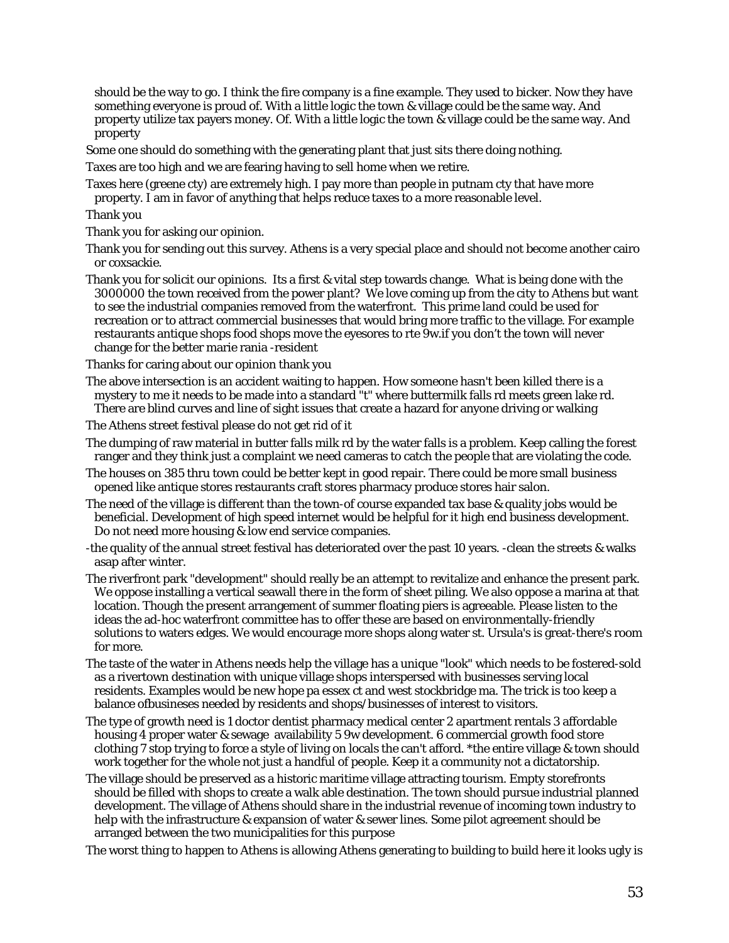should be the way to go. I think the fire company is a fine example. They used to bicker. Now they have something everyone is proud of. With a little logic the town & village could be the same way. And property utilize tax payers money. Of. With a little logic the town & village could be the same way. And property

Some one should do something with the generating plant that just sits there doing nothing.

Taxes are too high and we are fearing having to sell home when we retire.

Taxes here (greene cty) are extremely high. I pay more than people in putnam cty that have more property. I am in favor of anything that helps reduce taxes to a more reasonable level.

Thank you

Thank you for asking our opinion.

Thank you for sending out this survey. Athens is a very special place and should not become another cairo or coxsackie.

Thank you for solicit our opinions. Its a first & vital step towards change. What is being done with the 3000000 the town received from the power plant? We love coming up from the city to Athens but want to see the industrial companies removed from the waterfront. This prime land could be used for recreation or to attract commercial businesses that would bring more traffic to the village. For example restaurants antique shops food shops move the eyesores to rte 9w.if you don't the town will never change for the better marie rania -resident

Thanks for caring about our opinion thank you

The above intersection is an accident waiting to happen. How someone hasn't been killed there is a mystery to me it needs to be made into a standard "t" where buttermilk falls rd meets green lake rd. There are blind curves and line of sight issues that create a hazard for anyone driving or walking

The Athens street festival please do not get rid of it

- The dumping of raw material in butter falls milk rd by the water falls is a problem. Keep calling the forest ranger and they think just a complaint we need cameras to catch the people that are violating the code.
- The houses on 385 thru town could be better kept in good repair. There could be more small business opened like antique stores restaurants craft stores pharmacy produce stores hair salon.
- The need of the village is different than the town-of course expanded tax base & quality jobs would be beneficial. Development of high speed internet would be helpful for it high end business development. Do not need more housing & low end service companies.

-the quality of the annual street festival has deteriorated over the past 10 years. -clean the streets & walks asap after winter.

- The riverfront park "development" should really be an attempt to revitalize and enhance the present park. We oppose installing a vertical seawall there in the form of sheet piling. We also oppose a marina at that location. Though the present arrangement of summer floating piers is agreeable. Please listen to the ideas the ad-hoc waterfront committee has to offer these are based on environmentally-friendly solutions to waters edges. We would encourage more shops along water st. Ursula's is great-there's room for more.
- The taste of the water in Athens needs help the village has a unique "look" which needs to be fostered-sold as a rivertown destination with unique village shops interspersed with businesses serving local residents. Examples would be new hope pa essex ct and west stockbridge ma. The trick is too keep a balance ofbusineses needed by residents and shops/businesses of interest to visitors.
- The type of growth need is 1 doctor dentist pharmacy medical center 2 apartment rentals 3 affordable housing 4 proper water & sewage availability 5 9w development. 6 commercial growth food store clothing 7 stop trying to force a style of living on locals the can't afford. \*the entire village & town should work together for the whole not just a handful of people. Keep it a community not a dictatorship.
- The village should be preserved as a historic maritime village attracting tourism. Empty storefronts should be filled with shops to create a walk able destination. The town should pursue industrial planned development. The village of Athens should share in the industrial revenue of incoming town industry to help with the infrastructure & expansion of water & sewer lines. Some pilot agreement should be arranged between the two municipalities for this purpose

The worst thing to happen to Athens is allowing Athens generating to building to build here it looks ugly is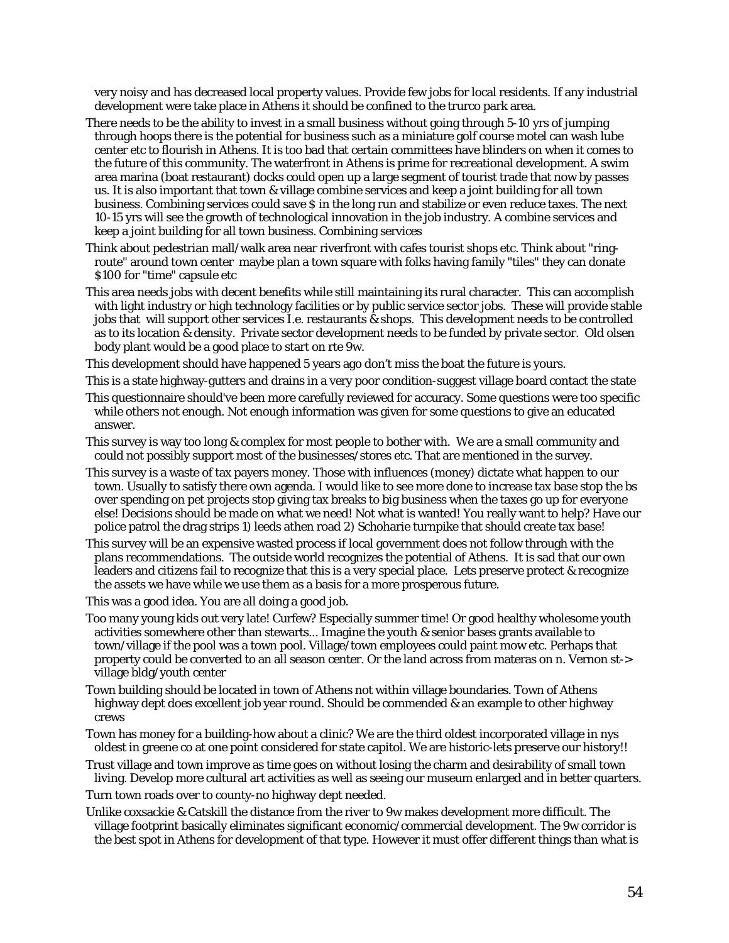very noisy and has decreased local property values. Provide few jobs for local residents. If any industrial development were take place in Athens it should be confined to the trurco park area.

- There needs to be the ability to invest in a small business without going through 5-10 yrs of jumping through hoops there is the potential for business such as a miniature golf course motel can wash lube center etc to flourish in Athens. It is too bad that certain committees have blinders on when it comes to the future of this community. The waterfront in Athens is prime for recreational development. A swim area marina (boat restaurant) docks could open up a large segment of tourist trade that now by passes us. It is also important that town & village combine services and keep a joint building for all town business. Combining services could save \$ in the long run and stabilize or even reduce taxes. The next 10-15 yrs will see the growth of technological innovation in the job industry. A combine services and keep a joint building for all town business. Combining services
- Think about pedestrian mall/walk area near riverfront with cafes tourist shops etc. Think about "ringroute" around town center maybe plan a town square with folks having family "tiles" they can donate \$100 for "time" capsule etc
- This area needs jobs with decent benefits while still maintaining its rural character. This can accomplish with light industry or high technology facilities or by public service sector jobs. These will provide stable jobs that will support other services I.e. restaurants & shops. This development needs to be controlled as to its location & density. Private sector development needs to be funded by private sector. Old olsen body plant would be a good place to start on rte 9w.

This development should have happened 5 years ago don't miss the boat the future is yours.

This is a state highway-gutters and drains in a very poor condition-suggest village board contact the state

- This questionnaire should've been more carefully reviewed for accuracy. Some questions were too specific while others not enough. Not enough information was given for some questions to give an educated answer.
- This survey is way too long & complex for most people to bother with. We are a small community and could not possibly support most of the businesses/stores etc. That are mentioned in the survey.
- This survey is a waste of tax payers money. Those with influences (money) dictate what happen to our town. Usually to satisfy there own agenda. I would like to see more done to increase tax base stop the bs over spending on pet projects stop giving tax breaks to big business when the taxes go up for everyone else! Decisions should be made on what we need! Not what is wanted! You really want to help? Have our police patrol the drag strips 1) leeds athen road 2) Schoharie turnpike that should create tax base!
- This survey will be an expensive wasted process if local government does not follow through with the plans recommendations. The outside world recognizes the potential of Athens. It is sad that our own leaders and citizens fail to recognize that this is a very special place. Lets preserve protect & recognize the assets we have while we use them as a basis for a more prosperous future.

This was a good idea. You are all doing a good job.

- Too many young kids out very late! Curfew? Especially summer time! Or good healthy wholesome youth activities somewhere other than stewarts... Imagine the youth & senior bases grants available to town/village if the pool was a town pool. Village/town employees could paint mow etc. Perhaps that property could be converted to an all season center. Or the land across from materas on n. Vernon st-> village bldg/youth center
- Town building should be located in town of Athens not within village boundaries. Town of Athens highway dept does excellent job year round. Should be commended & an example to other highway crews
- Town has money for a building-how about a clinic? We are the third oldest incorporated village in nys oldest in greene co at one point considered for state capitol. We are historic-lets preserve our history!!

Trust village and town improve as time goes on without losing the charm and desirability of small town living. Develop more cultural art activities as well as seeing our museum enlarged and in better quarters.

Turn town roads over to county-no highway dept needed.

Unlike coxsackie & Catskill the distance from the river to 9w makes development more difficult. The village footprint basically eliminates significant economic/commercial development. The 9w corridor is the best spot in Athens for development of that type. However it must offer different things than what is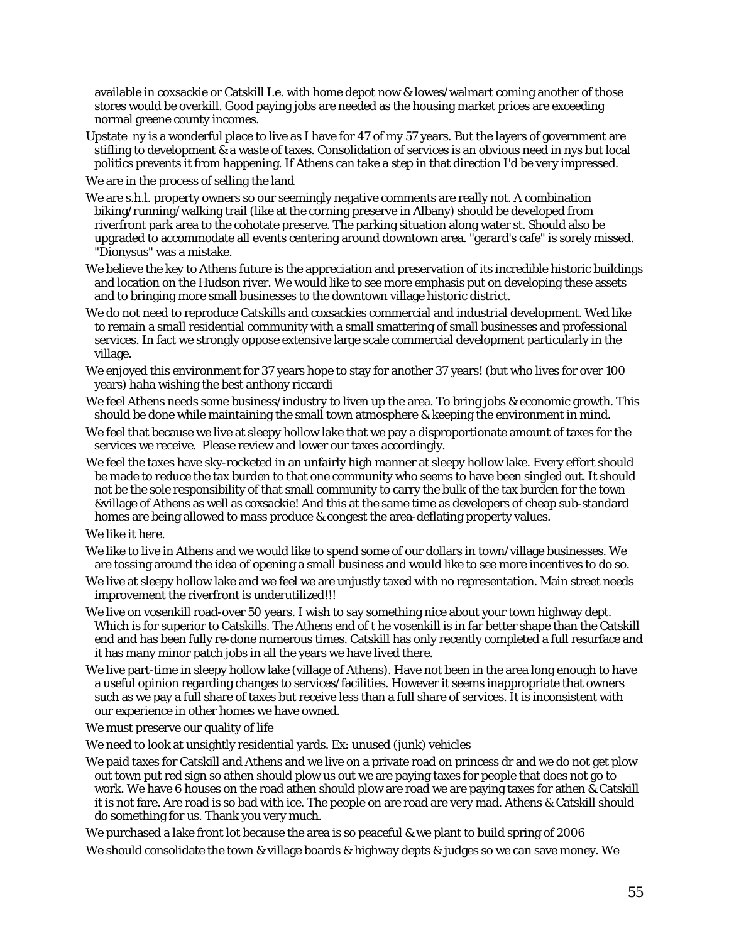available in coxsackie or Catskill I.e. with home depot now & lowes/walmart coming another of those stores would be overkill. Good paying jobs are needed as the housing market prices are exceeding normal greene county incomes.

Upstate ny is a wonderful place to live as I have for 47 of my 57 years. But the layers of government are stifling to development & a waste of taxes. Consolidation of services is an obvious need in nys but local politics prevents it from happening. If Athens can take a step in that direction I'd be very impressed.

We are in the process of selling the land

- We are s.h.l. property owners so our seemingly negative comments are really not. A combination biking/running/walking trail (like at the corning preserve in Albany) should be developed from riverfront park area to the cohotate preserve. The parking situation along water st. Should also be upgraded to accommodate all events centering around downtown area. "gerard's cafe" is sorely missed. "Dionysus" was a mistake.
- We believe the key to Athens future is the appreciation and preservation of its incredible historic buildings and location on the Hudson river. We would like to see more emphasis put on developing these assets and to bringing more small businesses to the downtown village historic district.
- We do not need to reproduce Catskills and coxsackies commercial and industrial development. Wed like to remain a small residential community with a small smattering of small businesses and professional services. In fact we strongly oppose extensive large scale commercial development particularly in the village.
- We enjoyed this environment for 37 years hope to stay for another 37 years! (but who lives for over 100 years) haha wishing the best anthony riccardi
- We feel Athens needs some business/industry to liven up the area. To bring jobs & economic growth. This should be done while maintaining the small town atmosphere & keeping the environment in mind.
- We feel that because we live at sleepy hollow lake that we pay a disproportionate amount of taxes for the services we receive. Please review and lower our taxes accordingly.
- We feel the taxes have sky-rocketed in an unfairly high manner at sleepy hollow lake. Every effort should be made to reduce the tax burden to that one community who seems to have been singled out. It should not be the sole responsibility of that small community to carry the bulk of the tax burden for the town &village of Athens as well as coxsackie! And this at the same time as developers of cheap sub-standard homes are being allowed to mass produce & congest the area-deflating property values.
- We like it here.
- We like to live in Athens and we would like to spend some of our dollars in town/village businesses. We are tossing around the idea of opening a small business and would like to see more incentives to do so.
- We live at sleepy hollow lake and we feel we are unjustly taxed with no representation. Main street needs improvement the riverfront is underutilized!!!
- We live on vosenkill road-over 50 years. I wish to say something nice about your town highway dept. Which is for superior to Catskills. The Athens end of t he vosenkill is in far better shape than the Catskill end and has been fully re-done numerous times. Catskill has only recently completed a full resurface and it has many minor patch jobs in all the years we have lived there.
- We live part-time in sleepy hollow lake (village of Athens). Have not been in the area long enough to have a useful opinion regarding changes to services/facilities. However it seems inappropriate that owners such as we pay a full share of taxes but receive less than a full share of services. It is inconsistent with our experience in other homes we have owned.
- We must preserve our quality of life
- We need to look at unsightly residential yards. Ex: unused (junk) vehicles
- We paid taxes for Catskill and Athens and we live on a private road on princess dr and we do not get plow out town put red sign so athen should plow us out we are paying taxes for people that does not go to work. We have 6 houses on the road athen should plow are road we are paying taxes for athen & Catskill it is not fare. Are road is so bad with ice. The people on are road are very mad. Athens & Catskill should do something for us. Thank you very much.

We purchased a lake front lot because the area is so peaceful & we plant to build spring of 2006 We should consolidate the town & village boards & highway depts & judges so we can save money. We